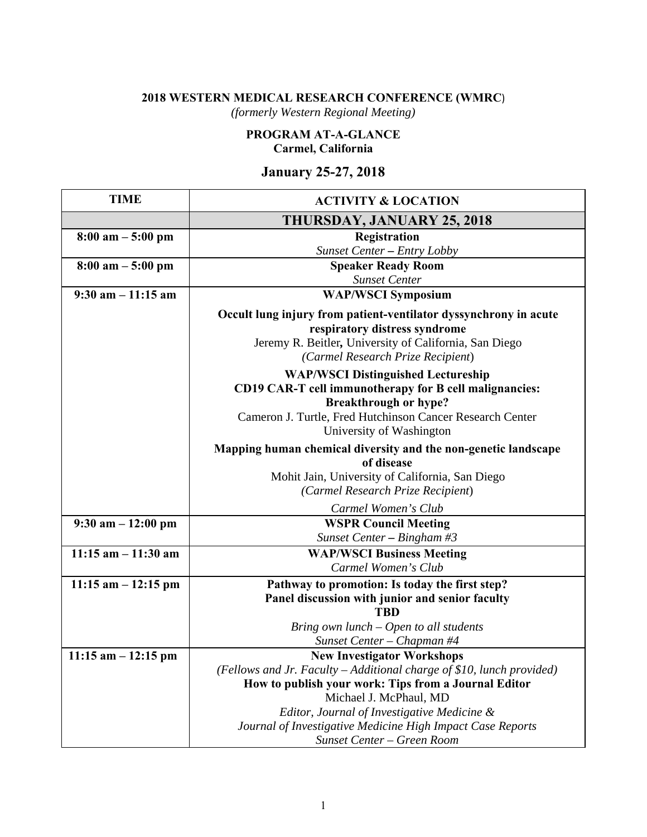# **2018 WESTERN MEDICAL RESEARCH CONFERENCE (WMRC**)

*(formerly Western Regional Meeting)*

# **PROGRAM AT-A-GLANCE Carmel, California**

# **January 25-27, 2018**

| <b>TIME</b>                         | <b>ACTIVITY &amp; LOCATION</b>                                                                                                                                                                                               |
|-------------------------------------|------------------------------------------------------------------------------------------------------------------------------------------------------------------------------------------------------------------------------|
|                                     | THURSDAY, JANUARY 25, 2018                                                                                                                                                                                                   |
| $8:00 \text{ am} - 5:00 \text{ pm}$ | Registration                                                                                                                                                                                                                 |
|                                     | Sunset Center - Entry Lobby                                                                                                                                                                                                  |
| $8:00 \text{ am} - 5:00 \text{ pm}$ | <b>Speaker Ready Room</b>                                                                                                                                                                                                    |
|                                     | <b>Sunset Center</b>                                                                                                                                                                                                         |
| 9:30 am $-\overline{11:15}$ am      | <b>WAP/WSCI Symposium</b>                                                                                                                                                                                                    |
|                                     | Occult lung injury from patient-ventilator dyssynchrony in acute<br>respiratory distress syndrome<br>Jeremy R. Beitler, University of California, San Diego<br>(Carmel Research Prize Recipient)                             |
|                                     | <b>WAP/WSCI Distinguished Lectureship</b><br>CD19 CAR-T cell immunotherapy for B cell malignancies:<br><b>Breakthrough or hype?</b><br>Cameron J. Turtle, Fred Hutchinson Cancer Research Center<br>University of Washington |
|                                     | Mapping human chemical diversity and the non-genetic landscape<br>of disease<br>Mohit Jain, University of California, San Diego<br>(Carmel Research Prize Recipient)                                                         |
|                                     | Carmel Women's Club                                                                                                                                                                                                          |
| $9:30$ am $-12:00$ pm               | <b>WSPR Council Meeting</b>                                                                                                                                                                                                  |
|                                     | Sunset Center - Bingham #3                                                                                                                                                                                                   |
| $11:15$ am $-11:30$ am              | <b>WAP/WSCI Business Meeting</b>                                                                                                                                                                                             |
|                                     | Carmel Women's Club                                                                                                                                                                                                          |
| $11:15$ am $-12:15$ pm              | Pathway to promotion: Is today the first step?                                                                                                                                                                               |
|                                     | Panel discussion with junior and senior faculty                                                                                                                                                                              |
|                                     | <b>TBD</b>                                                                                                                                                                                                                   |
|                                     | Bring own lunch - Open to all students                                                                                                                                                                                       |
|                                     | Sunset Center - Chapman #4                                                                                                                                                                                                   |
| $11:15$ am $-12:15$ pm              | <b>New Investigator Workshops</b>                                                                                                                                                                                            |
|                                     | (Fellows and Jr. Faculty - Additional charge of \$10, lunch provided)                                                                                                                                                        |
|                                     | How to publish your work: Tips from a Journal Editor                                                                                                                                                                         |
|                                     | Michael J. McPhaul, MD                                                                                                                                                                                                       |
|                                     | Editor, Journal of Investigative Medicine &                                                                                                                                                                                  |
|                                     | Journal of Investigative Medicine High Impact Case Reports<br>Sunset Center - Green Room                                                                                                                                     |
|                                     |                                                                                                                                                                                                                              |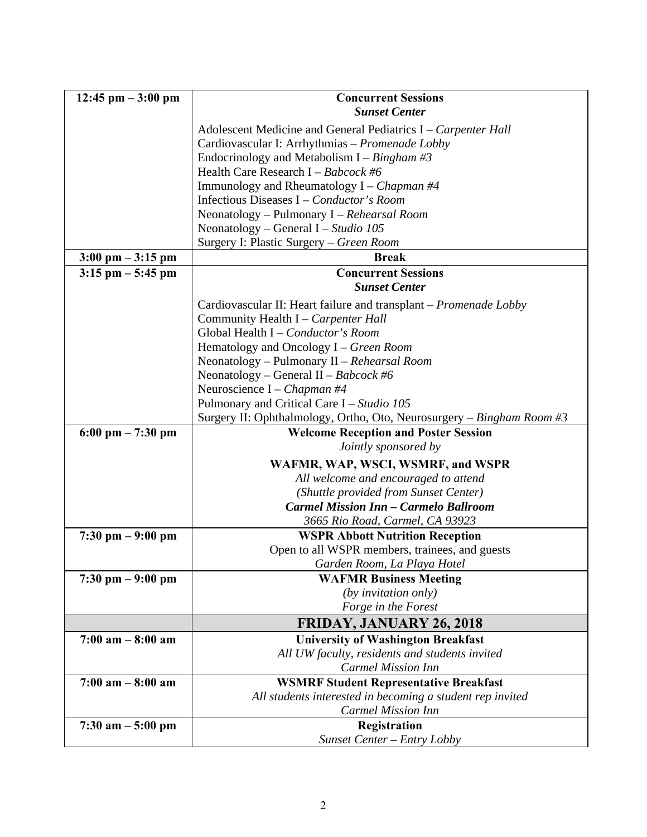| $12:45$ pm $-3:00$ pm               | <b>Concurrent Sessions</b>                                            |  |  |
|-------------------------------------|-----------------------------------------------------------------------|--|--|
|                                     | <b>Sunset Center</b>                                                  |  |  |
|                                     | Adolescent Medicine and General Pediatrics I – Carpenter Hall         |  |  |
|                                     | Cardiovascular I: Arrhythmias - Promenade Lobby                       |  |  |
|                                     | Endocrinology and Metabolism I – Bingham #3                           |  |  |
|                                     | Health Care Research I - Babcock #6                                   |  |  |
|                                     | Immunology and Rheumatology $I$ – <i>Chapman</i> #4                   |  |  |
|                                     | Infectious Diseases I – Conductor's Room                              |  |  |
|                                     | Neonatology - Pulmonary I - Rehearsal Room                            |  |  |
|                                     | Neonatology – General I – Studio 105                                  |  |  |
|                                     | Surgery I: Plastic Surgery - Green Room                               |  |  |
| $3:00 \text{ pm} - 3:15 \text{ pm}$ | <b>Break</b>                                                          |  |  |
| $3:15$ pm $-5:45$ pm                | <b>Concurrent Sessions</b>                                            |  |  |
|                                     | <b>Sunset Center</b>                                                  |  |  |
|                                     | Cardiovascular II: Heart failure and transplant – Promenade Lobby     |  |  |
|                                     | Community Health I - Carpenter Hall                                   |  |  |
|                                     | Global Health I - Conductor's Room                                    |  |  |
|                                     | Hematology and Oncology I – Green Room                                |  |  |
|                                     | Neonatology - Pulmonary II - Rehearsal Room                           |  |  |
|                                     | Neonatology – General II – Babcock #6                                 |  |  |
|                                     | Neuroscience I – Chapman #4                                           |  |  |
|                                     | Pulmonary and Critical Care I – Studio 105                            |  |  |
|                                     | Surgery II: Ophthalmology, Ortho, Oto, Neurosurgery – Bingham Room #3 |  |  |
| $6:00 \text{ pm} - 7:30 \text{ pm}$ | <b>Welcome Reception and Poster Session</b>                           |  |  |
|                                     | Jointly sponsored by                                                  |  |  |
|                                     | WAFMR, WAP, WSCI, WSMRF, and WSPR                                     |  |  |
|                                     | All welcome and encouraged to attend                                  |  |  |
|                                     | (Shuttle provided from Sunset Center)                                 |  |  |
|                                     | <b>Carmel Mission Inn - Carmelo Ballroom</b>                          |  |  |
|                                     | 3665 Rio Road, Carmel, CA 93923                                       |  |  |
| $7:30 \text{ pm} - 9:00 \text{ pm}$ | <b>WSPR Abbott Nutrition Reception</b>                                |  |  |
|                                     | Open to all WSPR members, trainees, and guests                        |  |  |
|                                     | Garden Room, La Playa Hotel                                           |  |  |
| $7:30 \text{ pm} - 9:00 \text{ pm}$ | <b>WAFMR Business Meeting</b>                                         |  |  |
|                                     | (by invitation only)                                                  |  |  |
|                                     | Forge in the Forest                                                   |  |  |
|                                     | <b>FRIDAY, JANUARY 26, 2018</b>                                       |  |  |
| $7:00$ am $-8:00$ am                | <b>University of Washington Breakfast</b>                             |  |  |
|                                     | All UW faculty, residents and students invited                        |  |  |
|                                     | <b>Carmel Mission Inn</b>                                             |  |  |
| $7:00$ am $-8:00$ am                | <b>WSMRF Student Representative Breakfast</b>                         |  |  |
|                                     | All students interested in becoming a student rep invited             |  |  |
|                                     | <b>Carmel Mission Inn</b>                                             |  |  |
| $7:30$ am $-5:00$ pm                | Registration                                                          |  |  |
|                                     | Sunset Center - Entry Lobby                                           |  |  |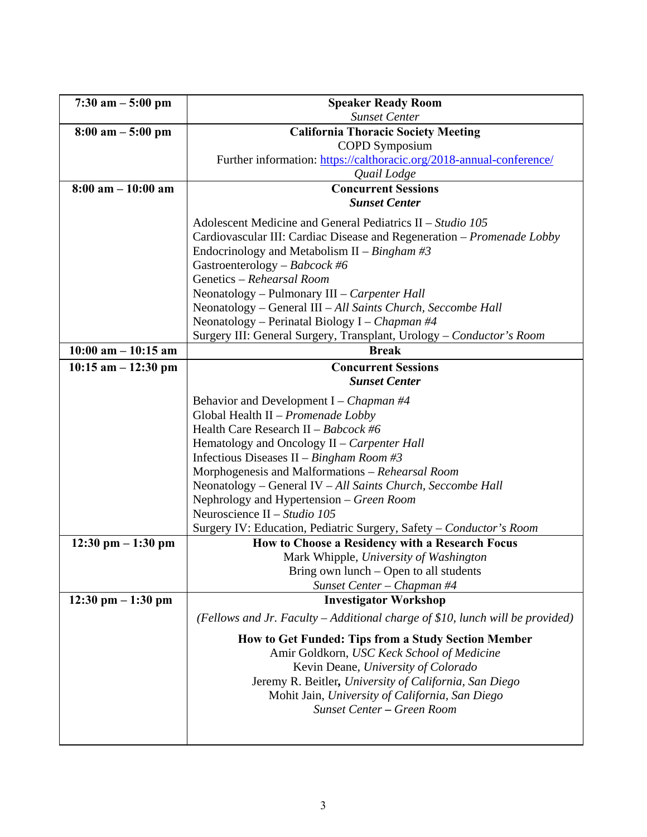| $7:30$ am $-5:00$ pm                 | <b>Speaker Ready Room</b>                                                     |  |
|--------------------------------------|-------------------------------------------------------------------------------|--|
|                                      | <b>Sunset Center</b>                                                          |  |
| $8:00 \text{ am} - 5:00 \text{ pm}$  | <b>California Thoracic Society Meeting</b>                                    |  |
|                                      | <b>COPD</b> Symposium                                                         |  |
|                                      | Further information: https://calthoracic.org/2018-annual-conference/          |  |
|                                      | Quail Lodge                                                                   |  |
| $8:00$ am $-10:00$ am                | <b>Concurrent Sessions</b>                                                    |  |
|                                      | <b>Sunset Center</b>                                                          |  |
|                                      | Adolescent Medicine and General Pediatrics II – Studio 105                    |  |
|                                      | Cardiovascular III: Cardiac Disease and Regeneration - Promenade Lobby        |  |
|                                      | Endocrinology and Metabolism II – Bingham #3                                  |  |
|                                      | Gastroenterology - Babcock #6                                                 |  |
|                                      | Genetics - Rehearsal Room                                                     |  |
|                                      | Neonatology - Pulmonary III - Carpenter Hall                                  |  |
|                                      | Neonatology - General III - All Saints Church, Seccombe Hall                  |  |
|                                      | Neonatology – Perinatal Biology I – Chapman #4                                |  |
|                                      | Surgery III: General Surgery, Transplant, Urology - Conductor's Room          |  |
| $10:00$ am $- 10:15$ am              | <b>Break</b>                                                                  |  |
| $10:15$ am $-12:30$ pm               | <b>Concurrent Sessions</b>                                                    |  |
|                                      | <b>Sunset Center</b>                                                          |  |
|                                      | Behavior and Development I – Chapman #4                                       |  |
|                                      | Global Health II - Promenade Lobby                                            |  |
|                                      | Health Care Research II - Babcock #6                                          |  |
|                                      | Hematology and Oncology II – Carpenter Hall                                   |  |
|                                      | Infectious Diseases II – Bingham Room #3                                      |  |
|                                      | Morphogenesis and Malformations - Rehearsal Room                              |  |
|                                      | Neonatology - General IV - All Saints Church, Seccombe Hall                   |  |
|                                      | Nephrology and Hypertension - Green Room                                      |  |
|                                      | Neuroscience II - Studio 105                                                  |  |
|                                      | Surgery IV: Education, Pediatric Surgery, Safety - Conductor's Room           |  |
| $12:30 \text{ pm} - 1:30 \text{ pm}$ | How to Choose a Residency with a Research Focus                               |  |
|                                      | Mark Whipple, University of Washington                                        |  |
|                                      | Bring own lunch $-$ Open to all students                                      |  |
|                                      | Sunset Center - Chapman #4                                                    |  |
| $12:30 \text{ pm} - 1:30 \text{ pm}$ | <b>Investigator Workshop</b>                                                  |  |
|                                      | (Fellows and Jr. Faculty – Additional charge of \$10, lunch will be provided) |  |
|                                      | How to Get Funded: Tips from a Study Section Member                           |  |
|                                      | Amir Goldkorn, USC Keck School of Medicine                                    |  |
|                                      | Kevin Deane, University of Colorado                                           |  |
|                                      | Jeremy R. Beitler, University of California, San Diego                        |  |
|                                      | Mohit Jain, University of California, San Diego                               |  |
|                                      | <b>Sunset Center - Green Room</b>                                             |  |
|                                      |                                                                               |  |
|                                      |                                                                               |  |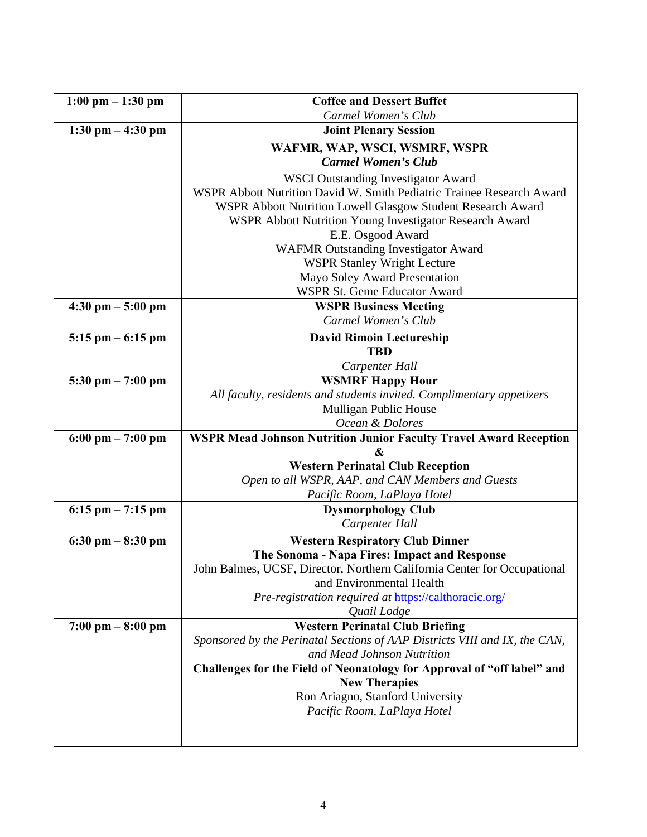| $1:00 \text{ pm} - 1:30 \text{ pm}$ | <b>Coffee and Dessert Buffet</b>                                              |
|-------------------------------------|-------------------------------------------------------------------------------|
|                                     | Carmel Women's Club                                                           |
| $1:30 \text{ pm} - 4:30 \text{ pm}$ | <b>Joint Plenary Session</b>                                                  |
|                                     | WAFMR, WAP, WSCI, WSMRF, WSPR                                                 |
|                                     | <b>Carmel Women's Club</b>                                                    |
|                                     | <b>WSCI Outstanding Investigator Award</b>                                    |
|                                     | WSPR Abbott Nutrition David W. Smith Pediatric Trainee Research Award         |
|                                     | WSPR Abbott Nutrition Lowell Glasgow Student Research Award                   |
|                                     | WSPR Abbott Nutrition Young Investigator Research Award                       |
|                                     | E.E. Osgood Award                                                             |
|                                     | <b>WAFMR Outstanding Investigator Award</b>                                   |
|                                     | <b>WSPR Stanley Wright Lecture</b>                                            |
|                                     | Mayo Soley Award Presentation                                                 |
|                                     | <b>WSPR St. Geme Educator Award</b>                                           |
| $4:30$ pm $-5:00$ pm                | <b>WSPR Business Meeting</b>                                                  |
|                                     | Carmel Women's Club                                                           |
| $5:15$ pm $-6:15$ pm                | <b>David Rimoin Lectureship</b>                                               |
|                                     | <b>TBD</b>                                                                    |
|                                     | Carpenter Hall                                                                |
| $5:30$ pm $-7:00$ pm                | <b>WSMRF Happy Hour</b>                                                       |
|                                     | All faculty, residents and students invited. Complimentary appetizers         |
|                                     | Mulligan Public House                                                         |
|                                     | Ocean & Dolores                                                               |
| $6:00 \text{ pm} - 7:00 \text{ pm}$ | <b>WSPR Mead Johnson Nutrition Junior Faculty Travel Award Reception</b><br>& |
|                                     | <b>Western Perinatal Club Reception</b>                                       |
|                                     | Open to all WSPR, AAP, and CAN Members and Guests                             |
|                                     | Pacific Room, LaPlaya Hotel                                                   |
| $6:15$ pm $-7:15$ pm                | <b>Dysmorphology Club</b>                                                     |
|                                     | Carpenter Hall                                                                |
| $6:30$ pm $-8:30$ pm                | <b>Western Respiratory Club Dinner</b>                                        |
|                                     | The Sonoma - Napa Fires: Impact and Response                                  |
|                                     | John Balmes, UCSF, Director, Northern California Center for Occupational      |
|                                     | and Environmental Health                                                      |
|                                     | Pre-registration required at https://calthoracic.org/                         |
|                                     | Quail Lodge                                                                   |
| $7:00 \text{ pm} - 8:00 \text{ pm}$ | <b>Western Perinatal Club Briefing</b>                                        |
|                                     | Sponsored by the Perinatal Sections of AAP Districts VIII and IX, the CAN,    |
|                                     | and Mead Johnson Nutrition                                                    |
|                                     | Challenges for the Field of Neonatology for Approval of "off label" and       |
|                                     | <b>New Therapies</b>                                                          |
|                                     | Ron Ariagno, Stanford University                                              |
|                                     | Pacific Room, LaPlaya Hotel                                                   |
|                                     |                                                                               |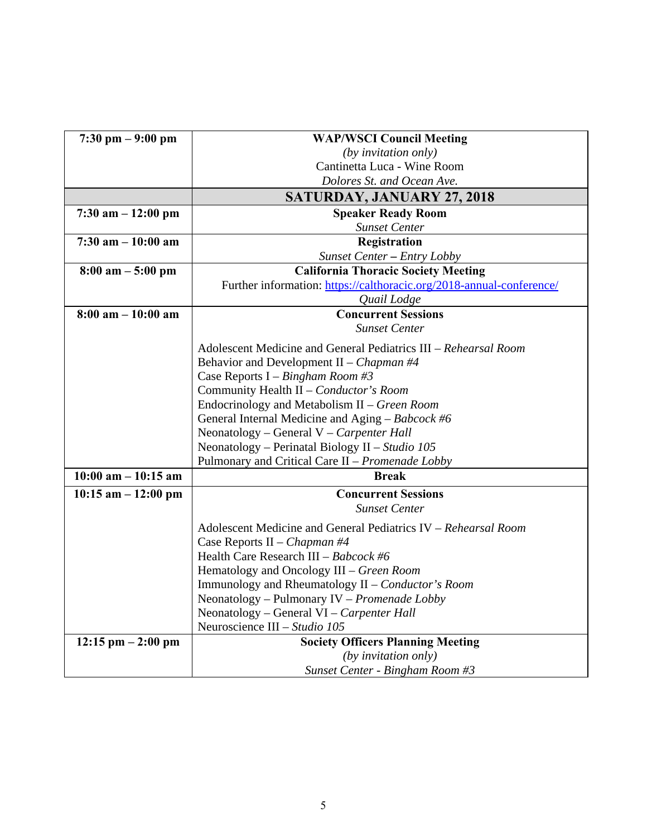| $7:30 \text{ pm} - 9:00 \text{ pm}$          | <b>WAP/WSCI Council Meeting</b>                                      |  |
|----------------------------------------------|----------------------------------------------------------------------|--|
|                                              | (by invitation only)                                                 |  |
|                                              | Cantinetta Luca - Wine Room                                          |  |
|                                              | Dolores St. and Ocean Ave.                                           |  |
|                                              | <b>SATURDAY, JANUARY 27, 2018</b>                                    |  |
| $7:30$ am $-12:00$ pm                        | <b>Speaker Ready Room</b>                                            |  |
|                                              | <b>Sunset Center</b>                                                 |  |
| $7:30$ am $-10:00$ am                        | Registration                                                         |  |
|                                              | Sunset Center - Entry Lobby                                          |  |
| $8:00 \text{ am} - 5:00 \text{ pm}$          | <b>California Thoracic Society Meeting</b>                           |  |
|                                              | Further information: https://calthoracic.org/2018-annual-conference/ |  |
|                                              | Quail Lodge                                                          |  |
| $8:00$ am $-10:00$ am                        | <b>Concurrent Sessions</b>                                           |  |
|                                              | <b>Sunset Center</b>                                                 |  |
|                                              | Adolescent Medicine and General Pediatrics III – Rehearsal Room      |  |
|                                              | Behavior and Development II – Chapman #4                             |  |
|                                              | Case Reports I – Bingham Room #3                                     |  |
|                                              | Community Health II - Conductor's Room                               |  |
| Endocrinology and Metabolism II - Green Room |                                                                      |  |
|                                              | General Internal Medicine and Aging – $Babcock$ #6                   |  |
|                                              | Neonatology – General V – Carpenter Hall                             |  |
|                                              | Neonatology - Perinatal Biology II - Studio 105                      |  |
|                                              | Pulmonary and Critical Care II – Promenade Lobby                     |  |
| $10:00$ am $-10:15$ am                       | <b>Break</b>                                                         |  |
| $10:15$ am $-12:00$ pm                       | <b>Concurrent Sessions</b>                                           |  |
|                                              | <b>Sunset Center</b>                                                 |  |
|                                              | Adolescent Medicine and General Pediatrics IV - Rehearsal Room       |  |
|                                              | Case Reports II – Chapman #4                                         |  |
|                                              | Health Care Research III - Babcock #6                                |  |
|                                              | Hematology and Oncology III - Green Room                             |  |
|                                              | Immunology and Rheumatology II - Conductor's Room                    |  |
|                                              | Neonatology – Pulmonary IV – Promenade Lobby                         |  |
|                                              | Neonatology - General VI - Carpenter Hall                            |  |
|                                              | Neuroscience III - Studio 105                                        |  |
| $12:15$ pm $-2:00$ pm                        | <b>Society Officers Planning Meeting</b>                             |  |
|                                              | (by invitation only)                                                 |  |
|                                              | Sunset Center - Bingham Room #3                                      |  |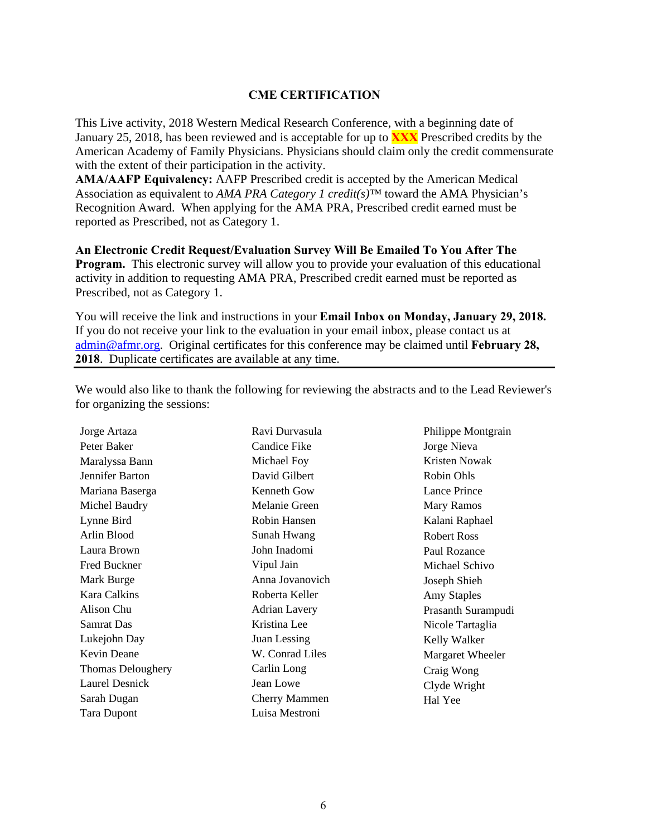#### **CME CERTIFICATION**

This Live activity, 2018 Western Medical Research Conference, with a beginning date of January 25, 2018, has been reviewed and is acceptable for up to **XXX** Prescribed credits by the American Academy of Family Physicians. Physicians should claim only the credit commensurate with the extent of their participation in the activity.

**AMA/AAFP Equivalency:** AAFP Prescribed credit is accepted by the American Medical Association as equivalent to *AMA PRA Category 1 credit(s)™* toward the AMA Physician's Recognition Award. When applying for the AMA PRA, Prescribed credit earned must be reported as Prescribed, not as Category 1.

**An Electronic Credit Request/Evaluation Survey Will Be Emailed To You After The Program.** This electronic survey will allow you to provide your evaluation of this educational activity in addition to requesting AMA PRA, Prescribed credit earned must be reported as Prescribed, not as Category 1.

You will receive the link and instructions in your **Email Inbox on Monday, January 29, 2018.** If you do not receive your link to the evaluation in your email inbox, please contact us at admin@afmr.org. Original certificates for this conference may be claimed until **February 28, 2018**. Duplicate certificates are available at any time.

We would also like to thank the following for reviewing the abstracts and to the Lead Reviewer's for organizing the sessions:

| Candice Fike<br>Jorge Nieva<br>Peter Baker<br>Kristen Nowak<br>Michael Foy<br>Maralyssa Bann |                    |
|----------------------------------------------------------------------------------------------|--------------------|
|                                                                                              |                    |
|                                                                                              |                    |
| David Gilbert<br>Robin Ohls<br>Jennifer Barton                                               |                    |
| Lance Prince<br>Mariana Baserga<br>Kenneth Gow                                               |                    |
| Michel Baudry<br>Melanie Green<br><b>Mary Ramos</b>                                          |                    |
| Robin Hansen<br>Kalani Raphael<br>Lynne Bird                                                 |                    |
| Arlin Blood<br>Sunah Hwang<br><b>Robert Ross</b>                                             |                    |
| Laura Brown<br>John Inadomi<br>Paul Rozance                                                  |                    |
| Fred Buckner<br>Vipul Jain<br>Michael Schivo                                                 |                    |
| Mark Burge<br>Anna Jovanovich<br>Joseph Shieh                                                |                    |
| Kara Calkins<br>Roberta Keller<br><b>Amy Staples</b>                                         |                    |
| Alison Chu<br><b>Adrian Lavery</b>                                                           | Prasanth Surampudi |
| <b>Samrat Das</b><br>Kristina Lee<br>Nicole Tartaglia                                        |                    |
| Lukejohn Day<br>Juan Lessing<br>Kelly Walker                                                 |                    |
| Kevin Deane<br>W. Conrad Liles                                                               | Margaret Wheeler   |
| <b>Thomas Deloughery</b><br>Carlin Long<br>Craig Wong                                        |                    |
| <b>Laurel Desnick</b><br>Jean Lowe<br>Clyde Wright                                           |                    |
| Sarah Dugan<br><b>Cherry Mammen</b><br>Hal Yee                                               |                    |
| Luisa Mestroni<br><b>Tara Dupont</b>                                                         |                    |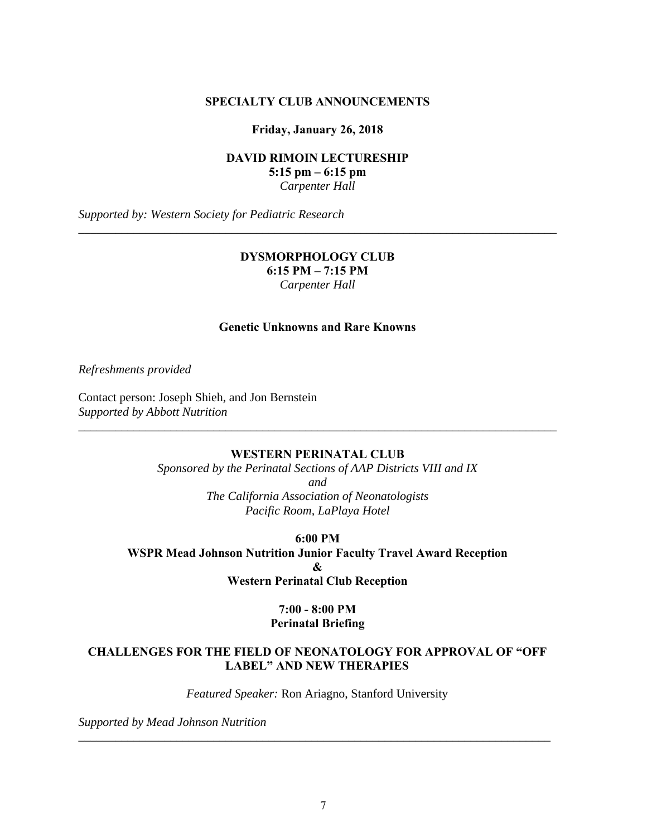#### **SPECIALTY CLUB ANNOUNCEMENTS**

**Friday, January 26, 2018** 

**DAVID RIMOIN LECTURESHIP 5:15 pm – 6:15 pm**  *Carpenter Hall* 

*Supported by: Western Society for Pediatric Research* 

#### **DYSMORPHOLOGY CLUB 6:15 PM – 7:15 PM**  *Carpenter Hall*

\_\_\_\_\_\_\_\_\_\_\_\_\_\_\_\_\_\_\_\_\_\_\_\_\_\_\_\_\_\_\_\_\_\_\_\_\_\_\_\_\_\_\_\_\_\_\_\_\_\_\_\_\_\_\_\_\_\_\_\_\_\_\_\_\_\_\_\_\_\_\_\_\_\_\_\_\_\_

#### **Genetic Unknowns and Rare Knowns**

*Refreshments provided* 

Contact person: Joseph Shieh, and Jon Bernstein *Supported by Abbott Nutrition* 

#### **WESTERN PERINATAL CLUB**

\_\_\_\_\_\_\_\_\_\_\_\_\_\_\_\_\_\_\_\_\_\_\_\_\_\_\_\_\_\_\_\_\_\_\_\_\_\_\_\_\_\_\_\_\_\_\_\_\_\_\_\_\_\_\_\_\_\_\_\_\_\_\_\_\_\_\_\_\_\_\_\_\_\_\_\_\_\_

*Sponsored by the Perinatal Sections of AAP Districts VIII and IX and The California Association of Neonatologists Pacific Room, LaPlaya Hotel* 

**6:00 PM WSPR Mead Johnson Nutrition Junior Faculty Travel Award Reception &** 

**Western Perinatal Club Reception** 

#### **7:00 - 8:00 PM Perinatal Briefing**

#### **CHALLENGES FOR THE FIELD OF NEONATOLOGY FOR APPROVAL OF "OFF LABEL" AND NEW THERAPIES**

*Featured Speaker:* Ron Ariagno, Stanford University

\_\_\_\_\_\_\_\_\_\_\_\_\_\_\_\_\_\_\_\_\_\_\_\_\_\_\_\_\_\_\_\_\_\_\_\_\_\_\_\_\_\_\_\_\_\_\_\_\_\_\_\_\_\_\_\_\_\_\_\_\_\_\_\_\_\_\_\_\_\_\_\_\_\_\_\_\_

*Supported by Mead Johnson Nutrition*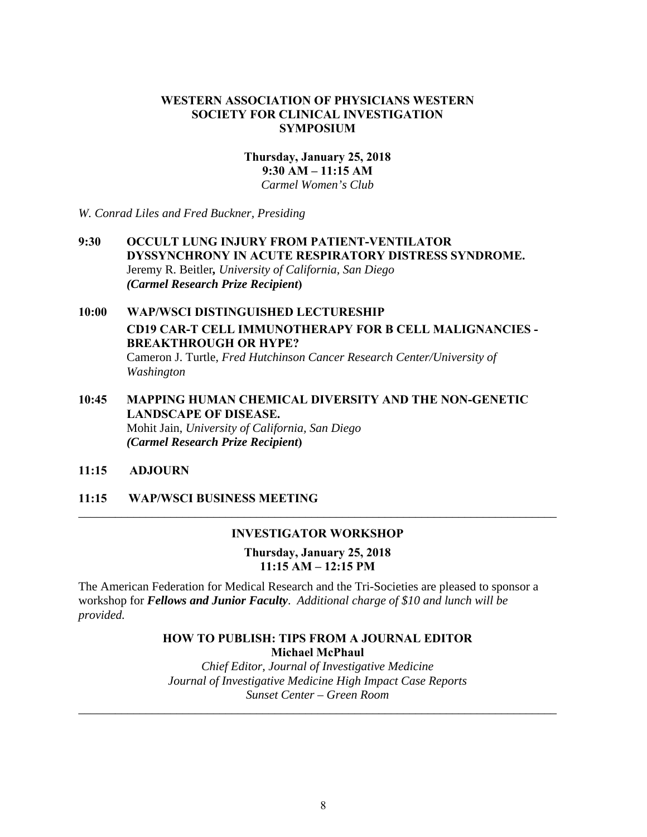#### **WESTERN ASSOCIATION OF PHYSICIANS WESTERN SOCIETY FOR CLINICAL INVESTIGATION SYMPOSIUM**

# **Thursday, January 25, 2018 9:30 AM – 11:15 AM**

*Carmel Women's Club* 

*W. Conrad Liles and Fred Buckner, Presiding*

#### **9:30 OCCULT LUNG INJURY FROM PATIENT-VENTILATOR DYSSYNCHRONY IN ACUTE RESPIRATORY DISTRESS SYNDROME.**  Jeremy R. Beitler*, University of California, San Diego (Carmel Research Prize Recipient***)**

# **10:00 WAP/WSCI DISTINGUISHED LECTURESHIP CD19 CAR-T CELL IMMUNOTHERAPY FOR B CELL MALIGNANCIES - BREAKTHROUGH OR HYPE?** Cameron J. Turtle, *Fred Hutchinson Cancer Research Center/University of Washington*

**10:45 MAPPING HUMAN CHEMICAL DIVERSITY AND THE NON-GENETIC LANDSCAPE OF DISEASE.** Mohit Jain, *University of California, San Diego (Carmel Research Prize Recipient***)**

**11:15 ADJOURN** 

**11:15 WAP/WSCI BUSINESS MEETING** 

#### **INVESTIGATOR WORKSHOP**

\_\_\_\_\_\_\_\_\_\_\_\_\_\_\_\_\_\_\_\_\_\_\_\_\_\_\_\_\_\_\_\_\_\_\_\_\_\_\_\_\_\_\_\_\_\_\_\_\_\_\_\_\_\_\_\_\_\_\_\_\_\_\_\_\_\_\_\_\_\_\_\_\_\_\_\_\_\_

**Thursday, January 25, 2018 11:15 AM – 12:15 PM** 

The American Federation for Medical Research and the Tri-Societies are pleased to sponsor a workshop for *Fellows and Junior Faculty*. *Additional charge of \$10 and lunch will be provided.* 

#### **HOW TO PUBLISH: TIPS FROM A JOURNAL EDITOR Michael McPhaul**

*Chief Editor, Journal of Investigative Medicine Journal of Investigative Medicine High Impact Case Reports Sunset Center – Green Room* 

\_\_\_\_\_\_\_\_\_\_\_\_\_\_\_\_\_\_\_\_\_\_\_\_\_\_\_\_\_\_\_\_\_\_\_\_\_\_\_\_\_\_\_\_\_\_\_\_\_\_\_\_\_\_\_\_\_\_\_\_\_\_\_\_\_\_\_\_\_\_\_\_\_\_\_\_\_\_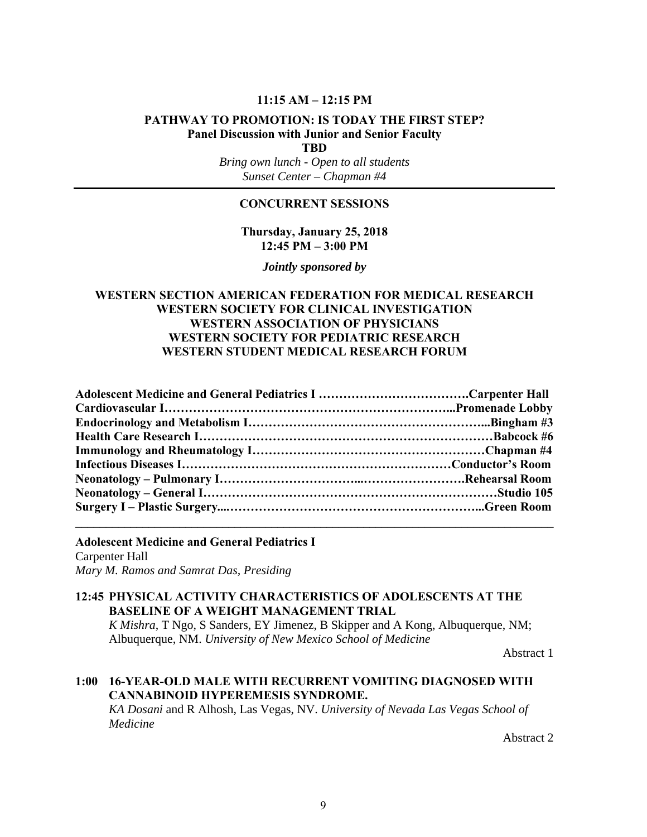#### **11:15 AM – 12:15 PM**

# **PATHWAY TO PROMOTION: IS TODAY THE FIRST STEP? Panel Discussion with Junior and Senior Faculty**

**TBD** 

*Bring own lunch - Open to all students Sunset Center – Chapman #4* 

#### **CONCURRENT SESSIONS**

**Thursday, January 25, 2018 12:45 PM – 3:00 PM** 

*Jointly sponsored by* 

#### **WESTERN SECTION AMERICAN FEDERATION FOR MEDICAL RESEARCH WESTERN SOCIETY FOR CLINICAL INVESTIGATION WESTERN ASSOCIATION OF PHYSICIANS WESTERN SOCIETY FOR PEDIATRIC RESEARCH WESTERN STUDENT MEDICAL RESEARCH FORUM**

**Adolescent Medicine and General Pediatrics I** Carpenter Hall *Mary M. Ramos and Samrat Das, Presiding*

#### **12:45 PHYSICAL ACTIVITY CHARACTERISTICS OF ADOLESCENTS AT THE BASELINE OF A WEIGHT MANAGEMENT TRIAL**

*K Mishra*, T Ngo, S Sanders, EY Jimenez, B Skipper and A Kong, Albuquerque, NM; Albuquerque, NM. *University of New Mexico School of Medicine* 

Abstract 1

# **1:00 16-YEAR-OLD MALE WITH RECURRENT VOMITING DIAGNOSED WITH CANNABINOID HYPEREMESIS SYNDROME.**

*KA Dosani* and R Alhosh, Las Vegas, NV. *University of Nevada Las Vegas School of Medicine*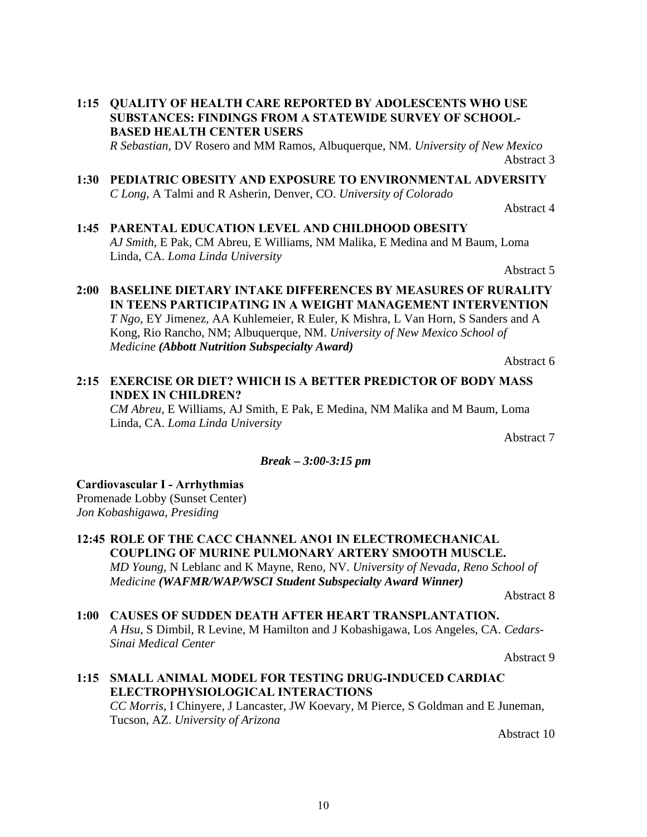- **1:15 QUALITY OF HEALTH CARE REPORTED BY ADOLESCENTS WHO USE SUBSTANCES: FINDINGS FROM A STATEWIDE SURVEY OF SCHOOL-BASED HEALTH CENTER USERS** *R Sebastian*, DV Rosero and MM Ramos, Albuquerque, NM. *University of New Mexico* Abstract 3
- **1:30 PEDIATRIC OBESITY AND EXPOSURE TO ENVIRONMENTAL ADVERSITY** *C Long*, A Talmi and R Asherin, Denver, CO. *University of Colorado*

Abstract 4

**1:45 PARENTAL EDUCATION LEVEL AND CHILDHOOD OBESITY** *AJ Smith*, E Pak, CM Abreu, E Williams, NM Malika, E Medina and M Baum, Loma Linda, CA. *Loma Linda University*

Abstract 5

**2:00 BASELINE DIETARY INTAKE DIFFERENCES BY MEASURES OF RURALITY IN TEENS PARTICIPATING IN A WEIGHT MANAGEMENT INTERVENTION** *T Ngo*, EY Jimenez, AA Kuhlemeier, R Euler, K Mishra, L Van Horn, S Sanders and A Kong, Rio Rancho, NM; Albuquerque, NM. *University of New Mexico School of Medicine (Abbott Nutrition Subspecialty Award)* Abstract 6

**2:15 EXERCISE OR DIET? WHICH IS A BETTER PREDICTOR OF BODY MASS INDEX IN CHILDREN?**

*CM Abreu*, E Williams, AJ Smith, E Pak, E Medina, NM Malika and M Baum, Loma Linda, CA. *Loma Linda University*

Abstract 7

#### *Break – 3:00-3:15 pm*

#### **Cardiovascular I - Arrhythmias**

Promenade Lobby (Sunset Center) *Jon Kobashigawa, Presiding*

**12:45 ROLE OF THE CACC CHANNEL ANO1 IN ELECTROMECHANICAL COUPLING OF MURINE PULMONARY ARTERY SMOOTH MUSCLE.** *MD Young*, N Leblanc and K Mayne, Reno, NV. *University of Nevada, Reno School of Medicine (WAFMR/WAP/WSCI Student Subspecialty Award Winner)*

Abstract 8

**1:00 CAUSES OF SUDDEN DEATH AFTER HEART TRANSPLANTATION.** *A Hsu*, S Dimbil, R Levine, M Hamilton and J Kobashigawa, Los Angeles, CA. *Cedars-Sinai Medical Center*

Abstract 9

**1:15 SMALL ANIMAL MODEL FOR TESTING DRUG-INDUCED CARDIAC ELECTROPHYSIOLOGICAL INTERACTIONS** *CC Morris*, I Chinyere, J Lancaster, JW Koevary, M Pierce, S Goldman and E Juneman, Tucson, AZ. *University of Arizona*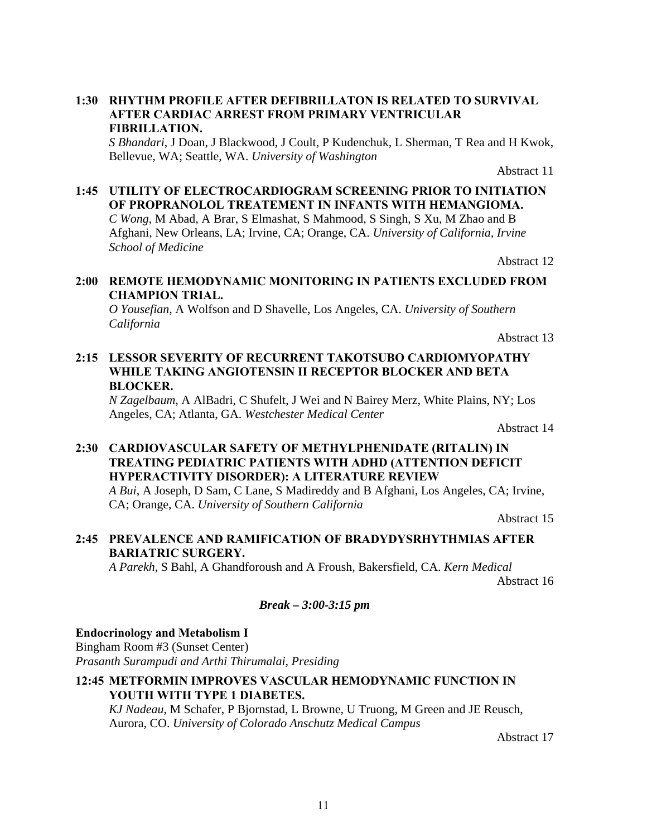#### **1:30 RHYTHM PROFILE AFTER DEFIBRILLATON IS RELATED TO SURVIVAL AFTER CARDIAC ARREST FROM PRIMARY VENTRICULAR FIBRILLATION.**

*S Bhandari*, J Doan, J Blackwood, J Coult, P Kudenchuk, L Sherman, T Rea and H Kwok, Bellevue, WA; Seattle, WA. *University of Washington*

Abstract 11

# **1:45 UTILITY OF ELECTROCARDIOGRAM SCREENING PRIOR TO INITIATION OF PROPRANOLOL TREATEMENT IN INFANTS WITH HEMANGIOMA.** *C Wong*, M Abad, A Brar, S Elmashat, S Mahmood, S Singh, S Xu, M Zhao and B

Afghani, New Orleans, LA; Irvine, CA; Orange, CA. *University of California, Irvine School of Medicine*

Abstract 12

# **2:00 REMOTE HEMODYNAMIC MONITORING IN PATIENTS EXCLUDED FROM CHAMPION TRIAL.**

*O Yousefian*, A Wolfson and D Shavelle, Los Angeles, CA. *University of Southern California*

Abstract 13

#### **2:15 LESSOR SEVERITY OF RECURRENT TAKOTSUBO CARDIOMYOPATHY WHILE TAKING ANGIOTENSIN II RECEPTOR BLOCKER AND BETA BLOCKER.**

*N Zagelbaum*, A AlBadri, C Shufelt, J Wei and N Bairey Merz, White Plains, NY; Los Angeles, CA; Atlanta, GA. *Westchester Medical Center*

Abstract 14

# **2:30 CARDIOVASCULAR SAFETY OF METHYLPHENIDATE (RITALIN) IN TREATING PEDIATRIC PATIENTS WITH ADHD (ATTENTION DEFICIT HYPERACTIVITY DISORDER): A LITERATURE REVIEW**

*A Bui*, A Joseph, D Sam, C Lane, S Madireddy and B Afghani, Los Angeles, CA; Irvine, CA; Orange, CA. *University of Southern California*

Abstract 15

# **2:45 PREVALENCE AND RAMIFICATION OF BRADYDYSRHYTHMIAS AFTER BARIATRIC SURGERY.**

*A Parekh*, S Bahl, A Ghandforoush and A Froush, Bakersfield, CA. *Kern Medical* Abstract 16

#### *Break – 3:00-3:15 pm*

#### **Endocrinology and Metabolism I**

Bingham Room #3 (Sunset Center) *Prasanth Surampudi and Arthi Thirumalai, Presiding*

# **12:45 METFORMIN IMPROVES VASCULAR HEMODYNAMIC FUNCTION IN YOUTH WITH TYPE 1 DIABETES.**

*KJ Nadeau*, M Schafer, P Bjornstad, L Browne, U Truong, M Green and JE Reusch, Aurora, CO. *University of Colorado Anschutz Medical Campus*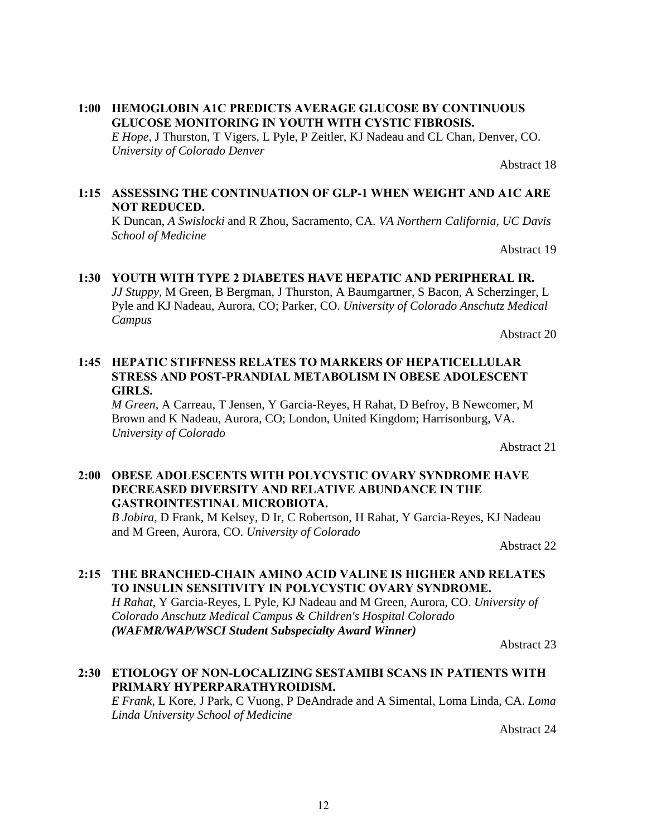#### **1:00 HEMOGLOBIN A1C PREDICTS AVERAGE GLUCOSE BY CONTINUOUS GLUCOSE MONITORING IN YOUTH WITH CYSTIC FIBROSIS.**

*E Hope*, J Thurston, T Vigers, L Pyle, P Zeitler, KJ Nadeau and CL Chan, Denver, CO. *University of Colorado Denver*

Abstract 18

#### **1:15 ASSESSING THE CONTINUATION OF GLP-1 WHEN WEIGHT AND A1C ARE NOT REDUCED.**

K Duncan, *A Swislocki* and R Zhou, Sacramento, CA. *VA Northern California, UC Davis School of Medicine*

Abstract 19

### **1:30 YOUTH WITH TYPE 2 DIABETES HAVE HEPATIC AND PERIPHERAL IR.** *JJ Stuppy*, M Green, B Bergman, J Thurston, A Baumgartner, S Bacon, A Scherzinger, L Pyle and KJ Nadeau, Aurora, CO; Parker, CO. *University of Colorado Anschutz Medical Campus*

Abstract 20

# **1:45 HEPATIC STIFFNESS RELATES TO MARKERS OF HEPATICELLULAR STRESS AND POST-PRANDIAL METABOLISM IN OBESE ADOLESCENT GIRLS.**

*M Green*, A Carreau, T Jensen, Y Garcia-Reyes, H Rahat, D Befroy, B Newcomer, M Brown and K Nadeau, Aurora, CO; London, United Kingdom; Harrisonburg, VA. *University of Colorado*

Abstract 21

#### **2:00 OBESE ADOLESCENTS WITH POLYCYSTIC OVARY SYNDROME HAVE DECREASED DIVERSITY AND RELATIVE ABUNDANCE IN THE GASTROINTESTINAL MICROBIOTA.**

*B Jobira*, D Frank, M Kelsey, D Ir, C Robertson, H Rahat, Y Garcia-Reyes, KJ Nadeau and M Green, Aurora, CO. *University of Colorado*

Abstract 22

# **2:15 THE BRANCHED-CHAIN AMINO ACID VALINE IS HIGHER AND RELATES TO INSULIN SENSITIVITY IN POLYCYSTIC OVARY SYNDROME.**

*H Rahat*, Y Garcia-Reyes, L Pyle, KJ Nadeau and M Green, Aurora, CO. *University of Colorado Anschutz Medical Campus & Children's Hospital Colorado (WAFMR/WAP/WSCI Student Subspecialty Award Winner)*

Abstract 23

#### **2:30 ETIOLOGY OF NON-LOCALIZING SESTAMIBI SCANS IN PATIENTS WITH PRIMARY HYPERPARATHYROIDISM.**

*E Frank*, L Kore, J Park, C Vuong, P DeAndrade and A Simental, Loma Linda, CA. *Loma Linda University School of Medicine*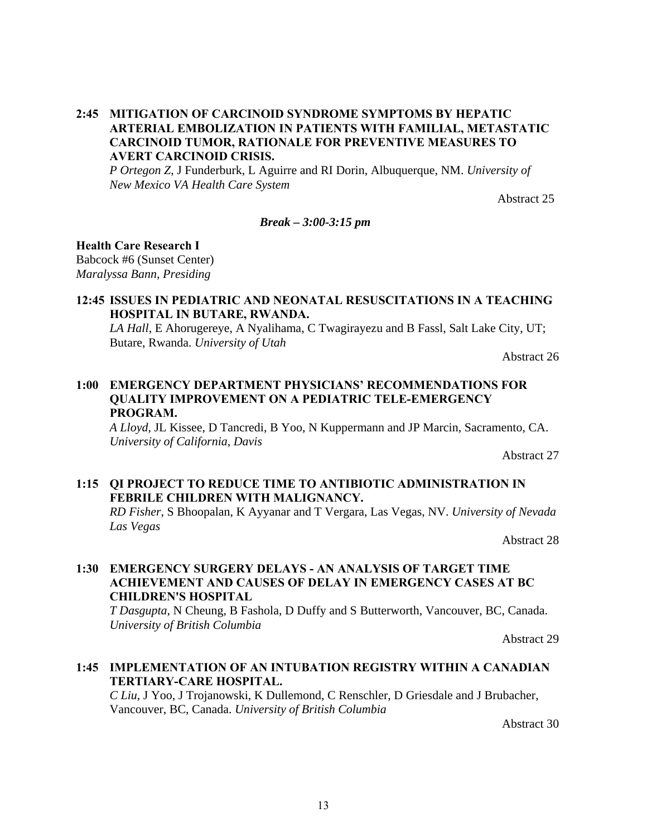#### **2:45 MITIGATION OF CARCINOID SYNDROME SYMPTOMS BY HEPATIC ARTERIAL EMBOLIZATION IN PATIENTS WITH FAMILIAL, METASTATIC CARCINOID TUMOR, RATIONALE FOR PREVENTIVE MEASURES TO AVERT CARCINOID CRISIS.**

*P Ortegon Z*, J Funderburk, L Aguirre and RI Dorin, Albuquerque, NM. *University of New Mexico VA Health Care System* 

Abstract 25

#### *Break – 3:00-3:15 pm*

#### **Health Care Research I**

Babcock #6 (Sunset Center) *Maralyssa Bann, Presiding*

### **12:45 ISSUES IN PEDIATRIC AND NEONATAL RESUSCITATIONS IN A TEACHING HOSPITAL IN BUTARE, RWANDA.**

*LA Hall*, E Ahorugereye, A Nyalihama, C Twagirayezu and B Fassl, Salt Lake City, UT; Butare, Rwanda. *University of Utah*

Abstract 26

#### **1:00 EMERGENCY DEPARTMENT PHYSICIANS' RECOMMENDATIONS FOR QUALITY IMPROVEMENT ON A PEDIATRIC TELE-EMERGENCY PROGRAM.**

*A Lloyd*, JL Kissee, D Tancredi, B Yoo, N Kuppermann and JP Marcin, Sacramento, CA. *University of California, Davis*

Abstract 27

# **1:15 QI PROJECT TO REDUCE TIME TO ANTIBIOTIC ADMINISTRATION IN FEBRILE CHILDREN WITH MALIGNANCY.**

*RD Fisher*, S Bhoopalan, K Ayyanar and T Vergara, Las Vegas, NV. *University of Nevada Las Vegas*

Abstract 28

#### **1:30 EMERGENCY SURGERY DELAYS - AN ANALYSIS OF TARGET TIME ACHIEVEMENT AND CAUSES OF DELAY IN EMERGENCY CASES AT BC CHILDREN'S HOSPITAL**

*T Dasgupta*, N Cheung, B Fashola, D Duffy and S Butterworth, Vancouver, BC, Canada. *University of British Columbia*

Abstract 29

#### **1:45 IMPLEMENTATION OF AN INTUBATION REGISTRY WITHIN A CANADIAN TERTIARY-CARE HOSPITAL.**

*C Liu*, J Yoo, J Trojanowski, K Dullemond, C Renschler, D Griesdale and J Brubacher, Vancouver, BC, Canada. *University of British Columbia*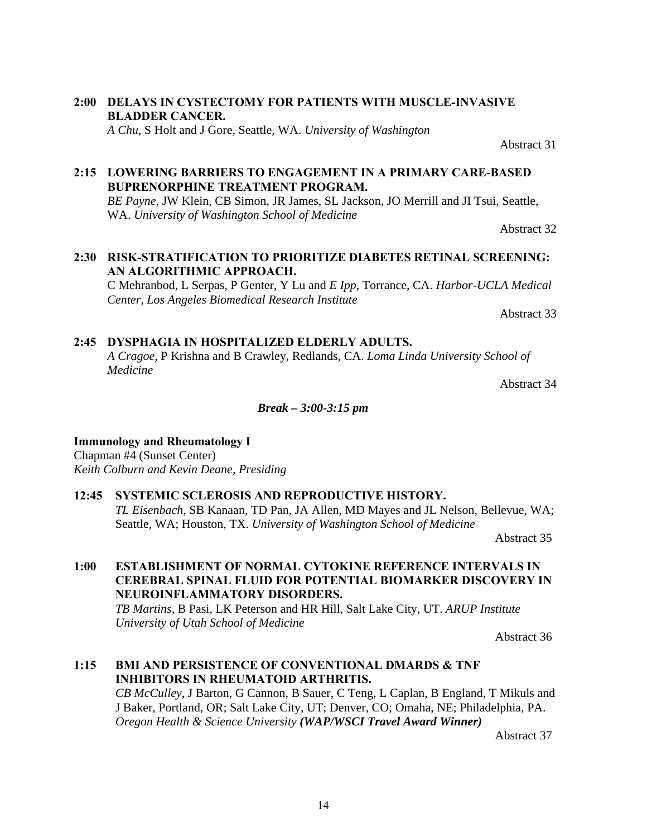### **2:00 DELAYS IN CYSTECTOMY FOR PATIENTS WITH MUSCLE-INVASIVE BLADDER CANCER.** *A Chu*, S Holt and J Gore, Seattle, WA. *University of Washington*

# **2:15 LOWERING BARRIERS TO ENGAGEMENT IN A PRIMARY CARE-BASED BUPRENORPHINE TREATMENT PROGRAM.**

*BE Payne*, JW Klein, CB Simon, JR James, SL Jackson, JO Merrill and JI Tsui, Seattle, WA. *University of Washington School of Medicine*

Abstract 32

Abstract 31

# **2:30 RISK-STRATIFICATION TO PRIORITIZE DIABETES RETINAL SCREENING: AN ALGORITHMIC APPROACH.**

C Mehranbod, L Serpas, P Genter, Y Lu and *E Ipp*, Torrance, CA. *Harbor-UCLA Medical Center, Los Angeles Biomedical Research Institute* 

Abstract 33

# **2:45 DYSPHAGIA IN HOSPITALIZED ELDERLY ADULTS.**

*A Cragoe*, P Krishna and B Crawley, Redlands, CA. *Loma Linda University School of Medicine* 

Abstract 34

#### *Break – 3:00-3:15 pm*

# **Immunology and Rheumatology I**

Chapman #4 (Sunset Center) *Keith Colburn and Kevin Deane, Presiding*

#### **12:45 SYSTEMIC SCLEROSIS AND REPRODUCTIVE HISTORY.**

*TL Eisenbach*, SB Kanaan, TD Pan, JA Allen, MD Mayes and JL Nelson, Bellevue, WA; Seattle, WA; Houston, TX. *University of Washington School of Medicine*

Abstract 35

# **1:00 ESTABLISHMENT OF NORMAL CYTOKINE REFERENCE INTERVALS IN CEREBRAL SPINAL FLUID FOR POTENTIAL BIOMARKER DISCOVERY IN NEUROINFLAMMATORY DISORDERS.**

*TB Martins*, B Pasi, LK Peterson and HR Hill, Salt Lake City, UT. *ARUP Institute University of Utah School of Medicine*

Abstract 36

# **1:15 BMI AND PERSISTENCE OF CONVENTIONAL DMARDS & TNF INHIBITORS IN RHEUMATOID ARTHRITIS.**

*CB McCulley*, J Barton, G Cannon, B Sauer, C Teng, L Caplan, B England, T Mikuls and J Baker, Portland, OR; Salt Lake City, UT; Denver, CO; Omaha, NE; Philadelphia, PA. *Oregon Health & Science University (WAP/WSCI Travel Award Winner)*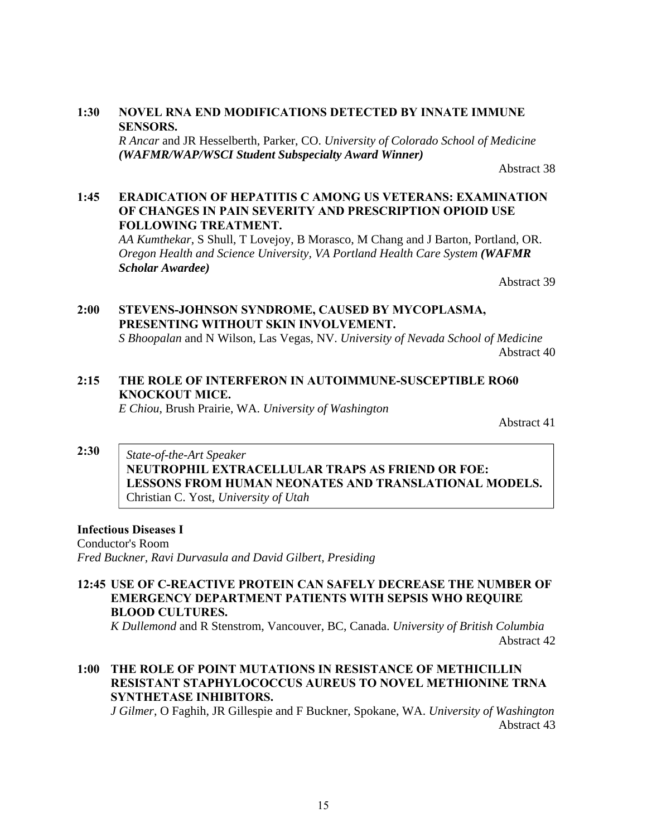#### **1:30 NOVEL RNA END MODIFICATIONS DETECTED BY INNATE IMMUNE SENSORS.**

*R Ancar* and JR Hesselberth, Parker, CO. *University of Colorado School of Medicine (WAFMR/WAP/WSCI Student Subspecialty Award Winner)*

Abstract 38

#### **1:45 ERADICATION OF HEPATITIS C AMONG US VETERANS: EXAMINATION OF CHANGES IN PAIN SEVERITY AND PRESCRIPTION OPIOID USE FOLLOWING TREATMENT.**

*AA Kumthekar*, S Shull, T Lovejoy, B Morasco, M Chang and J Barton, Portland, OR. *Oregon Health and Science University, VA Portland Health Care System (WAFMR Scholar Awardee)*

Abstract 39

# **2:00 STEVENS-JOHNSON SYNDROME, CAUSED BY MYCOPLASMA, PRESENTING WITHOUT SKIN INVOLVEMENT.**

*S Bhoopalan* and N Wilson, Las Vegas, NV. *University of Nevada School of Medicine* Abstract 40

# **2:15 THE ROLE OF INTERFERON IN AUTOIMMUNE-SUSCEPTIBLE RO60 KNOCKOUT MICE.**

*E Chiou*, Brush Prairie, WA. *University of Washington*

Abstract 41

#### **2:30** *State-of-the-Art Speaker*  **NEUTROPHIL EXTRACELLULAR TRAPS AS FRIEND OR FOE: LESSONS FROM HUMAN NEONATES AND TRANSLATIONAL MODELS.** Christian C. Yost, *University of Utah*

# **Infectious Diseases I**

Conductor's Room *Fred Buckner, Ravi Durvasula and David Gilbert, Presiding*

# **12:45 USE OF C-REACTIVE PROTEIN CAN SAFELY DECREASE THE NUMBER OF EMERGENCY DEPARTMENT PATIENTS WITH SEPSIS WHO REQUIRE BLOOD CULTURES.**

*K Dullemond* and R Stenstrom, Vancouver, BC, Canada. *University of British Columbia* Abstract 42

# **1:00 THE ROLE OF POINT MUTATIONS IN RESISTANCE OF METHICILLIN RESISTANT STAPHYLOCOCCUS AUREUS TO NOVEL METHIONINE TRNA SYNTHETASE INHIBITORS.**

*J Gilmer*, O Faghih, JR Gillespie and F Buckner, Spokane, WA. *University of Washington* Abstract 43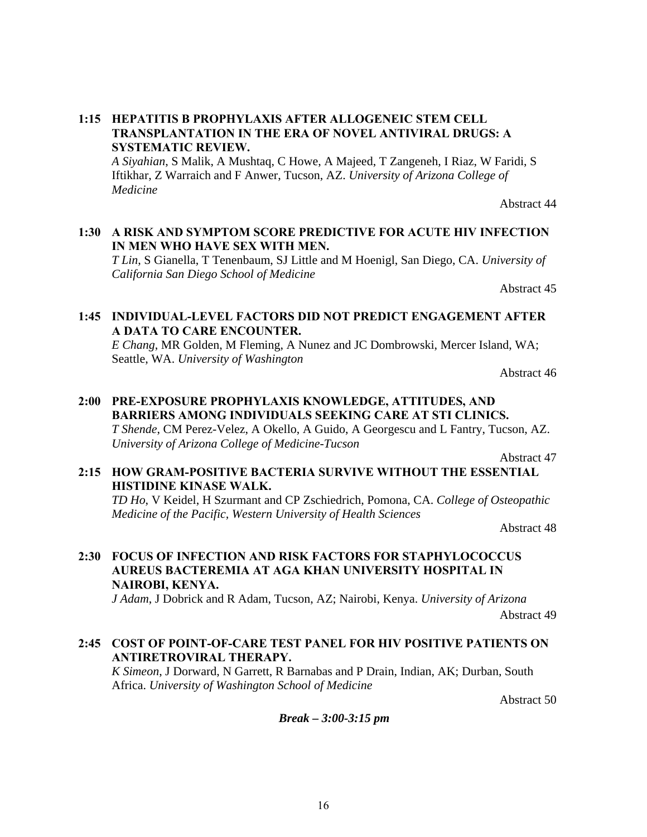#### **1:15 HEPATITIS B PROPHYLAXIS AFTER ALLOGENEIC STEM CELL TRANSPLANTATION IN THE ERA OF NOVEL ANTIVIRAL DRUGS: A SYSTEMATIC REVIEW.**

*A Siyahian*, S Malik, A Mushtaq, C Howe, A Majeed, T Zangeneh, I Riaz, W Faridi, S Iftikhar, Z Warraich and F Anwer, Tucson, AZ. *University of Arizona College of Medicine*

Abstract 44

#### **1:30 A RISK AND SYMPTOM SCORE PREDICTIVE FOR ACUTE HIV INFECTION IN MEN WHO HAVE SEX WITH MEN.**

*T Lin*, S Gianella, T Tenenbaum, SJ Little and M Hoenigl, San Diego, CA. *University of California San Diego School of Medicine*

Abstract 45

#### **1:45 INDIVIDUAL-LEVEL FACTORS DID NOT PREDICT ENGAGEMENT AFTER A DATA TO CARE ENCOUNTER.**

*E Chang*, MR Golden, M Fleming, A Nunez and JC Dombrowski, Mercer Island, WA; Seattle, WA. *University of Washington*

Abstract 46

#### **2:00 PRE-EXPOSURE PROPHYLAXIS KNOWLEDGE, ATTITUDES, AND BARRIERS AMONG INDIVIDUALS SEEKING CARE AT STI CLINICS.** *T Shende*, CM Perez-Velez, A Okello, A Guido, A Georgescu and L Fantry, Tucson, AZ. *University of Arizona College of Medicine-Tucson*

Abstract 47

#### **2:15 HOW GRAM-POSITIVE BACTERIA SURVIVE WITHOUT THE ESSENTIAL HISTIDINE KINASE WALK.**

*TD Ho*, V Keidel, H Szurmant and CP Zschiedrich, Pomona, CA. *College of Osteopathic Medicine of the Pacific, Western University of Health Sciences*

Abstract 48

# **2:30 FOCUS OF INFECTION AND RISK FACTORS FOR STAPHYLOCOCCUS AUREUS BACTEREMIA AT AGA KHAN UNIVERSITY HOSPITAL IN NAIROBI, KENYA.**

*J Adam*, J Dobrick and R Adam, Tucson, AZ; Nairobi, Kenya. *University of Arizona* 

Abstract 49

#### **2:45 COST OF POINT-OF-CARE TEST PANEL FOR HIV POSITIVE PATIENTS ON ANTIRETROVIRAL THERAPY.**

*K Simeon*, J Dorward, N Garrett, R Barnabas and P Drain, Indian, AK; Durban, South Africa. *University of Washington School of Medicine*

Abstract 50

*Break – 3:00-3:15 pm*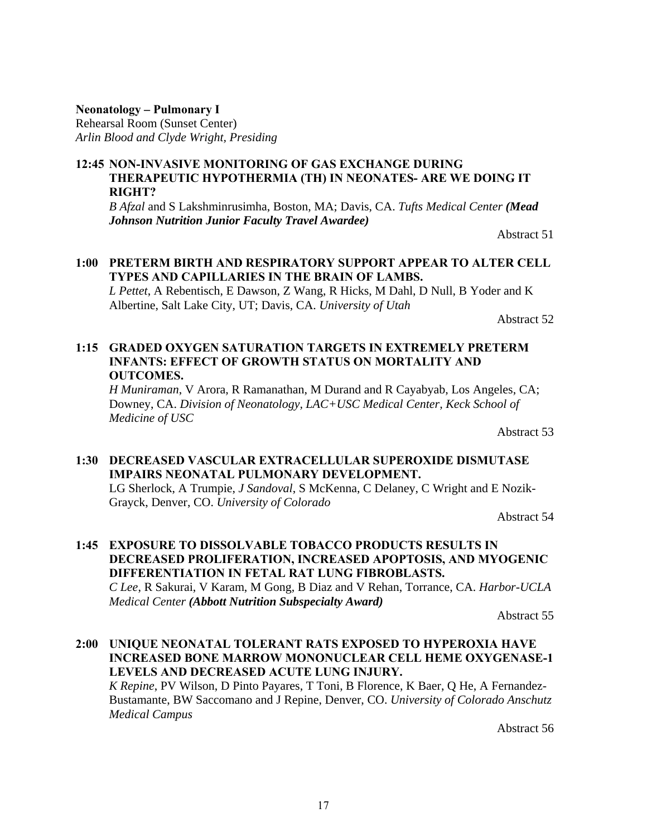#### **Neonatology** *–* **Pulmonary I**

Rehearsal Room (Sunset Center) *Arlin Blood and Clyde Wright, Presiding*

#### **12:45 NON-INVASIVE MONITORING OF GAS EXCHANGE DURING THERAPEUTIC HYPOTHERMIA (TH) IN NEONATES- ARE WE DOING IT RIGHT?**

*B Afzal* and S Lakshminrusimha, Boston, MA; Davis, CA. *Tufts Medical Center (Mead Johnson Nutrition Junior Faculty Travel Awardee)*

Abstract 51

#### **1:00 PRETERM BIRTH AND RESPIRATORY SUPPORT APPEAR TO ALTER CELL TYPES AND CAPILLARIES IN THE BRAIN OF LAMBS.**

*L Pettet*, A Rebentisch, E Dawson, Z Wang, R Hicks, M Dahl, D Null, B Yoder and K Albertine, Salt Lake City, UT; Davis, CA. *University of Utah*

Abstract 52

#### **1:15 GRADED OXYGEN SATURATION TARGETS IN EXTREMELY PRETERM INFANTS: EFFECT OF GROWTH STATUS ON MORTALITY AND OUTCOMES.**

*H Muniraman*, V Arora, R Ramanathan, M Durand and R Cayabyab, Los Angeles, CA; Downey, CA. *Division of Neonatology, LAC+USC Medical Center, Keck School of Medicine of USC*

Abstract 53

#### **1:30 DECREASED VASCULAR EXTRACELLULAR SUPEROXIDE DISMUTASE IMPAIRS NEONATAL PULMONARY DEVELOPMENT.**

LG Sherlock, A Trumpie, *J Sandoval*, S McKenna, C Delaney, C Wright and E Nozik-Grayck, Denver, CO. *University of Colorado*

Abstract 54

#### **1:45 EXPOSURE TO DISSOLVABLE TOBACCO PRODUCTS RESULTS IN DECREASED PROLIFERATION, INCREASED APOPTOSIS, AND MYOGENIC DIFFERENTIATION IN FETAL RAT LUNG FIBROBLASTS.** *C Lee*, R Sakurai, V Karam, M Gong, B Diaz and V Rehan, Torrance, CA. *Harbor-UCLA Medical Center (Abbott Nutrition Subspecialty Award)*

Abstract 55

# **2:00 UNIQUE NEONATAL TOLERANT RATS EXPOSED TO HYPEROXIA HAVE INCREASED BONE MARROW MONONUCLEAR CELL HEME OXYGENASE-1 LEVELS AND DECREASED ACUTE LUNG INJURY.**

*K Repine*, PV Wilson, D Pinto Payares, T Toni, B Florence, K Baer, Q He, A Fernandez-Bustamante, BW Saccomano and J Repine, Denver, CO. *University of Colorado Anschutz Medical Campus*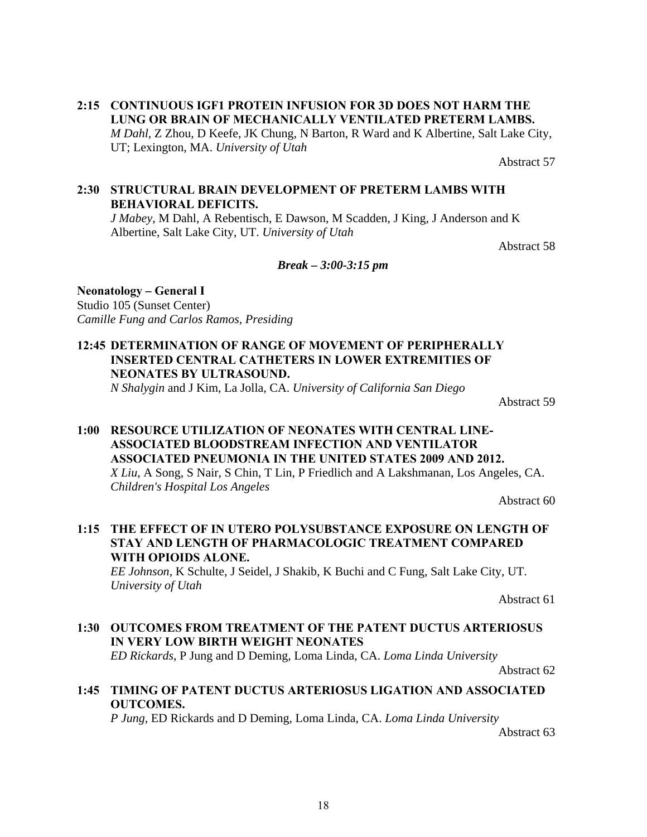**2:15 CONTINUOUS IGF1 PROTEIN INFUSION FOR 3D DOES NOT HARM THE LUNG OR BRAIN OF MECHANICALLY VENTILATED PRETERM LAMBS.** *M Dahl*, Z Zhou, D Keefe, JK Chung, N Barton, R Ward and K Albertine, Salt Lake City, UT; Lexington, MA. *University of Utah*

Abstract 57

#### **2:30 STRUCTURAL BRAIN DEVELOPMENT OF PRETERM LAMBS WITH BEHAVIORAL DEFICITS.**

*J Mabey*, M Dahl, A Rebentisch, E Dawson, M Scadden, J King, J Anderson and K Albertine, Salt Lake City, UT. *University of Utah*

Abstract 58

*Break – 3:00-3:15 pm* 

**Neonatology** *–* **General I** Studio 105 (Sunset Center) *Camille Fung and Carlos Ramos, Presiding*

**12:45 DETERMINATION OF RANGE OF MOVEMENT OF PERIPHERALLY INSERTED CENTRAL CATHETERS IN LOWER EXTREMITIES OF NEONATES BY ULTRASOUND.**

*N Shalygin* and J Kim, La Jolla, CA. *University of California San Diego*

Abstract 59

## **1:00 RESOURCE UTILIZATION OF NEONATES WITH CENTRAL LINE-ASSOCIATED BLOODSTREAM INFECTION AND VENTILATOR ASSOCIATED PNEUMONIA IN THE UNITED STATES 2009 AND 2012.** *X Liu*, A Song, S Nair, S Chin, T Lin, P Friedlich and A Lakshmanan, Los Angeles, CA. *Children's Hospital Los Angeles*

Abstract 60

**1:15 THE EFFECT OF IN UTERO POLYSUBSTANCE EXPOSURE ON LENGTH OF STAY AND LENGTH OF PHARMACOLOGIC TREATMENT COMPARED WITH OPIOIDS ALONE.**

*EE Johnson*, K Schulte, J Seidel, J Shakib, K Buchi and C Fung, Salt Lake City, UT. *University of Utah*

Abstract 61

**1:30 OUTCOMES FROM TREATMENT OF THE PATENT DUCTUS ARTERIOSUS IN VERY LOW BIRTH WEIGHT NEONATES** *ED Rickards*, P Jung and D Deming, Loma Linda, CA. *Loma Linda University*

Abstract 62

**1:45 TIMING OF PATENT DUCTUS ARTERIOSUS LIGATION AND ASSOCIATED OUTCOMES.**

*P Jung*, ED Rickards and D Deming, Loma Linda, CA. *Loma Linda University*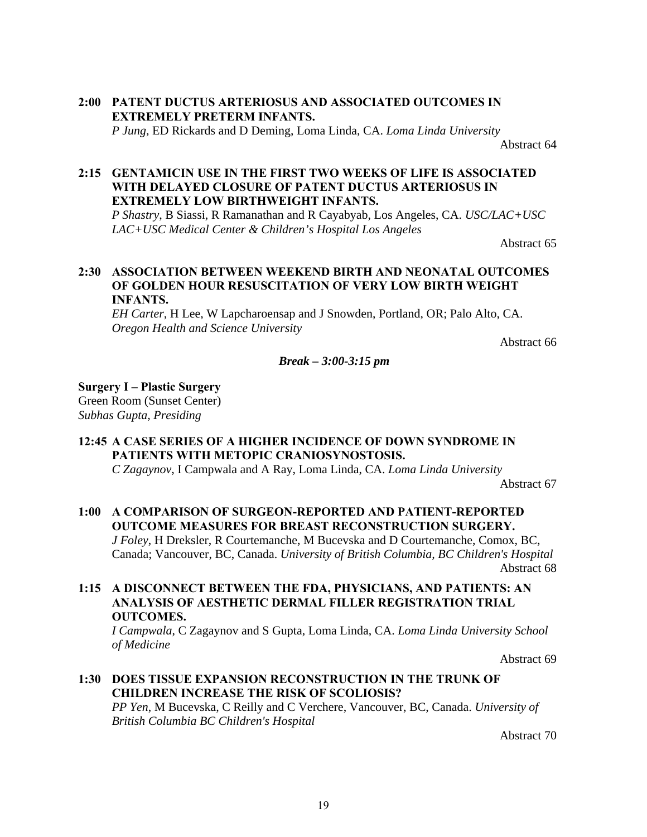#### **2:00 PATENT DUCTUS ARTERIOSUS AND ASSOCIATED OUTCOMES IN EXTREMELY PRETERM INFANTS.** *P Jung*, ED Rickards and D Deming, Loma Linda, CA. *Loma Linda University*

Abstract 64

#### **2:15 GENTAMICIN USE IN THE FIRST TWO WEEKS OF LIFE IS ASSOCIATED WITH DELAYED CLOSURE OF PATENT DUCTUS ARTERIOSUS IN EXTREMELY LOW BIRTHWEIGHT INFANTS.**

*P Shastry*, B Siassi, R Ramanathan and R Cayabyab, Los Angeles, CA. *USC/LAC+USC LAC+USC Medical Center & Children's Hospital Los Angeles*

Abstract 65

#### **2:30 ASSOCIATION BETWEEN WEEKEND BIRTH AND NEONATAL OUTCOMES OF GOLDEN HOUR RESUSCITATION OF VERY LOW BIRTH WEIGHT INFANTS.**

*EH Carter*, H Lee, W Lapcharoensap and J Snowden, Portland, OR; Palo Alto, CA. *Oregon Health and Science University*

Abstract 66

#### *Break – 3:00-3:15 pm*

#### **Surgery I – Plastic Surgery**

Green Room (Sunset Center) *Subhas Gupta, Presiding*

#### **12:45 A CASE SERIES OF A HIGHER INCIDENCE OF DOWN SYNDROME IN PATIENTS WITH METOPIC CRANIOSYNOSTOSIS.**

*C Zagaynov*, I Campwala and A Ray, Loma Linda, CA. *Loma Linda University* 

Abstract 67

# **1:00 A COMPARISON OF SURGEON-REPORTED AND PATIENT-REPORTED OUTCOME MEASURES FOR BREAST RECONSTRUCTION SURGERY.**

*J Foley*, H Dreksler, R Courtemanche, M Bucevska and D Courtemanche, Comox, BC, Canada; Vancouver, BC, Canada. *University of British Columbia, BC Children's Hospital* Abstract 68

**1:15 A DISCONNECT BETWEEN THE FDA, PHYSICIANS, AND PATIENTS: AN ANALYSIS OF AESTHETIC DERMAL FILLER REGISTRATION TRIAL OUTCOMES.**

*I Campwala*, C Zagaynov and S Gupta, Loma Linda, CA. *Loma Linda University School of Medicine*

Abstract 69

#### **1:30 DOES TISSUE EXPANSION RECONSTRUCTION IN THE TRUNK OF CHILDREN INCREASE THE RISK OF SCOLIOSIS?** *PP Yen*, M Bucevska, C Reilly and C Verchere, Vancouver, BC, Canada. *University of British Columbia BC Children's Hospital*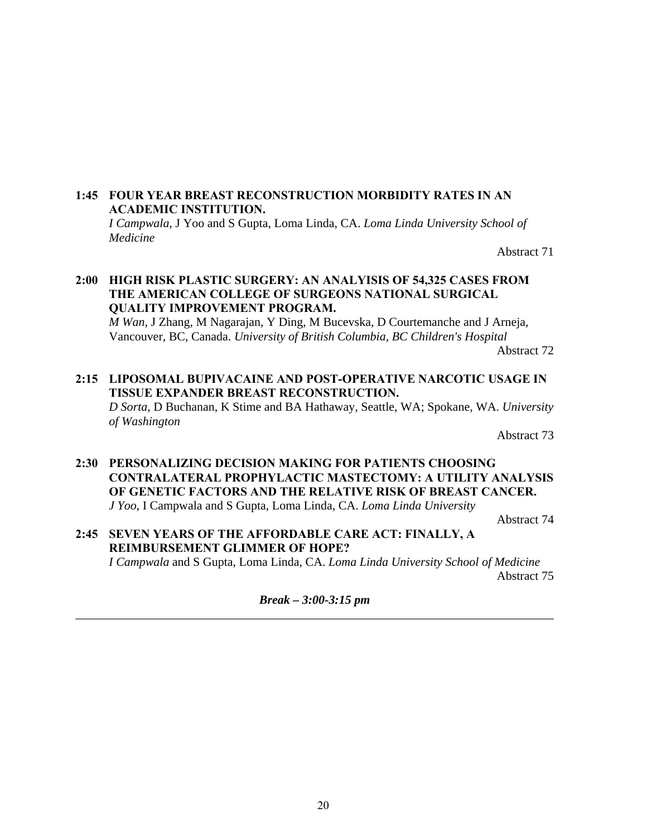#### **1:45 FOUR YEAR BREAST RECONSTRUCTION MORBIDITY RATES IN AN ACADEMIC INSTITUTION.**

*I Campwala*, J Yoo and S Gupta, Loma Linda, CA. *Loma Linda University School of Medicine* 

Abstract 71

#### **2:00 HIGH RISK PLASTIC SURGERY: AN ANALYISIS OF 54,325 CASES FROM THE AMERICAN COLLEGE OF SURGEONS NATIONAL SURGICAL QUALITY IMPROVEMENT PROGRAM.**

*M Wan*, J Zhang, M Nagarajan, Y Ding, M Bucevska, D Courtemanche and J Arneja, Vancouver, BC, Canada. *University of British Columbia, BC Children's Hospital*

Abstract 72

# **2:15 LIPOSOMAL BUPIVACAINE AND POST-OPERATIVE NARCOTIC USAGE IN TISSUE EXPANDER BREAST RECONSTRUCTION.**

*D Sorta*, D Buchanan, K Stime and BA Hathaway, Seattle, WA; Spokane, WA. *University of Washington*

Abstract 73

#### **2:30 PERSONALIZING DECISION MAKING FOR PATIENTS CHOOSING CONTRALATERAL PROPHYLACTIC MASTECTOMY: A UTILITY ANALYSIS OF GENETIC FACTORS AND THE RELATIVE RISK OF BREAST CANCER.** *J Yoo*, I Campwala and S Gupta, Loma Linda, CA. *Loma Linda University*

Abstract 74

**2:45 SEVEN YEARS OF THE AFFORDABLE CARE ACT: FINALLY, A REIMBURSEMENT GLIMMER OF HOPE?**

*I Campwala* and S Gupta, Loma Linda, CA. *Loma Linda University School of Medicine* Abstract 75

*Break – 3:00-3:15 pm*  \_\_\_\_\_\_\_\_\_\_\_\_\_\_\_\_\_\_\_\_\_\_\_\_\_\_\_\_\_\_\_\_\_\_\_\_\_\_\_\_\_\_\_\_\_\_\_\_\_\_\_\_\_\_\_\_\_\_\_\_\_\_\_\_\_\_\_\_\_\_\_\_\_\_\_\_\_\_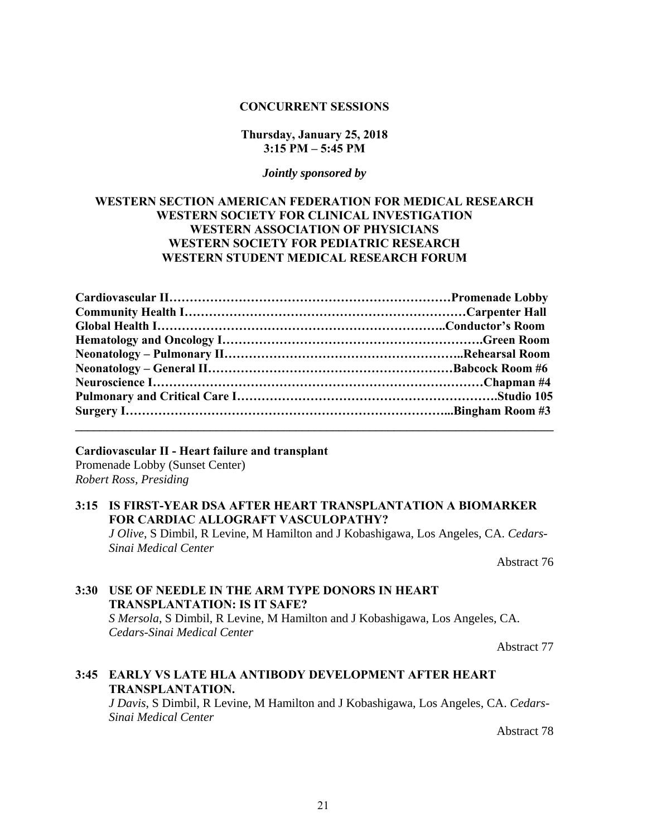#### **CONCURRENT SESSIONS**

#### **Thursday, January 25, 2018 3:15 PM – 5:45 PM**

#### *Jointly sponsored by*

#### **WESTERN SECTION AMERICAN FEDERATION FOR MEDICAL RESEARCH WESTERN SOCIETY FOR CLINICAL INVESTIGATION WESTERN ASSOCIATION OF PHYSICIANS WESTERN SOCIETY FOR PEDIATRIC RESEARCH WESTERN STUDENT MEDICAL RESEARCH FORUM**

#### **Cardiovascular II - Heart failure and transplant**

Promenade Lobby (Sunset Center) *Robert Ross, Presiding*

#### **3:15 IS FIRST-YEAR DSA AFTER HEART TRANSPLANTATION A BIOMARKER FOR CARDIAC ALLOGRAFT VASCULOPATHY?**

*J Olive*, S Dimbil, R Levine, M Hamilton and J Kobashigawa, Los Angeles, CA. *Cedars-Sinai Medical Center*

Abstract 76

# **3:30 USE OF NEEDLE IN THE ARM TYPE DONORS IN HEART TRANSPLANTATION: IS IT SAFE?**

*S Mersola*, S Dimbil, R Levine, M Hamilton and J Kobashigawa, Los Angeles, CA. *Cedars-Sinai Medical Center*

Abstract 77

# **3:45 EARLY VS LATE HLA ANTIBODY DEVELOPMENT AFTER HEART TRANSPLANTATION.**

*J Davis*, S Dimbil, R Levine, M Hamilton and J Kobashigawa, Los Angeles, CA. *Cedars-Sinai Medical Center*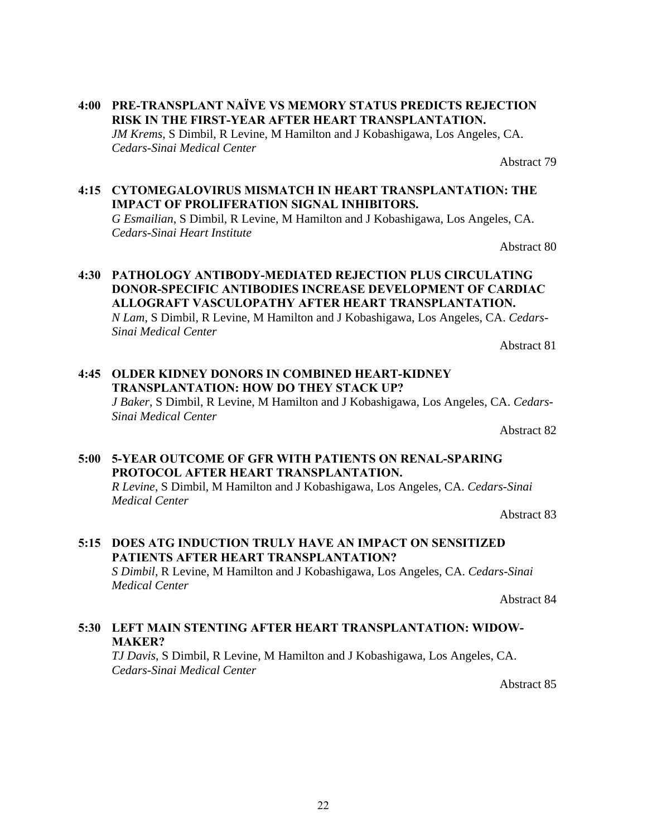- **4:00 PRE-TRANSPLANT NAÏVE VS MEMORY STATUS PREDICTS REJECTION RISK IN THE FIRST-YEAR AFTER HEART TRANSPLANTATION.** *JM Krems*, S Dimbil, R Levine, M Hamilton and J Kobashigawa, Los Angeles, CA. *Cedars-Sinai Medical Center*
- **4:15 CYTOMEGALOVIRUS MISMATCH IN HEART TRANSPLANTATION: THE IMPACT OF PROLIFERATION SIGNAL INHIBITORS.** *G Esmailian*, S Dimbil, R Levine, M Hamilton and J Kobashigawa, Los Angeles, CA. *Cedars-Sinai Heart Institute* Abstract 80

**4:30 PATHOLOGY ANTIBODY-MEDIATED REJECTION PLUS CIRCULATING DONOR-SPECIFIC ANTIBODIES INCREASE DEVELOPMENT OF CARDIAC ALLOGRAFT VASCULOPATHY AFTER HEART TRANSPLANTATION.** *N Lam*, S Dimbil, R Levine, M Hamilton and J Kobashigawa, Los Angeles, CA. *Cedars-Sinai Medical Center*

**4:45 OLDER KIDNEY DONORS IN COMBINED HEART-KIDNEY TRANSPLANTATION: HOW DO THEY STACK UP?** *J Baker*, S Dimbil, R Levine, M Hamilton and J Kobashigawa, Los Angeles, CA. *Cedars-Sinai Medical Center*

Abstract 82

#### **5:00 5-YEAR OUTCOME OF GFR WITH PATIENTS ON RENAL-SPARING PROTOCOL AFTER HEART TRANSPLANTATION.**

*R Levine*, S Dimbil, M Hamilton and J Kobashigawa, Los Angeles, CA. *Cedars-Sinai Medical Center*

Abstract 83

## **5:15 DOES ATG INDUCTION TRULY HAVE AN IMPACT ON SENSITIZED PATIENTS AFTER HEART TRANSPLANTATION?** *S Dimbil*, R Levine, M Hamilton and J Kobashigawa, Los Angeles, CA. *Cedars-Sinai*

*Medical Center*

Abstract 84

# **5:30 LEFT MAIN STENTING AFTER HEART TRANSPLANTATION: WIDOW-MAKER?**

*TJ Davis*, S Dimbil, R Levine, M Hamilton and J Kobashigawa, Los Angeles, CA. *Cedars-Sinai Medical Center*

Abstract 85

Abstract 81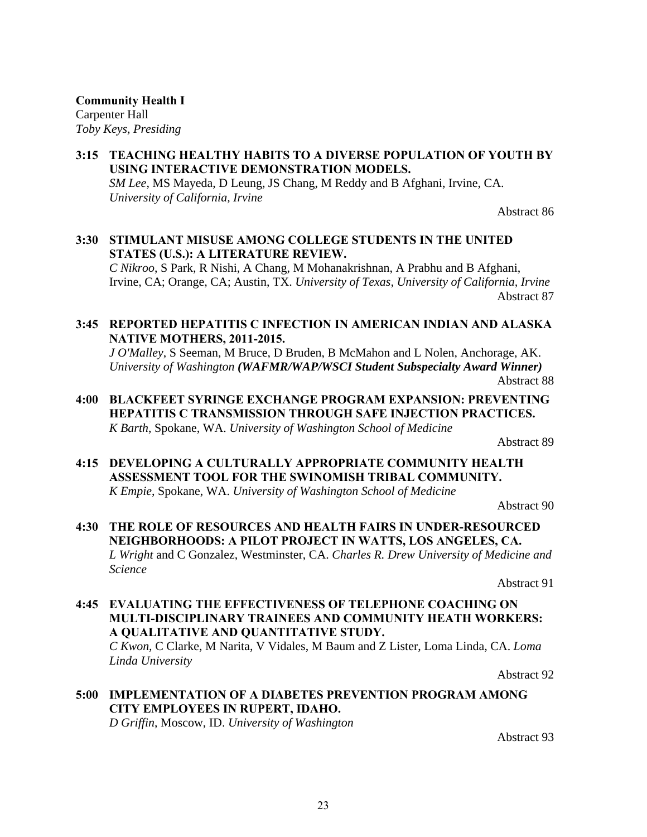**Community Health I** Carpenter Hall *Toby Keys, Presiding*

#### **3:15 TEACHING HEALTHY HABITS TO A DIVERSE POPULATION OF YOUTH BY USING INTERACTIVE DEMONSTRATION MODELS.** *SM Lee*, MS Mayeda, D Leung, JS Chang, M Reddy and B Afghani, Irvine, CA.

*University of California, Irvine*

Abstract 86

# **3:30 STIMULANT MISUSE AMONG COLLEGE STUDENTS IN THE UNITED STATES (U.S.): A LITERATURE REVIEW.**

*C Nikroo*, S Park, R Nishi, A Chang, M Mohanakrishnan, A Prabhu and B Afghani, Irvine, CA; Orange, CA; Austin, TX. *University of Texas, University of California, Irvine* Abstract 87

#### **3:45 REPORTED HEPATITIS C INFECTION IN AMERICAN INDIAN AND ALASKA NATIVE MOTHERS, 2011-2015.**

*J O'Malley*, S Seeman, M Bruce, D Bruden, B McMahon and L Nolen, Anchorage, AK. *University of Washington (WAFMR/WAP/WSCI Student Subspecialty Award Winner)* Abstract 88

**4:00 BLACKFEET SYRINGE EXCHANGE PROGRAM EXPANSION: PREVENTING HEPATITIS C TRANSMISSION THROUGH SAFE INJECTION PRACTICES.** *K Barth*, Spokane, WA. *University of Washington School of Medicine*

Abstract 89

**4:15 DEVELOPING A CULTURALLY APPROPRIATE COMMUNITY HEALTH ASSESSMENT TOOL FOR THE SWINOMISH TRIBAL COMMUNITY.** *K Empie*, Spokane, WA. *University of Washington School of Medicine*

Abstract 90

### **4:30 THE ROLE OF RESOURCES AND HEALTH FAIRS IN UNDER-RESOURCED NEIGHBORHOODS: A PILOT PROJECT IN WATTS, LOS ANGELES, CA.** *L Wright* and C Gonzalez, Westminster, CA. *Charles R. Drew University of Medicine and Science*

Abstract 91

**4:45 EVALUATING THE EFFECTIVENESS OF TELEPHONE COACHING ON MULTI-DISCIPLINARY TRAINEES AND COMMUNITY HEATH WORKERS: A QUALITATIVE AND QUANTITATIVE STUDY.** *C Kwon,* C Clarke, M Narita, V Vidales, M Baum and Z Lister, Loma Linda, CA. *Loma Linda University* 

Abstract 92

**5:00 IMPLEMENTATION OF A DIABETES PREVENTION PROGRAM AMONG CITY EMPLOYEES IN RUPERT, IDAHO.** *D Griffin*, Moscow, ID. *University of Washington*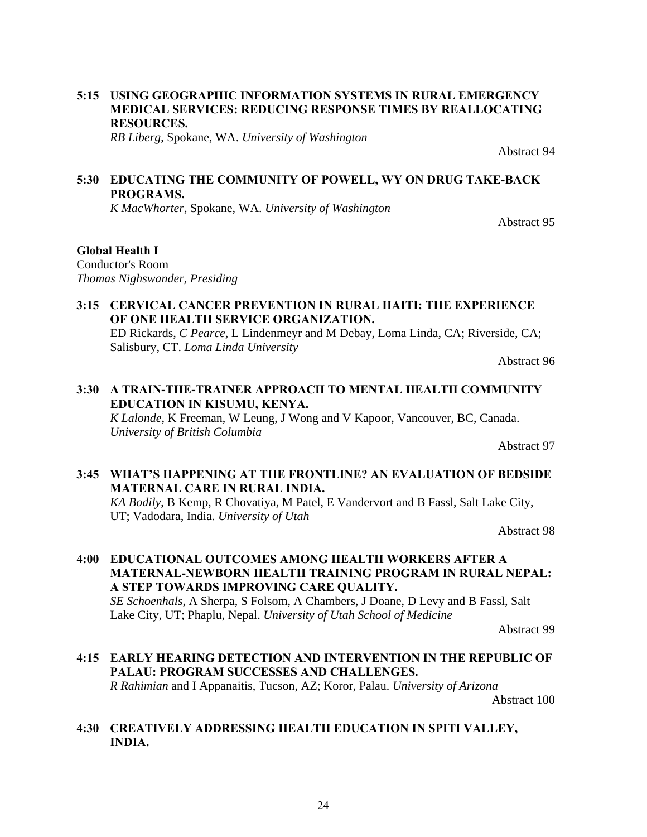### **5:15 USING GEOGRAPHIC INFORMATION SYSTEMS IN RURAL EMERGENCY MEDICAL SERVICES: REDUCING RESPONSE TIMES BY REALLOCATING RESOURCES.**

*RB Liberg*, Spokane, WA. *University of Washington*

**5:30 EDUCATING THE COMMUNITY OF POWELL, WY ON DRUG TAKE-BACK PROGRAMS.**

*K MacWhorter*, Spokane, WA. *University of Washington*

Abstract 95

#### **Global Health I**

Conductor's Room *Thomas Nighswander, Presiding*

# **3:15 CERVICAL CANCER PREVENTION IN RURAL HAITI: THE EXPERIENCE OF ONE HEALTH SERVICE ORGANIZATION.**

ED Rickards, *C Pearce*, L Lindenmeyr and M Debay, Loma Linda, CA; Riverside, CA; Salisbury, CT. *Loma Linda University*

Abstract 96

## **3:30 A TRAIN-THE-TRAINER APPROACH TO MENTAL HEALTH COMMUNITY EDUCATION IN KISUMU, KENYA.**

*K Lalonde*, K Freeman, W Leung, J Wong and V Kapoor, Vancouver, BC, Canada. *University of British Columbia*

Abstract 97

### **3:45 WHAT'S HAPPENING AT THE FRONTLINE? AN EVALUATION OF BEDSIDE MATERNAL CARE IN RURAL INDIA.**

*KA Bodily*, B Kemp, R Chovatiya, M Patel, E Vandervort and B Fassl, Salt Lake City, UT; Vadodara, India. *University of Utah*

Abstract 98

# **4:00 EDUCATIONAL OUTCOMES AMONG HEALTH WORKERS AFTER A MATERNAL-NEWBORN HEALTH TRAINING PROGRAM IN RURAL NEPAL: A STEP TOWARDS IMPROVING CARE QUALITY.**

*SE Schoenhals*, A Sherpa, S Folsom, A Chambers, J Doane, D Levy and B Fassl, Salt Lake City, UT; Phaplu, Nepal. *University of Utah School of Medicine*

Abstract 99

#### **4:15 EARLY HEARING DETECTION AND INTERVENTION IN THE REPUBLIC OF PALAU: PROGRAM SUCCESSES AND CHALLENGES.** *R Rahimian* and I Appanaitis, Tucson, AZ; Koror, Palau. *University of Arizona*

Abstract 100

#### **4:30 CREATIVELY ADDRESSING HEALTH EDUCATION IN SPITI VALLEY, INDIA.**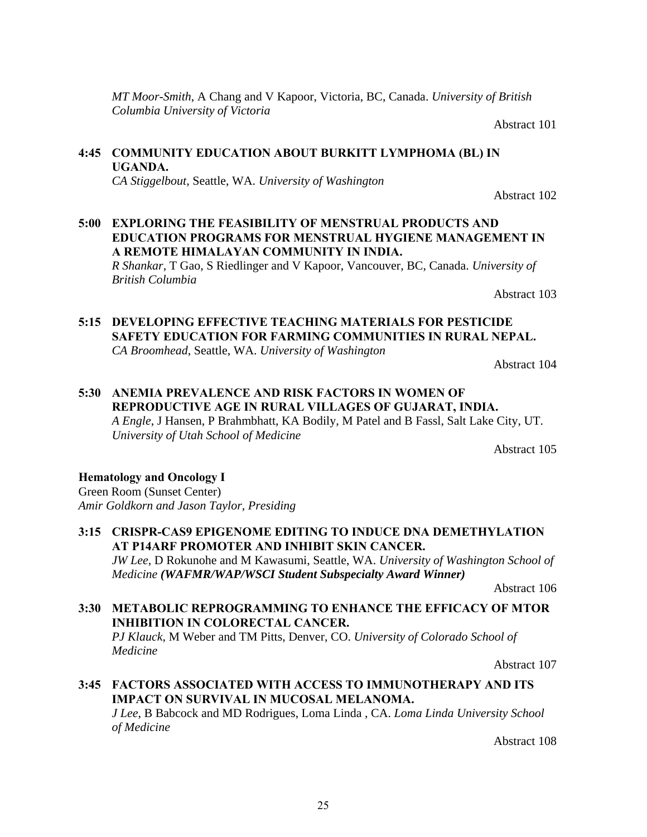*MT Moor-Smith*, A Chang and V Kapoor, Victoria, BC, Canada. *University of British Columbia University of Victoria*

Abstract 101

Abstract 102

# **4:45 COMMUNITY EDUCATION ABOUT BURKITT LYMPHOMA (BL) IN UGANDA.**

*CA Stiggelbout*, Seattle, WA. *University of Washington*

**5:00 EXPLORING THE FEASIBILITY OF MENSTRUAL PRODUCTS AND EDUCATION PROGRAMS FOR MENSTRUAL HYGIENE MANAGEMENT IN A REMOTE HIMALAYAN COMMUNITY IN INDIA.** *R Shankar*, T Gao, S Riedlinger and V Kapoor, Vancouver, BC, Canada. *University of* 

*British Columbia* Abstract 103

### **5:15 DEVELOPING EFFECTIVE TEACHING MATERIALS FOR PESTICIDE SAFETY EDUCATION FOR FARMING COMMUNITIES IN RURAL NEPAL.** *CA Broomhead*, Seattle, WA. *University of Washington*

Abstract 104

# **5:30 ANEMIA PREVALENCE AND RISK FACTORS IN WOMEN OF REPRODUCTIVE AGE IN RURAL VILLAGES OF GUJARAT, INDIA.** *A Engle*, J Hansen, P Brahmbhatt, KA Bodily, M Patel and B Fassl, Salt Lake City, UT. *University of Utah School of Medicine*

Abstract 105

#### **Hematology and Oncology I**

Green Room (Sunset Center) *Amir Goldkorn and Jason Taylor, Presiding*

**3:15 CRISPR-CAS9 EPIGENOME EDITING TO INDUCE DNA DEMETHYLATION AT P14ARF PROMOTER AND INHIBIT SKIN CANCER.** *JW Lee*, D Rokunohe and M Kawasumi, Seattle, WA. *University of Washington School of Medicine (WAFMR/WAP/WSCI Student Subspecialty Award Winner)*

Abstract 106

#### **3:30 METABOLIC REPROGRAMMING TO ENHANCE THE EFFICACY OF MTOR INHIBITION IN COLORECTAL CANCER.**

*PJ Klauck*, M Weber and TM Pitts, Denver, CO. *University of Colorado School of Medicine*

Abstract 107

**3:45 FACTORS ASSOCIATED WITH ACCESS TO IMMUNOTHERAPY AND ITS IMPACT ON SURVIVAL IN MUCOSAL MELANOMA.**

*J Lee*, B Babcock and MD Rodrigues, Loma Linda , CA. *Loma Linda University School of Medicine*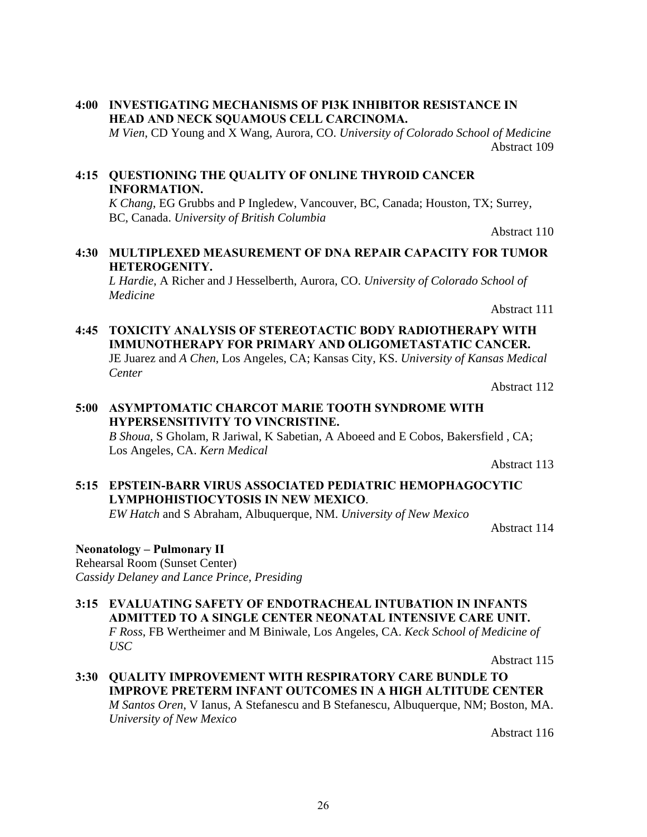**4:00 INVESTIGATING MECHANISMS OF PI3K INHIBITOR RESISTANCE IN HEAD AND NECK SQUAMOUS CELL CARCINOMA.** *M Vien*, CD Young and X Wang, Aurora, CO. *University of Colorado School of Medicine*

**4:15 QUESTIONING THE QUALITY OF ONLINE THYROID CANCER INFORMATION.**

*K Chang*, EG Grubbs and P Ingledew, Vancouver, BC, Canada; Houston, TX; Surrey, BC, Canada. *University of British Columbia*

Abstract 110

Abstract 109

### **4:30 MULTIPLEXED MEASUREMENT OF DNA REPAIR CAPACITY FOR TUMOR HETEROGENITY.**

*L Hardie*, A Richer and J Hesselberth, Aurora, CO. *University of Colorado School of Medicine* 

Abstract 111

#### **4:45 TOXICITY ANALYSIS OF STEREOTACTIC BODY RADIOTHERAPY WITH IMMUNOTHERAPY FOR PRIMARY AND OLIGOMETASTATIC CANCER.** JE Juarez and *A Chen*, Los Angeles, CA; Kansas City, KS. *University of Kansas Medical Center*

Abstract 112

# **5:00 ASYMPTOMATIC CHARCOT MARIE TOOTH SYNDROME WITH HYPERSENSITIVITY TO VINCRISTINE.**

*B Shoua*, S Gholam, R Jariwal, K Sabetian, A Aboeed and E Cobos, Bakersfield , CA; Los Angeles, CA. *Kern Medical* 

Abstract 113

# **5:15 EPSTEIN-BARR VIRUS ASSOCIATED PEDIATRIC HEMOPHAGOCYTIC LYMPHOHISTIOCYTOSIS IN NEW MEXICO**.

*EW Hatch* and S Abraham, Albuquerque, NM. *University of New Mexico*

Abstract 114

#### **Neonatology – Pulmonary II**

Rehearsal Room (Sunset Center) *Cassidy Delaney and Lance Prince, Presiding*

**3:15 EVALUATING SAFETY OF ENDOTRACHEAL INTUBATION IN INFANTS ADMITTED TO A SINGLE CENTER NEONATAL INTENSIVE CARE UNIT.** *F Ross*, FB Wertheimer and M Biniwale, Los Angeles, CA. *Keck School of Medicine of USC*

Abstract 115

**3:30 QUALITY IMPROVEMENT WITH RESPIRATORY CARE BUNDLE TO IMPROVE PRETERM INFANT OUTCOMES IN A HIGH ALTITUDE CENTER** *M Santos Oren*, V Ianus, A Stefanescu and B Stefanescu, Albuquerque, NM; Boston, MA. *University of New Mexico*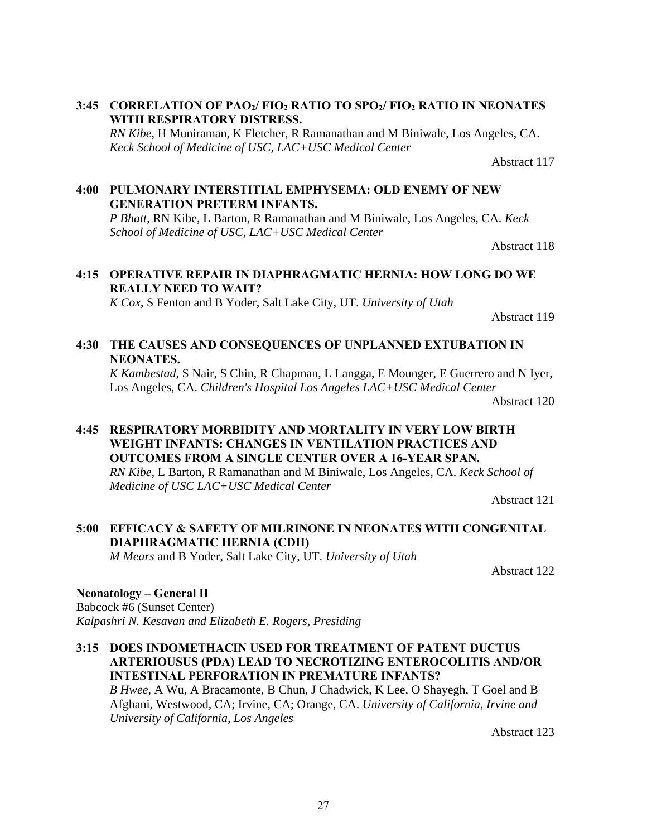#### 3:45 **CORRELATION OF PAO<sub>2</sub>/ FIO<sub>2</sub> RATIO TO SPO<sub>2</sub>/ FIO<sub>2</sub> RATIO IN NEONATES WITH RESPIRATORY DISTRESS.**

*RN Kibe*, H Muniraman, K Fletcher, R Ramanathan and M Biniwale, Los Angeles, CA. *Keck School of Medicine of USC, LAC+USC Medical Center*

Abstract 117

#### **4:00 PULMONARY INTERSTITIAL EMPHYSEMA: OLD ENEMY OF NEW GENERATION PRETERM INFANTS.**

*P Bhatt*, RN Kibe, L Barton, R Ramanathan and M Biniwale, Los Angeles, CA. *Keck School of Medicine of USC, LAC+USC Medical Center*

Abstract 118

#### **4:15 OPERATIVE REPAIR IN DIAPHRAGMATIC HERNIA: HOW LONG DO WE REALLY NEED TO WAIT?**

*K Cox*, S Fenton and B Yoder, Salt Lake City, UT. *University of Utah*

Abstract 119

#### **4:30 THE CAUSES AND CONSEQUENCES OF UNPLANNED EXTUBATION IN NEONATES.**

*K Kambestad*, S Nair, S Chin, R Chapman, L Langga, E Mounger, E Guerrero and N Iyer, Los Angeles, CA. *Children's Hospital Los Angeles LAC+USC Medical Center*

Abstract 120

#### **4:45 RESPIRATORY MORBIDITY AND MORTALITY IN VERY LOW BIRTH WEIGHT INFANTS: CHANGES IN VENTILATION PRACTICES AND OUTCOMES FROM A SINGLE CENTER OVER A 16-YEAR SPAN.** *RN Kibe*, L Barton, R Ramanathan and M Biniwale, Los Angeles, CA. *Keck School of Medicine of USC LAC+USC Medical Center*

Abstract 121

# **5:00 EFFICACY & SAFETY OF MILRINONE IN NEONATES WITH CONGENITAL DIAPHRAGMATIC HERNIA (CDH)**

*M Mears* and B Yoder, Salt Lake City, UT. *University of Utah*

Abstract 122

# **Neonatology – General II**

Babcock #6 (Sunset Center) *Kalpashri N. Kesavan and Elizabeth E. Rogers, Presiding*

**3:15 DOES INDOMETHACIN USED FOR TREATMENT OF PATENT DUCTUS ARTERIOUSUS (PDA) LEAD TO NECROTIZING ENTEROCOLITIS AND/OR INTESTINAL PERFORATION IN PREMATURE INFANTS?**

*B Hwee*, A Wu, A Bracamonte, B Chun, J Chadwick, K Lee, O Shayegh, T Goel and B Afghani, Westwood, CA; Irvine, CA; Orange, CA. *University of California, Irvine and University of California, Los Angeles*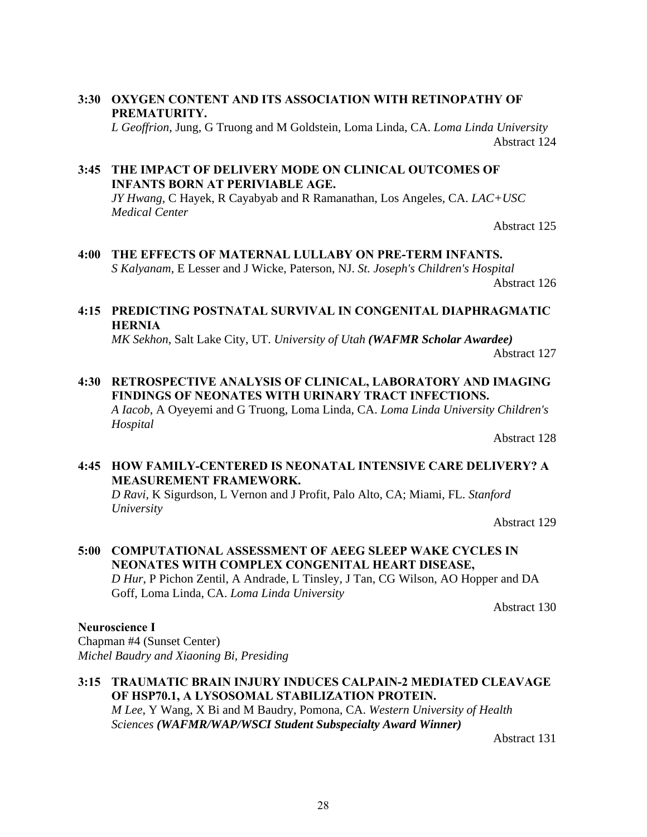### **3:30 OXYGEN CONTENT AND ITS ASSOCIATION WITH RETINOPATHY OF PREMATURITY.**

*L Geoffrion*, Jung, G Truong and M Goldstein, Loma Linda, CA. *Loma Linda University* Abstract 124

# **3:45 THE IMPACT OF DELIVERY MODE ON CLINICAL OUTCOMES OF INFANTS BORN AT PERIVIABLE AGE.**

*JY Hwang*, C Hayek, R Cayabyab and R Ramanathan, Los Angeles, CA. *LAC+USC Medical Center*

Abstract 125

# **4:00 THE EFFECTS OF MATERNAL LULLABY ON PRE-TERM INFANTS.** *S Kalyanam*, E Lesser and J Wicke, Paterson, NJ. *St. Joseph's Children's Hospital*

Abstract 126

#### **4:15 PREDICTING POSTNATAL SURVIVAL IN CONGENITAL DIAPHRAGMATIC HERNIA**

*MK Sekhon*, Salt Lake City, UT. *University of Utah (WAFMR Scholar Awardee)*

Abstract 127

# **4:30 RETROSPECTIVE ANALYSIS OF CLINICAL, LABORATORY AND IMAGING FINDINGS OF NEONATES WITH URINARY TRACT INFECTIONS.**

*A Iacob*, A Oyeyemi and G Truong, Loma Linda, CA. *Loma Linda University Children's Hospital*

Abstract 128

### **4:45 HOW FAMILY-CENTERED IS NEONATAL INTENSIVE CARE DELIVERY? A MEASUREMENT FRAMEWORK.**

*D Ravi*, K Sigurdson, L Vernon and J Profit, Palo Alto, CA; Miami, FL. *Stanford University*

Abstract 129

#### **5:00 COMPUTATIONAL ASSESSMENT OF AEEG SLEEP WAKE CYCLES IN NEONATES WITH COMPLEX CONGENITAL HEART DISEASE,** *D Hur*, P Pichon Zentil, A Andrade, L Tinsley, J Tan, CG Wilson, AO Hopper and DA Goff, Loma Linda, CA. *Loma Linda University*

Abstract 130

#### **Neuroscience I**

Chapman #4 (Sunset Center) *Michel Baudry and Xiaoning Bi, Presiding*

#### **3:15 TRAUMATIC BRAIN INJURY INDUCES CALPAIN-2 MEDIATED CLEAVAGE OF HSP70.1, A LYSOSOMAL STABILIZATION PROTEIN.** *M Lee*, Y Wang, X Bi and M Baudry, Pomona, CA. *Western University of Health Sciences (WAFMR/WAP/WSCI Student Subspecialty Award Winner)*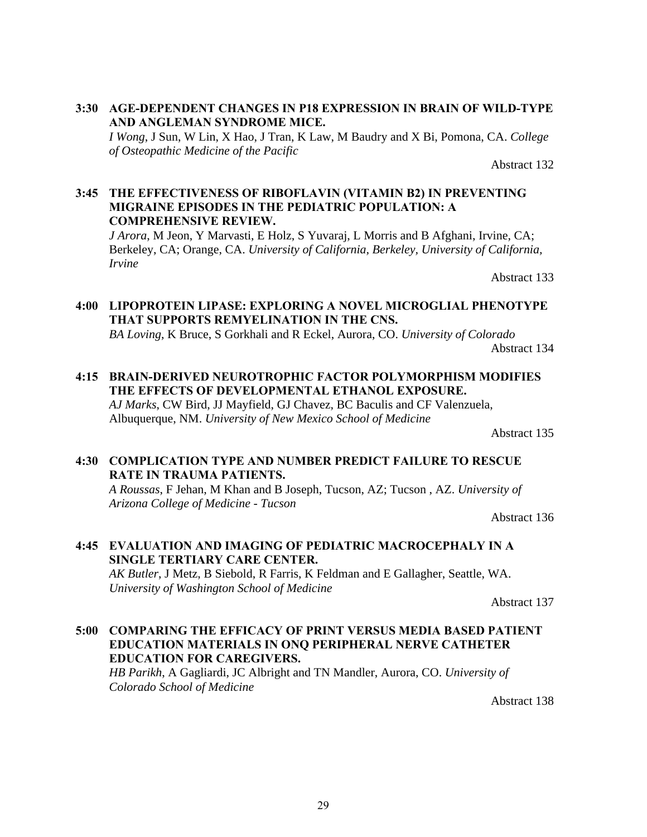#### **3:30 AGE-DEPENDENT CHANGES IN P18 EXPRESSION IN BRAIN OF WILD-TYPE AND ANGLEMAN SYNDROME MICE.**

*I Wong*, J Sun, W Lin, X Hao, J Tran, K Law, M Baudry and X Bi, Pomona, CA. *College of Osteopathic Medicine of the Pacific*

Abstract 132

#### **3:45 THE EFFECTIVENESS OF RIBOFLAVIN (VITAMIN B2) IN PREVENTING MIGRAINE EPISODES IN THE PEDIATRIC POPULATION: A COMPREHENSIVE REVIEW.**

*J Arora*, M Jeon, Y Marvasti, E Holz, S Yuvaraj, L Morris and B Afghani, Irvine, CA; Berkeley, CA; Orange, CA. *University of California, Berkeley, University of California, Irvine*

Abstract 133

# **4:00 LIPOPROTEIN LIPASE: EXPLORING A NOVEL MICROGLIAL PHENOTYPE THAT SUPPORTS REMYELINATION IN THE CNS.**

*BA Loving*, K Bruce, S Gorkhali and R Eckel, Aurora, CO. *University of Colorado* Abstract 134

**4:15 BRAIN-DERIVED NEUROTROPHIC FACTOR POLYMORPHISM MODIFIES THE EFFECTS OF DEVELOPMENTAL ETHANOL EXPOSURE.**

*AJ Marks*, CW Bird, JJ Mayfield, GJ Chavez, BC Baculis and CF Valenzuela, Albuquerque, NM. *University of New Mexico School of Medicine*

Abstract 135

# **4:30 COMPLICATION TYPE AND NUMBER PREDICT FAILURE TO RESCUE RATE IN TRAUMA PATIENTS.**

*A Roussas*, F Jehan, M Khan and B Joseph, Tucson, AZ; Tucson , AZ. *University of Arizona College of Medicine - Tucson*

Abstract 136

# **4:45 EVALUATION AND IMAGING OF PEDIATRIC MACROCEPHALY IN A SINGLE TERTIARY CARE CENTER.**

*AK Butler*, J Metz, B Siebold, R Farris, K Feldman and E Gallagher, Seattle, WA. *University of Washington School of Medicine*

Abstract 137

#### **5:00 COMPARING THE EFFICACY OF PRINT VERSUS MEDIA BASED PATIENT EDUCATION MATERIALS IN ONQ PERIPHERAL NERVE CATHETER EDUCATION FOR CAREGIVERS.**

*HB Parikh*, A Gagliardi, JC Albright and TN Mandler, Aurora, CO. *University of Colorado School of Medicine*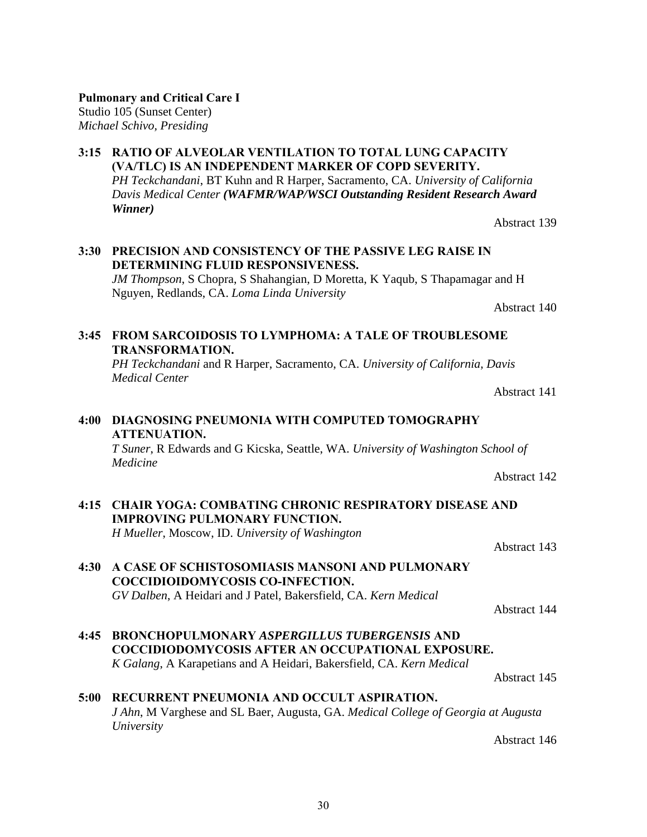#### **Pulmonary and Critical Care I** Studio 105 (Sunset Center)

*Michael Schivo, Presiding*

#### **3:15 RATIO OF ALVEOLAR VENTILATION TO TOTAL LUNG CAPACITY (VA/TLC) IS AN INDEPENDENT MARKER OF COPD SEVERITY.** *PH Teckchandani*, BT Kuhn and R Harper, Sacramento, CA. *University of California Davis Medical Center (WAFMR/WAP/WSCI Outstanding Resident Research Award Winner)*

# **3:30 PRECISION AND CONSISTENCY OF THE PASSIVE LEG RAISE IN DETERMINING FLUID RESPONSIVENESS.**

*JM Thompson*, S Chopra, S Shahangian, D Moretta, K Yaqub, S Thapamagar and H Nguyen, Redlands, CA. *Loma Linda University*

Abstract 140

Abstract 139

# **3:45 FROM SARCOIDOSIS TO LYMPHOMA: A TALE OF TROUBLESOME TRANSFORMATION.**

*PH Teckchandani* and R Harper, Sacramento, CA. *University of California, Davis Medical Center*

Abstract 141

## **4:00 DIAGNOSING PNEUMONIA WITH COMPUTED TOMOGRAPHY ATTENUATION.** *T Suner*, R Edwards and G Kicska, Seattle, WA. *University of Washington School of*

*Medicine* Abstract 142

- **4:15 CHAIR YOGA: COMBATING CHRONIC RESPIRATORY DISEASE AND IMPROVING PULMONARY FUNCTION.** *H Mueller*, Moscow, ID. *University of Washington* Abstract 143
- **4:30 A CASE OF SCHISTOSOMIASIS MANSONI AND PULMONARY COCCIDIOIDOMYCOSIS CO-INFECTION.** *GV Dalben*, A Heidari and J Patel, Bakersfield, CA. *Kern Medical*

Abstract 144

**4:45 BRONCHOPULMONARY** *ASPERGILLUS TUBERGENSIS* **AND COCCIDIODOMYCOSIS AFTER AN OCCUPATIONAL EXPOSURE.** *K Galang*, A Karapetians and A Heidari, Bakersfield, CA. *Kern Medical*

Abstract 145

# **5:00 RECURRENT PNEUMONIA AND OCCULT ASPIRATION.** *J Ahn*, M Varghese and SL Baer, Augusta, GA. *Medical College of Georgia at Augusta University*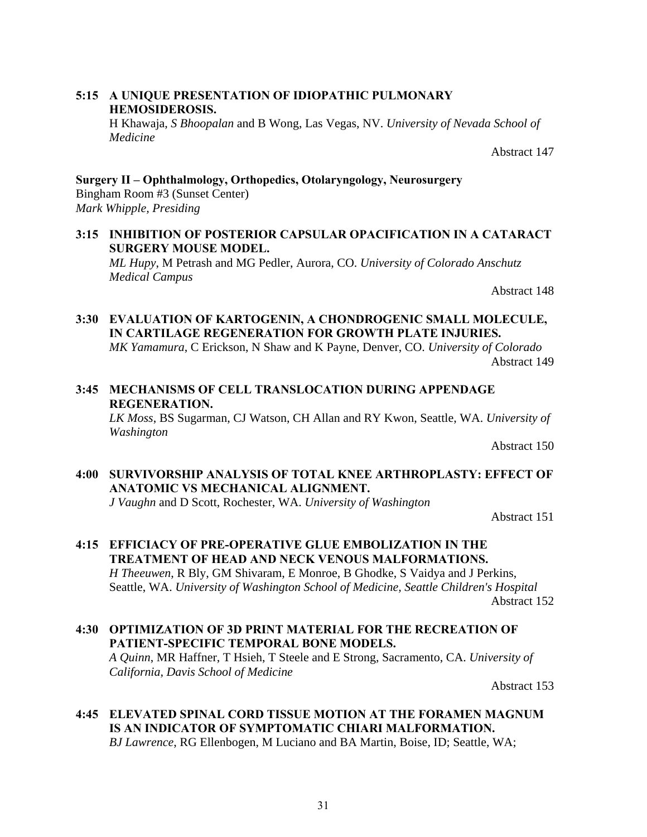#### **5:15 A UNIQUE PRESENTATION OF IDIOPATHIC PULMONARY HEMOSIDEROSIS.**

H Khawaja, *S Bhoopalan* and B Wong, Las Vegas, NV. *University of Nevada School of Medicine*

Abstract 147

#### **Surgery II – Ophthalmology, Orthopedics, Otolaryngology, Neurosurgery** Bingham Room #3 (Sunset Center) *Mark Whipple, Presiding*

#### **3:15 INHIBITION OF POSTERIOR CAPSULAR OPACIFICATION IN A CATARACT SURGERY MOUSE MODEL.**

*ML Hupy*, M Petrash and MG Pedler, Aurora, CO. *University of Colorado Anschutz Medical Campus*

Abstract 148

#### **3:30 EVALUATION OF KARTOGENIN, A CHONDROGENIC SMALL MOLECULE, IN CARTILAGE REGENERATION FOR GROWTH PLATE INJURIES.**

*MK Yamamura*, C Erickson, N Shaw and K Payne, Denver, CO. *University of Colorado* Abstract 149

# **3:45 MECHANISMS OF CELL TRANSLOCATION DURING APPENDAGE REGENERATION.**

*LK Moss*, BS Sugarman, CJ Watson, CH Allan and RY Kwon, Seattle, WA. *University of Washington*

Abstract 150

#### **4:00 SURVIVORSHIP ANALYSIS OF TOTAL KNEE ARTHROPLASTY: EFFECT OF ANATOMIC VS MECHANICAL ALIGNMENT.**

*J Vaughn* and D Scott, Rochester, WA. *University of Washington*

Abstract 151

# **4:15 EFFICIACY OF PRE-OPERATIVE GLUE EMBOLIZATION IN THE TREATMENT OF HEAD AND NECK VENOUS MALFORMATIONS.**

*H Theeuwen*, R Bly, GM Shivaram, E Monroe, B Ghodke, S Vaidya and J Perkins, Seattle, WA. *University of Washington School of Medicine, Seattle Children's Hospital* Abstract 152

# **4:30 OPTIMIZATION OF 3D PRINT MATERIAL FOR THE RECREATION OF PATIENT-SPECIFIC TEMPORAL BONE MODELS.**

*A Quinn*, MR Haffner, T Hsieh, T Steele and E Strong, Sacramento, CA. *University of California, Davis School of Medicine*

Abstract 153

# **4:45 ELEVATED SPINAL CORD TISSUE MOTION AT THE FORAMEN MAGNUM IS AN INDICATOR OF SYMPTOMATIC CHIARI MALFORMATION.**

*BJ Lawrence*, RG Ellenbogen, M Luciano and BA Martin, Boise, ID; Seattle, WA;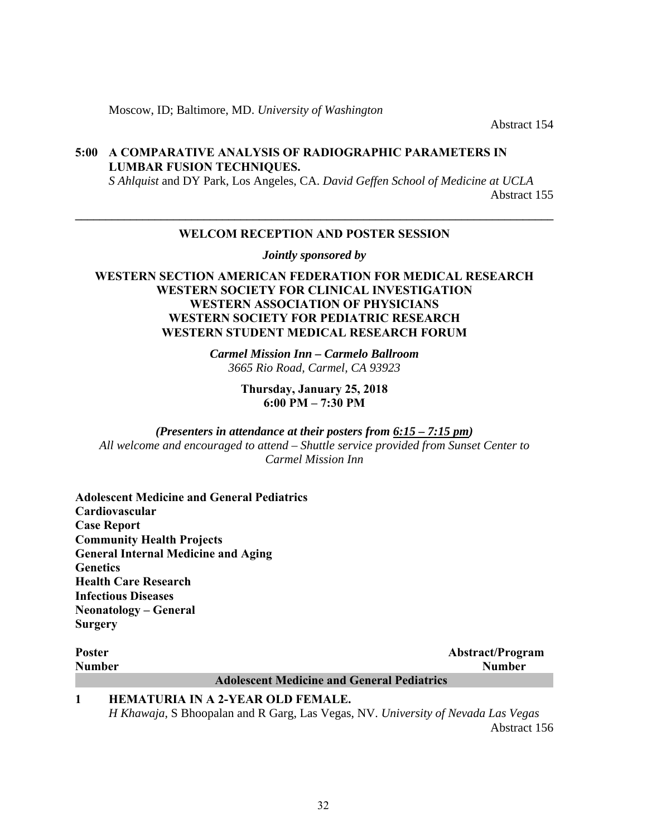Moscow, ID; Baltimore, MD. *University of Washington*

Abstract 154

#### **5:00 A COMPARATIVE ANALYSIS OF RADIOGRAPHIC PARAMETERS IN LUMBAR FUSION TECHNIQUES.**

*S Ahlquist* and DY Park, Los Angeles, CA. *David Geffen School of Medicine at UCLA* Abstract 155

# **\_\_\_\_\_\_\_\_\_\_\_\_\_\_\_\_\_\_\_\_\_\_\_\_\_\_\_\_\_\_\_\_\_\_\_\_\_\_\_\_\_\_\_\_\_\_\_\_\_\_\_\_\_\_\_\_\_\_\_\_\_\_\_\_\_\_\_\_\_\_\_\_\_\_\_\_\_\_ WELCOM RECEPTION AND POSTER SESSION**

*Jointly sponsored by* 

#### **WESTERN SECTION AMERICAN FEDERATION FOR MEDICAL RESEARCH WESTERN SOCIETY FOR CLINICAL INVESTIGATION WESTERN ASSOCIATION OF PHYSICIANS WESTERN SOCIETY FOR PEDIATRIC RESEARCH WESTERN STUDENT MEDICAL RESEARCH FORUM**

*Carmel Mission Inn – Carmelo Ballroom 3665 Rio Road, Carmel, CA 93923*

> **Thursday, January 25, 2018 6:00 PM – 7:30 PM**

*(Presenters in attendance at their posters from 6:15 – 7:15 pm) All welcome and encouraged to attend – Shuttle service provided from Sunset Center to Carmel Mission Inn* 

**Adolescent Medicine and General Pediatrics Cardiovascular Case Report Community Health Projects General Internal Medicine and Aging Genetics Health Care Research Infectious Diseases Neonatology – General Surgery** 

| <b>Poster</b> |                                                   | <b>Abstract/Program</b> |
|---------------|---------------------------------------------------|-------------------------|
| <b>Number</b> |                                                   | <b>Number</b>           |
|               | <b>Adolescent Medicine and General Pediatrics</b> |                         |
|               | <b>HEMATURIA IN A 2-YEAR OLD FEMALE.</b>          |                         |

*H Khawaja*, S Bhoopalan and R Garg, Las Vegas, NV. *University of Nevada Las Vegas* Abstract 156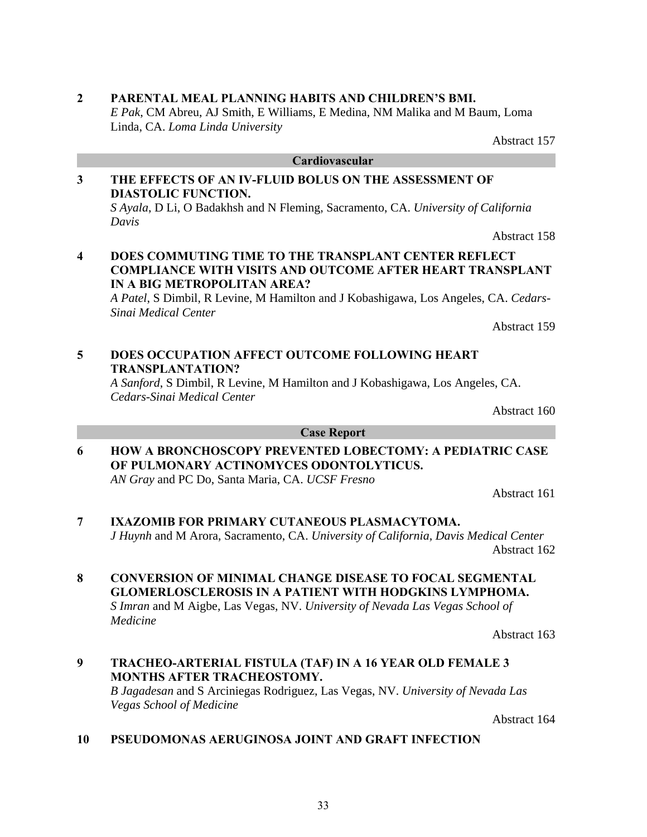# **2 PARENTAL MEAL PLANNING HABITS AND CHILDREN'S BMI.**

*E Pak*, CM Abreu, AJ Smith, E Williams, E Medina, NM Malika and M Baum, Loma Linda, CA. *Loma Linda University* 

# **3 THE EFFECTS OF AN IV-FLUID BOLUS ON THE ASSESSMENT OF DIASTOLIC FUNCTION.**

*S Ayala*, D Li, O Badakhsh and N Fleming, Sacramento, CA. *University of California Davis*

Abstract 158

Abstract 157

#### **4 DOES COMMUTING TIME TO THE TRANSPLANT CENTER REFLECT COMPLIANCE WITH VISITS AND OUTCOME AFTER HEART TRANSPLANT IN A BIG METROPOLITAN AREA?**

*A Patel*, S Dimbil, R Levine, M Hamilton and J Kobashigawa, Los Angeles, CA. *Cedars-Sinai Medical Center*

Abstract 159

# **5 DOES OCCUPATION AFFECT OUTCOME FOLLOWING HEART TRANSPLANTATION?**

*A Sanford*, S Dimbil, R Levine, M Hamilton and J Kobashigawa, Los Angeles, CA. *Cedars-Sinai Medical Center*

Abstract 160

#### **Case Report**

**6 HOW A BRONCHOSCOPY PREVENTED LOBECTOMY: A PEDIATRIC CASE OF PULMONARY ACTINOMYCES ODONTOLYTICUS.** *AN Gray* and PC Do, Santa Maria, CA. *UCSF Fresno*

Abstract 161

**7 IXAZOMIB FOR PRIMARY CUTANEOUS PLASMACYTOMA.** *J Huynh* and M Arora, Sacramento, CA. *University of California, Davis Medical Center* 

Abstract 162

# **8 CONVERSION OF MINIMAL CHANGE DISEASE TO FOCAL SEGMENTAL GLOMERLOSCLEROSIS IN A PATIENT WITH HODGKINS LYMPHOMA.**

*S Imran* and M Aigbe, Las Vegas, NV. *University of Nevada Las Vegas School of Medicine*

Abstract 163

#### **9 TRACHEO-ARTERIAL FISTULA (TAF) IN A 16 YEAR OLD FEMALE 3 MONTHS AFTER TRACHEOSTOMY.** *B Jagadesan* and S Arciniegas Rodriguez, Las Vegas, NV. *University of Nevada Las*

*Vegas School of Medicine*

Abstract 164

#### **10 PSEUDOMONAS AERUGINOSA JOINT AND GRAFT INFECTION**

**Cardiovascular**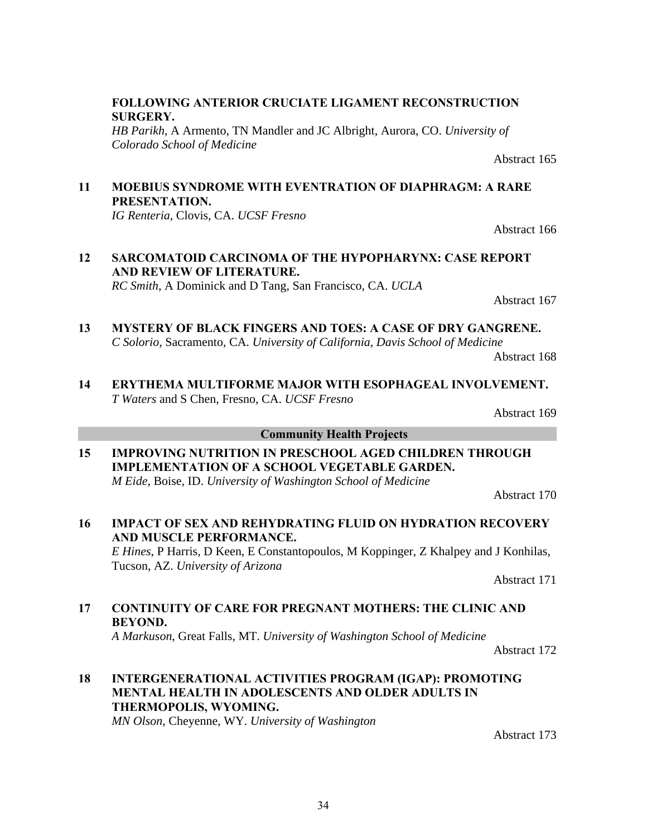#### **FOLLOWING ANTERIOR CRUCIATE LIGAMENT RECONSTRUCTION SURGERY.**

*HB Parikh*, A Armento, TN Mandler and JC Albright, Aurora, CO. *University of Colorado School of Medicine*

**11 MOEBIUS SYNDROME WITH EVENTRATION OF DIAPHRAGM: A RARE PRESENTATION.**

*IG Renteria*, Clovis, CA. *UCSF Fresno* 

# **12 SARCOMATOID CARCINOMA OF THE HYPOPHARYNX: CASE REPORT AND REVIEW OF LITERATURE.**

*RC Smith*, A Dominick and D Tang, San Francisco, CA. *UCLA*

Abstract 167

Abstract 165

Abstract 166

- **13 MYSTERY OF BLACK FINGERS AND TOES: A CASE OF DRY GANGRENE.** *C Solorio*, Sacramento, CA. *University of California, Davis School of Medicine* Abstract 168
- **14 ERYTHEMA MULTIFORME MAJOR WITH ESOPHAGEAL INVOLVEMENT.** *T Waters* and S Chen, Fresno, CA. *UCSF Fresno*

Abstract 169

#### **Community Health Projects**

**15 IMPROVING NUTRITION IN PRESCHOOL AGED CHILDREN THROUGH IMPLEMENTATION OF A SCHOOL VEGETABLE GARDEN.** *M Eide*, Boise, ID. *University of Washington School of Medicine*

Abstract 170

**16 IMPACT OF SEX AND REHYDRATING FLUID ON HYDRATION RECOVERY AND MUSCLE PERFORMANCE.**

*E Hines*, P Harris, D Keen, E Constantopoulos, M Koppinger, Z Khalpey and J Konhilas, Tucson, AZ. *University of Arizona* 

Abstract 171

#### **17 CONTINUITY OF CARE FOR PREGNANT MOTHERS: THE CLINIC AND BEYOND.**

*A Markuson*, Great Falls, MT. *University of Washington School of Medicine*

Abstract 172

# **18 INTERGENERATIONAL ACTIVITIES PROGRAM (IGAP): PROMOTING MENTAL HEALTH IN ADOLESCENTS AND OLDER ADULTS IN THERMOPOLIS, WYOMING.**

*MN Olson*, Cheyenne, WY. *University of Washington*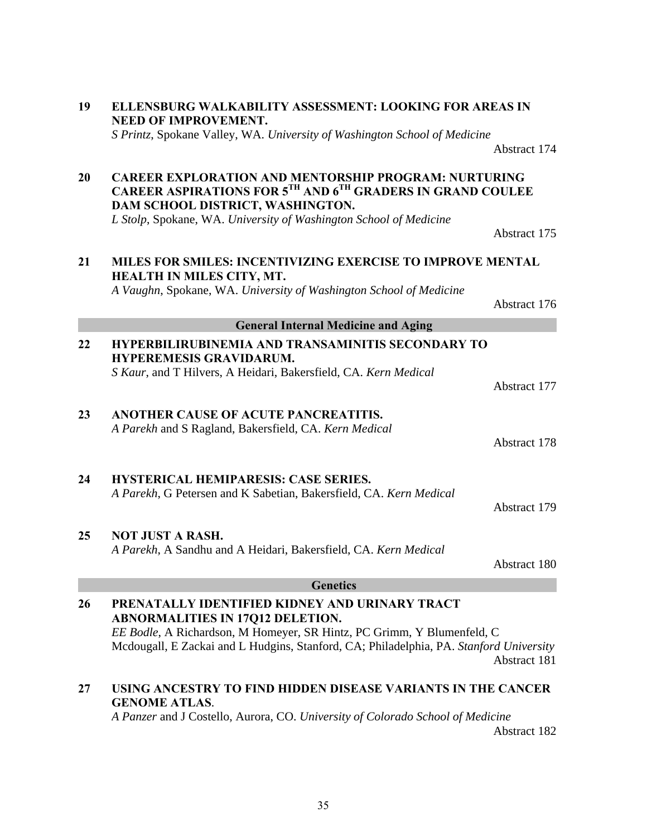|    | <b>NEED OF IMPROVEMENT.</b><br>S Printz, Spokane Valley, WA. University of Washington School of Medicine                                                                                                                                                      |              |
|----|---------------------------------------------------------------------------------------------------------------------------------------------------------------------------------------------------------------------------------------------------------------|--------------|
|    |                                                                                                                                                                                                                                                               | Abstract 174 |
| 20 | <b>CAREER EXPLORATION AND MENTORSHIP PROGRAM: NURTURING</b><br>CAREER ASPIRATIONS FOR 5TH AND 6TH GRADERS IN GRAND COULEE<br>DAM SCHOOL DISTRICT, WASHINGTON.                                                                                                 |              |
|    | L Stolp, Spokane, WA. University of Washington School of Medicine                                                                                                                                                                                             | Abstract 175 |
| 21 | MILES FOR SMILES: INCENTIVIZING EXERCISE TO IMPROVE MENTAL<br>HEALTH IN MILES CITY, MT.                                                                                                                                                                       |              |
|    | A Vaughn, Spokane, WA. University of Washington School of Medicine                                                                                                                                                                                            | Abstract 176 |
|    | <b>General Internal Medicine and Aging</b>                                                                                                                                                                                                                    |              |
| 22 | <b>HYPERBILIRUBINEMIA AND TRANSAMINITIS SECONDARY TO</b><br><b>HYPEREMESIS GRAVIDARUM.</b>                                                                                                                                                                    |              |
|    | S Kaur, and T Hilvers, A Heidari, Bakersfield, CA. Kern Medical                                                                                                                                                                                               | Abstract 177 |
| 23 | ANOTHER CAUSE OF ACUTE PANCREATITIS.<br>A Parekh and S Ragland, Bakersfield, CA. Kern Medical                                                                                                                                                                 | Abstract 178 |
| 24 | <b>HYSTERICAL HEMIPARESIS: CASE SERIES.</b><br>A Parekh, G Petersen and K Sabetian, Bakersfield, CA. Kern Medical                                                                                                                                             | Abstract 179 |
| 25 | <b>NOT JUST A RASH.</b><br>A Parekh, A Sandhu and A Heidari, Bakersfield, CA. Kern Medical                                                                                                                                                                    | Abstract 180 |
|    | <b>Genetics</b>                                                                                                                                                                                                                                               |              |
| 26 | PRENATALLY IDENTIFIED KIDNEY AND URINARY TRACT<br><b>ABNORMALITIES IN 17Q12 DELETION.</b><br>EE Bodle, A Richardson, M Homeyer, SR Hintz, PC Grimm, Y Blumenfeld, C<br>Mcdougall, E Zackai and L Hudgins, Stanford, CA; Philadelphia, PA. Stanford University | Abstract 181 |
| 27 | USING ANCESTRY TO FIND HIDDEN DISEASE VARIANTS IN THE CANCER<br><b>GENOME ATLAS.</b><br>A Parzer and I Costallo Aurora, CO University of Colorado Sehool of Medicine                                                                                          |              |

**19 ELLENSBURG WALKABILITY ASSESSMENT: LOOKING FOR AREAS IN** 

*A Panzer* and J Costello, Aurora, CO. *University of Colorado School of Medicine* Abstract 182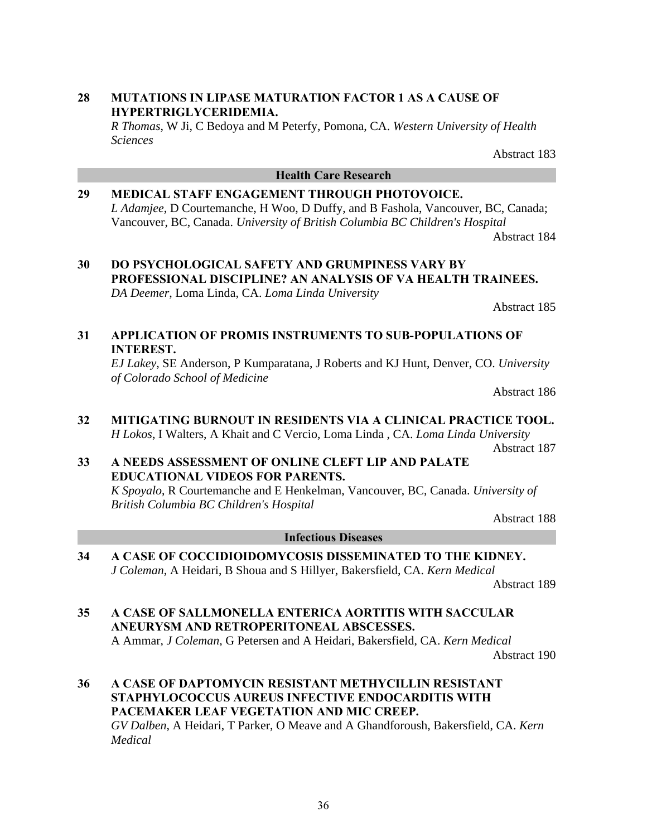# **28 MUTATIONS IN LIPASE MATURATION FACTOR 1 AS A CAUSE OF HYPERTRIGLYCERIDEMIA.**

*R Thomas*, W Ji, C Bedoya and M Peterfy, Pomona, CA. *Western University of Health Sciences*

Abstract 183

# **Health Care Research**

**29 MEDICAL STAFF ENGAGEMENT THROUGH PHOTOVOICE.** *L Adamjee*, D Courtemanche, H Woo, D Duffy, and B Fashola, Vancouver, BC, Canada; Vancouver, BC, Canada. *University of British Columbia BC Children's Hospital*

Abstract 184

**30 DO PSYCHOLOGICAL SAFETY AND GRUMPINESS VARY BY PROFESSIONAL DISCIPLINE? AN ANALYSIS OF VA HEALTH TRAINEES.** *DA Deemer*, Loma Linda, CA. *Loma Linda University*

Abstract 185

### **31 APPLICATION OF PROMIS INSTRUMENTS TO SUB-POPULATIONS OF INTEREST.**

*EJ Lakey*, SE Anderson, P Kumparatana, J Roberts and KJ Hunt, Denver, CO. *University of Colorado School of Medicine*

Abstract 186

**32 MITIGATING BURNOUT IN RESIDENTS VIA A CLINICAL PRACTICE TOOL.** *H Lokos*, I Walters, A Khait and C Vercio, Loma Linda , CA. *Loma Linda University* Abstract 187

#### **33 A NEEDS ASSESSMENT OF ONLINE CLEFT LIP AND PALATE EDUCATIONAL VIDEOS FOR PARENTS.**

*K Spoyalo*, R Courtemanche and E Henkelman, Vancouver, BC, Canada. *University of British Columbia BC Children's Hospital*

Abstract 188

#### **Infectious Diseases**

**34 A CASE OF COCCIDIOIDOMYCOSIS DISSEMINATED TO THE KIDNEY.** *J Coleman*, A Heidari, B Shoua and S Hillyer, Bakersfield, CA. *Kern Medical* 

Abstract 189

**35 A CASE OF SALLMONELLA ENTERICA AORTITIS WITH SACCULAR ANEURYSM AND RETROPERITONEAL ABSCESSES.** A Ammar, *J Coleman*, G Petersen and A Heidari, Bakersfield, CA. *Kern Medical* 

Abstract 190

**36 A CASE OF DAPTOMYCIN RESISTANT METHYCILLIN RESISTANT STAPHYLOCOCCUS AUREUS INFECTIVE ENDOCARDITIS WITH PACEMAKER LEAF VEGETATION AND MIC CREEP.** *GV Dalben*, A Heidari, T Parker, O Meave and A Ghandforoush, Bakersfield, CA. *Kern Medical*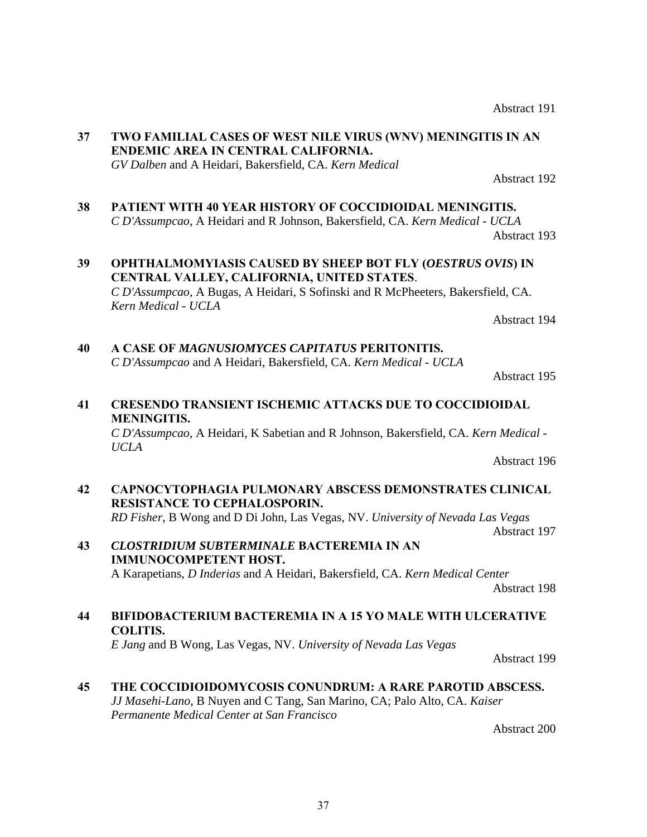## **37 TWO FAMILIAL CASES OF WEST NILE VIRUS (WNV) MENINGITIS IN AN ENDEMIC AREA IN CENTRAL CALIFORNIA.** *GV Dalben* and A Heidari, Bakersfield, CA. *Kern Medical*

#### **38 PATIENT WITH 40 YEAR HISTORY OF COCCIDIOIDAL MENINGITIS.** *C D'Assumpcao*, A Heidari and R Johnson, Bakersfield, CA. *Kern Medical - UCLA* Abstract 193

**39 OPHTHALMOMYIASIS CAUSED BY SHEEP BOT FLY (***OESTRUS OVIS***) IN CENTRAL VALLEY, CALIFORNIA, UNITED STATES**. *C D'Assumpcao*, A Bugas, A Heidari, S Sofinski and R McPheeters, Bakersfield, CA. *Kern Medical - UCLA*

**40 A CASE OF** *MAGNUSIOMYCES CAPITATUS* **PERITONITIS.** *C D'Assumpcao* and A Heidari, Bakersfield, CA. *Kern Medical - UCLA*

Abstract 195

Abstract 194

## **41 CRESENDO TRANSIENT ISCHEMIC ATTACKS DUE TO COCCIDIOIDAL MENINGITIS.**

*C D'Assumpcao*, A Heidari, K Sabetian and R Johnson, Bakersfield, CA. *Kern Medical - UCLA*

Abstract 196

## **42 CAPNOCYTOPHAGIA PULMONARY ABSCESS DEMONSTRATES CLINICAL RESISTANCE TO CEPHALOSPORIN.** *RD Fisher*, B Wong and D Di John, Las Vegas, NV. *University of Nevada Las Vegas*

Abstract 197

## **43** *CLOSTRIDIUM SUBTERMINALE* **BACTEREMIA IN AN IMMUNOCOMPETENT HOST.** A Karapetians, *D Inderias* and A Heidari, Bakersfield, CA. *Kern Medical Center*

Abstract 198

## **44 BIFIDOBACTERIUM BACTEREMIA IN A 15 YO MALE WITH ULCERATIVE COLITIS.**

*E Jang* and B Wong, Las Vegas, NV. *University of Nevada Las Vegas*

Abstract 199

#### **45 THE COCCIDIOIDOMYCOSIS CONUNDRUM: A RARE PAROTID ABSCESS.** *JJ Masehi-Lano*, B Nuyen and C Tang, San Marino, CA; Palo Alto, CA. *Kaiser Permanente Medical Center at San Francisco*

Abstract 200

Abstract 191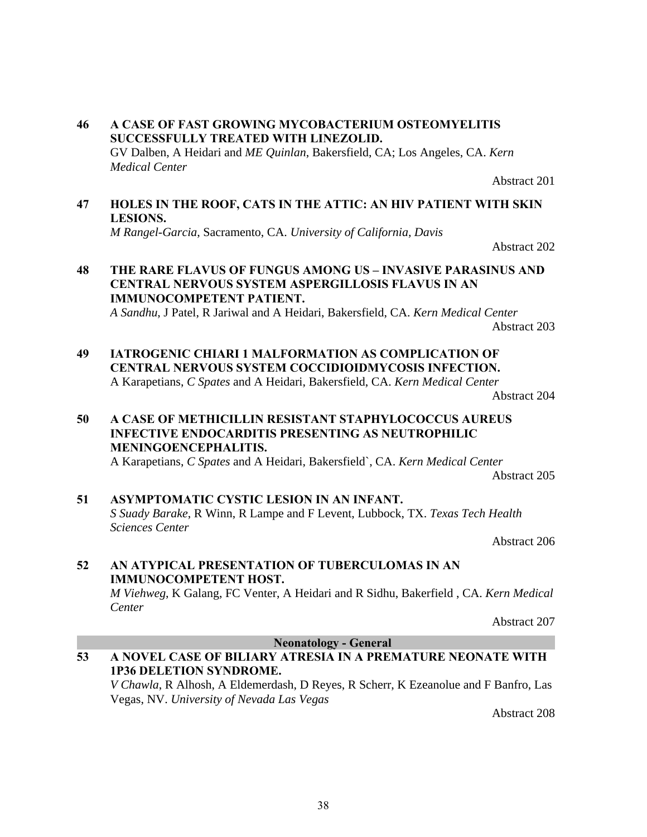## **46 A CASE OF FAST GROWING MYCOBACTERIUM OSTEOMYELITIS SUCCESSFULLY TREATED WITH LINEZOLID.** GV Dalben, A Heidari and *ME Quinlan*, Bakersfield, CA; Los Angeles, CA. *Kern Medical Center*

## **47 HOLES IN THE ROOF, CATS IN THE ATTIC: AN HIV PATIENT WITH SKIN LESIONS.**

Abstract 201

*M Rangel-Garcia*, Sacramento, CA. *University of California, Davis*

## Abstract 202

## **48 THE RARE FLAVUS OF FUNGUS AMONG US – INVASIVE PARASINUS AND CENTRAL NERVOUS SYSTEM ASPERGILLOSIS FLAVUS IN AN IMMUNOCOMPETENT PATIENT.**

*A Sandhu*, J Patel, R Jariwal and A Heidari, Bakersfield, CA. *Kern Medical Center*

Abstract 203

**49 IATROGENIC CHIARI 1 MALFORMATION AS COMPLICATION OF CENTRAL NERVOUS SYSTEM COCCIDIOIDMYCOSIS INFECTION.**

A Karapetians, *C Spates* and A Heidari, Bakersfield, CA. *Kern Medical Center* Abstract 204

## **50 A CASE OF METHICILLIN RESISTANT STAPHYLOCOCCUS AUREUS INFECTIVE ENDOCARDITIS PRESENTING AS NEUTROPHILIC MENINGOENCEPHALITIS.**

A Karapetians, *C Spates* and A Heidari, Bakersfield`, CA. *Kern Medical Center* Abstract 205

## **51 ASYMPTOMATIC CYSTIC LESION IN AN INFANT.** *S Suady Barake*, R Winn, R Lampe and F Levent, Lubbock, TX. *Texas Tech Health Sciences Center*

Abstract 206

## **52 AN ATYPICAL PRESENTATION OF TUBERCULOMAS IN AN IMMUNOCOMPETENT HOST.**

*M Viehweg*, K Galang, FC Venter, A Heidari and R Sidhu, Bakerfield , CA. *Kern Medical Center* 

Abstract 207

**Neonatology - General** 

## **53 A NOVEL CASE OF BILIARY ATRESIA IN A PREMATURE NEONATE WITH 1P36 DELETION SYNDROME.**

*V Chawla*, R Alhosh, A Eldemerdash, D Reyes, R Scherr, K Ezeanolue and F Banfro, Las Vegas, NV. *University of Nevada Las Vegas*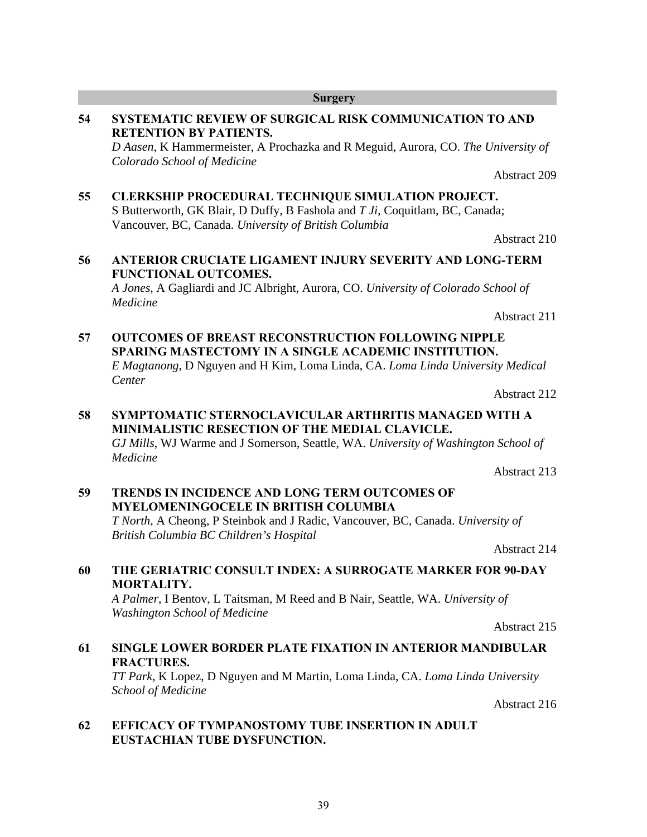**55 CLERKSHIP PROCEDURAL TECHNIQUE SIMULATION PROJECT.** S Butterworth, GK Blair, D Duffy, B Fashola and *T Ji*, Coquitlam, BC, Canada; Vancouver, BC, Canada. *University of British Columbia*

*Colorado School of Medicine*

Abstract 210 **56 ANTERIOR CRUCIATE LIGAMENT INJURY SEVERITY AND LONG-TERM FUNCTIONAL OUTCOMES.**

*A Jones*, A Gagliardi and JC Albright, Aurora, CO. *University of Colorado School of Medicine*

Abstract 211

## **57 OUTCOMES OF BREAST RECONSTRUCTION FOLLOWING NIPPLE SPARING MASTECTOMY IN A SINGLE ACADEMIC INSTITUTION.** *E Magtanong*, D Nguyen and H Kim, Loma Linda, CA. *Loma Linda University Medical*

*Center*

Abstract 212

## **58 SYMPTOMATIC STERNOCLAVICULAR ARTHRITIS MANAGED WITH A MINIMALISTIC RESECTION OF THE MEDIAL CLAVICLE.** *GJ Mills*, WJ Warme and J Somerson, Seattle, WA. *University of Washington School of Medicine*

Abstract 213

## **59 TRENDS IN INCIDENCE AND LONG TERM OUTCOMES OF MYELOMENINGOCELE IN BRITISH COLUMBIA**

*T North*, A Cheong, P Steinbok and J Radic, Vancouver, BC, Canada. *University of British Columbia BC Children's Hospital* 

Abstract 214

## **60 THE GERIATRIC CONSULT INDEX: A SURROGATE MARKER FOR 90-DAY MORTALITY.**

*A Palmer*, I Bentov, L Taitsman, M Reed and B Nair, Seattle, WA. *University of Washington School of Medicine*

Abstract 215

## **61 SINGLE LOWER BORDER PLATE FIXATION IN ANTERIOR MANDIBULAR FRACTURES.**

*TT Park*, K Lopez, D Nguyen and M Martin, Loma Linda, CA. *Loma Linda University School of Medicine* 

Abstract 216

## **62 EFFICACY OF TYMPANOSTOMY TUBE INSERTION IN ADULT EUSTACHIAN TUBE DYSFUNCTION.**

#### **Surgery**

**RETENTION BY PATIENTS.** *D Aasen*, K Hammermeister, A Prochazka and R Meguid, Aurora, CO. *The University of* 

**54 SYSTEMATIC REVIEW OF SURGICAL RISK COMMUNICATION TO AND**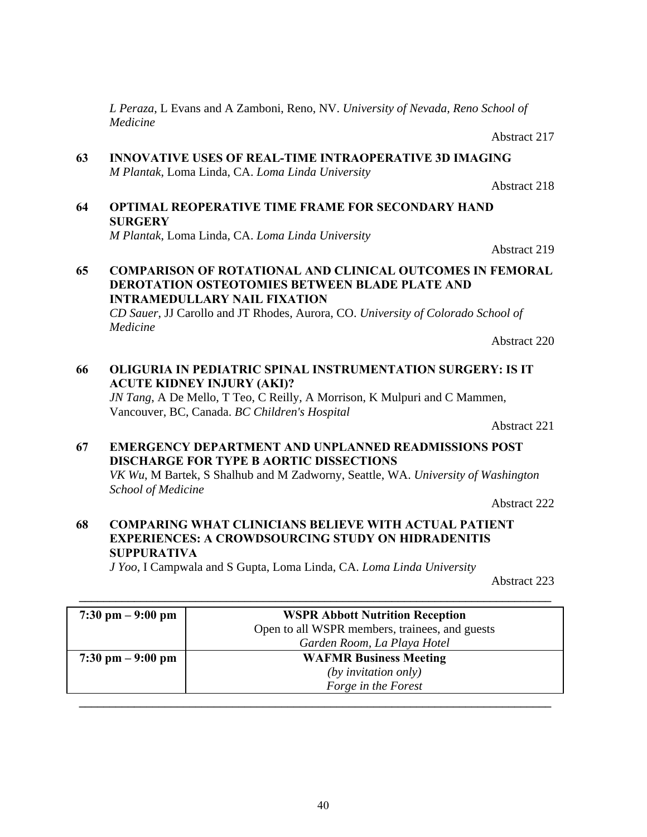*L Peraza*, L Evans and A Zamboni, Reno, NV. *University of Nevada, Reno School of Medicine*

Abstract 218

Abstract 217 **63 INNOVATIVE USES OF REAL-TIME INTRAOPERATIVE 3D IMAGING** *M Plantak*, Loma Linda, CA. *Loma Linda University*

**64 OPTIMAL REOPERATIVE TIME FRAME FOR SECONDARY HAND SURGERY** *M Plantak*, Loma Linda, CA. *Loma Linda University*

**65 COMPARISON OF ROTATIONAL AND CLINICAL OUTCOMES IN FEMORAL DEROTATION OSTEOTOMIES BETWEEN BLADE PLATE AND INTRAMEDULLARY NAIL FIXATION** *CD Sauer*, JJ Carollo and JT Rhodes, Aurora, CO. *University of Colorado School of Medicine*

- **66 OLIGURIA IN PEDIATRIC SPINAL INSTRUMENTATION SURGERY: IS IT ACUTE KIDNEY INJURY (AKI)?** *JN Tang*, A De Mello, T Teo, C Reilly, A Morrison, K Mulpuri and C Mammen, Vancouver, BC, Canada. *BC Children's Hospital* Abstract 221
- **67 EMERGENCY DEPARTMENT AND UNPLANNED READMISSIONS POST DISCHARGE FOR TYPE B AORTIC DISSECTIONS** *VK Wu*, M Bartek, S Shalhub and M Zadworny, Seattle, WA. *University of Washington School of Medicine*

Abstract 222 **68 COMPARING WHAT CLINICIANS BELIEVE WITH ACTUAL PATIENT EXPERIENCES: A CROWDSOURCING STUDY ON HIDRADENITIS SUPPURATIVA**

*J Yoo*, I Campwala and S Gupta, Loma Linda, CA. *Loma Linda University*

Abstract 223

| $7:30 \text{ pm} - 9:00 \text{ pm}$ | <b>WSPR Abbott Nutrition Reception</b>         |  |
|-------------------------------------|------------------------------------------------|--|
|                                     | Open to all WSPR members, trainees, and guests |  |
|                                     | Garden Room, La Playa Hotel                    |  |
| $7:30 \text{ pm} - 9:00 \text{ pm}$ | <b>WAFMR Business Meeting</b>                  |  |
|                                     | $(by$ invitation only)                         |  |
|                                     | Forge in the Forest                            |  |
|                                     |                                                |  |

**\_\_\_\_\_\_\_\_\_\_\_\_\_\_\_\_\_\_\_\_\_\_\_\_\_\_\_\_\_\_\_\_\_\_\_\_\_\_\_\_\_\_\_\_\_\_\_\_\_\_\_\_\_\_\_\_\_\_\_\_\_\_\_\_\_\_\_\_\_\_\_\_\_\_\_\_\_** 

# Abstract 219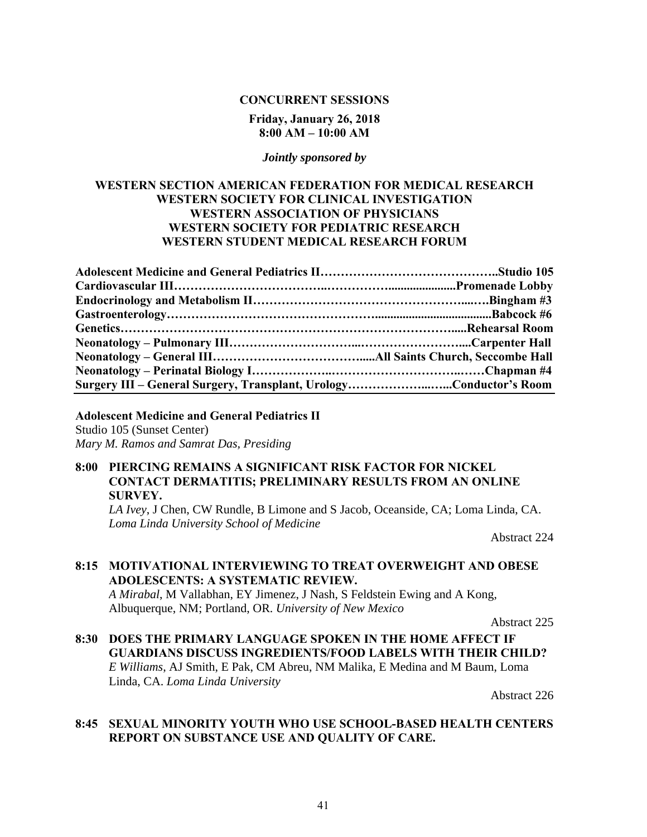#### **CONCURRENT SESSIONS**

#### **Friday, January 26, 2018 8:00 AM – 10:00 AM**

#### *Jointly sponsored by*

## **WESTERN SECTION AMERICAN FEDERATION FOR MEDICAL RESEARCH WESTERN SOCIETY FOR CLINICAL INVESTIGATION WESTERN ASSOCIATION OF PHYSICIANS WESTERN SOCIETY FOR PEDIATRIC RESEARCH WESTERN STUDENT MEDICAL RESEARCH FORUM**

| Surgery III – General Surgery, Transplant, UrologyConductor's Room |  |
|--------------------------------------------------------------------|--|

**Adolescent Medicine and General Pediatrics II** Studio 105 (Sunset Center) *Mary M. Ramos and Samrat Das, Presiding* 

## **8:00 PIERCING REMAINS A SIGNIFICANT RISK FACTOR FOR NICKEL CONTACT DERMATITIS; PRELIMINARY RESULTS FROM AN ONLINE SURVEY.**

*LA Ivey*, J Chen, CW Rundle, B Limone and S Jacob, Oceanside, CA; Loma Linda, CA. *Loma Linda University School of Medicine*

Abstract 224

## **8:15 MOTIVATIONAL INTERVIEWING TO TREAT OVERWEIGHT AND OBESE ADOLESCENTS: A SYSTEMATIC REVIEW.**

*A Mirabal*, M Vallabhan, EY Jimenez, J Nash, S Feldstein Ewing and A Kong, Albuquerque, NM; Portland, OR. *University of New Mexico*

Abstract 225

**8:30 DOES THE PRIMARY LANGUAGE SPOKEN IN THE HOME AFFECT IF GUARDIANS DISCUSS INGREDIENTS/FOOD LABELS WITH THEIR CHILD?** *E Williams*, AJ Smith, E Pak, CM Abreu, NM Malika, E Medina and M Baum, Loma Linda, CA. *Loma Linda University*

Abstract 226

## **8:45 SEXUAL MINORITY YOUTH WHO USE SCHOOL-BASED HEALTH CENTERS REPORT ON SUBSTANCE USE AND QUALITY OF CARE.**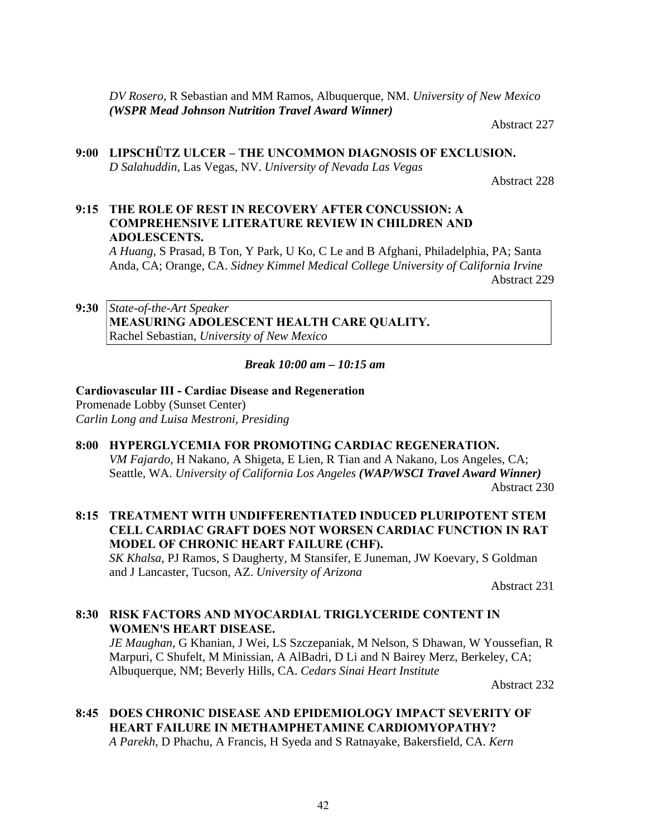*DV Rosero*, R Sebastian and MM Ramos, Albuquerque, NM. *University of New Mexico (WSPR Mead Johnson Nutrition Travel Award Winner)*

Abstract 227

**9:00 LIPSCHÜTZ ULCER – THE UNCOMMON DIAGNOSIS OF EXCLUSION.** *D Salahuddin*, Las Vegas, NV. *University of Nevada Las Vegas*

Abstract 228

**9:15 THE ROLE OF REST IN RECOVERY AFTER CONCUSSION: A COMPREHENSIVE LITERATURE REVIEW IN CHILDREN AND ADOLESCENTS.**

*A Huang*, S Prasad, B Ton, Y Park, U Ko, C Le and B Afghani, Philadelphia, PA; Santa Anda, CA; Orange, CA. *Sidney Kimmel Medical College University of California Irvine*

Abstract 229

**9:30** *State-of-the-Art Speaker* **MEASURING ADOLESCENT HEALTH CARE QUALITY.** Rachel Sebastian, *University of New Mexico*

*Break 10:00 am – 10:15 am* 

## **Cardiovascular III - Cardiac Disease and Regeneration**

Promenade Lobby (Sunset Center) *Carlin Long and Luisa Mestroni, Presiding*

#### **8:00 HYPERGLYCEMIA FOR PROMOTING CARDIAC REGENERATION.**

*VM Fajardo*, H Nakano, A Shigeta, E Lien, R Tian and A Nakano, Los Angeles, CA; Seattle, WA. *University of California Los Angeles (WAP/WSCI Travel Award Winner)* Abstract 230

**8:15 TREATMENT WITH UNDIFFERENTIATED INDUCED PLURIPOTENT STEM CELL CARDIAC GRAFT DOES NOT WORSEN CARDIAC FUNCTION IN RAT MODEL OF CHRONIC HEART FAILURE (CHF).**

*SK Khalsa*, PJ Ramos, S Daugherty, M Stansifer, E Juneman, JW Koevary, S Goldman and J Lancaster, Tucson, AZ. *University of Arizona*

Abstract 231

## **8:30 RISK FACTORS AND MYOCARDIAL TRIGLYCERIDE CONTENT IN WOMEN'S HEART DISEASE.**

*JE Maughan*, G Khanian, J Wei, LS Szczepaniak, M Nelson, S Dhawan, W Youssefian, R Marpuri, C Shufelt, M Minissian, A AlBadri, D Li and N Bairey Merz, Berkeley, CA; Albuquerque, NM; Beverly Hills, CA. *Cedars Sinai Heart Institute* 

Abstract 232

## **8:45 DOES CHRONIC DISEASE AND EPIDEMIOLOGY IMPACT SEVERITY OF HEART FAILURE IN METHAMPHETAMINE CARDIOMYOPATHY?**

*A Parekh*, D Phachu, A Francis, H Syeda and S Ratnayake, Bakersfield, CA. *Kern*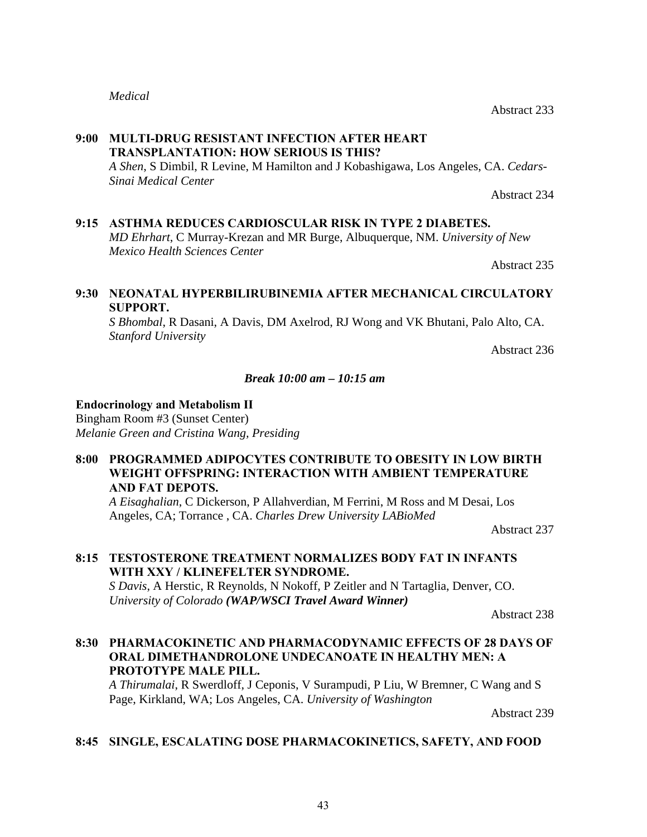## *Medical*

## **9:00 MULTI-DRUG RESISTANT INFECTION AFTER HEART TRANSPLANTATION: HOW SERIOUS IS THIS?**

*A Shen*, S Dimbil, R Levine, M Hamilton and J Kobashigawa, Los Angeles, CA. *Cedars-Sinai Medical Center*

Abstract 234

## **9:15 ASTHMA REDUCES CARDIOSCULAR RISK IN TYPE 2 DIABETES.**

*MD Ehrhart*, C Murray-Krezan and MR Burge, Albuquerque, NM. *University of New Mexico Health Sciences Center*

Abstract 235

## **9:30 NEONATAL HYPERBILIRUBINEMIA AFTER MECHANICAL CIRCULATORY SUPPORT.**

*S Bhombal*, R Dasani, A Davis, DM Axelrod, RJ Wong and VK Bhutani, Palo Alto, CA. *Stanford University*

Abstract 236

## *Break 10:00 am – 10:15 am*

## **Endocrinology and Metabolism II**

Bingham Room #3 (Sunset Center) *Melanie Green and Cristina Wang, Presiding* 

## **8:00 PROGRAMMED ADIPOCYTES CONTRIBUTE TO OBESITY IN LOW BIRTH WEIGHT OFFSPRING: INTERACTION WITH AMBIENT TEMPERATURE AND FAT DEPOTS.**

*A Eisaghalian*, C Dickerson, P Allahverdian, M Ferrini, M Ross and M Desai, Los Angeles, CA; Torrance , CA. *Charles Drew University LABioMed*

Abstract 237

## **8:15 TESTOSTERONE TREATMENT NORMALIZES BODY FAT IN INFANTS WITH XXY / KLINEFELTER SYNDROME.**

*S Davis*, A Herstic, R Reynolds, N Nokoff, P Zeitler and N Tartaglia, Denver, CO. *University of Colorado (WAP/WSCI Travel Award Winner)*

Abstract 238

## **8:30 PHARMACOKINETIC AND PHARMACODYNAMIC EFFECTS OF 28 DAYS OF ORAL DIMETHANDROLONE UNDECANOATE IN HEALTHY MEN: A PROTOTYPE MALE PILL.**

*A Thirumalai*, R Swerdloff, J Ceponis, V Surampudi, P Liu, W Bremner, C Wang and S Page, Kirkland, WA; Los Angeles, CA. *University of Washington*

Abstract 239

## **8:45 SINGLE, ESCALATING DOSE PHARMACOKINETICS, SAFETY, AND FOOD**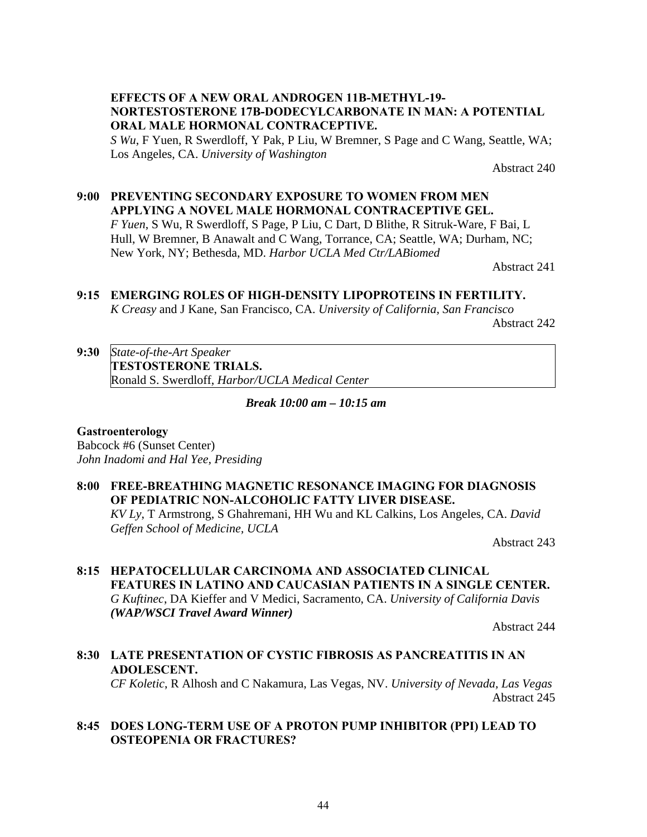## **EFFECTS OF A NEW ORAL ANDROGEN 11Β-METHYL-19- NORTESTOSTERONE 17Β-DODECYLCARBONATE IN MAN: A POTENTIAL ORAL MALE HORMONAL CONTRACEPTIVE.**

*S Wu*, F Yuen, R Swerdloff, Y Pak, P Liu, W Bremner, S Page and C Wang, Seattle, WA; Los Angeles, CA. *University of Washington* 

Abstract 240

## **9:00 PREVENTING SECONDARY EXPOSURE TO WOMEN FROM MEN APPLYING A NOVEL MALE HORMONAL CONTRACEPTIVE GEL.**

*F Yuen*, S Wu, R Swerdloff, S Page, P Liu, C Dart, D Blithe, R Sitruk-Ware, F Bai, L Hull, W Bremner, B Anawalt and C Wang, Torrance, CA; Seattle, WA; Durham, NC; New York, NY; Bethesda, MD. *Harbor UCLA Med Ctr/LABiomed*

Abstract 241

## **9:15 EMERGING ROLES OF HIGH-DENSITY LIPOPROTEINS IN FERTILITY.**

*K Creasy* and J Kane, San Francisco, CA. *University of California, San Francisco* Abstract 242

**9:30** *State-of-the-Art Speaker* **TESTOSTERONE TRIALS.** Ronald S. Swerdloff, *Harbor/UCLA Medical Center*

*Break 10:00 am – 10:15 am* 

#### **Gastroenterology**

Babcock #6 (Sunset Center) *John Inadomi and Hal Yee, Presiding*

## **8:00 FREE-BREATHING MAGNETIC RESONANCE IMAGING FOR DIAGNOSIS OF PEDIATRIC NON-ALCOHOLIC FATTY LIVER DISEASE.**

*KV Ly*, T Armstrong, S Ghahremani, HH Wu and KL Calkins, Los Angeles, CA. *David Geffen School of Medicine, UCLA*

Abstract 243

## **8:15 HEPATOCELLULAR CARCINOMA AND ASSOCIATED CLINICAL FEATURES IN LATINO AND CAUCASIAN PATIENTS IN A SINGLE CENTER.** *G Kuftinec*, DA Kieffer and V Medici, Sacramento, CA. *University of California Davis (WAP/WSCI Travel Award Winner)*

Abstract 244

## **8:30 LATE PRESENTATION OF CYSTIC FIBROSIS AS PANCREATITIS IN AN ADOLESCENT.**

*CF Koletic*, R Alhosh and C Nakamura, Las Vegas, NV. *University of Nevada, Las Vegas* Abstract 245

## **8:45 DOES LONG-TERM USE OF A PROTON PUMP INHIBITOR (PPI) LEAD TO OSTEOPENIA OR FRACTURES?**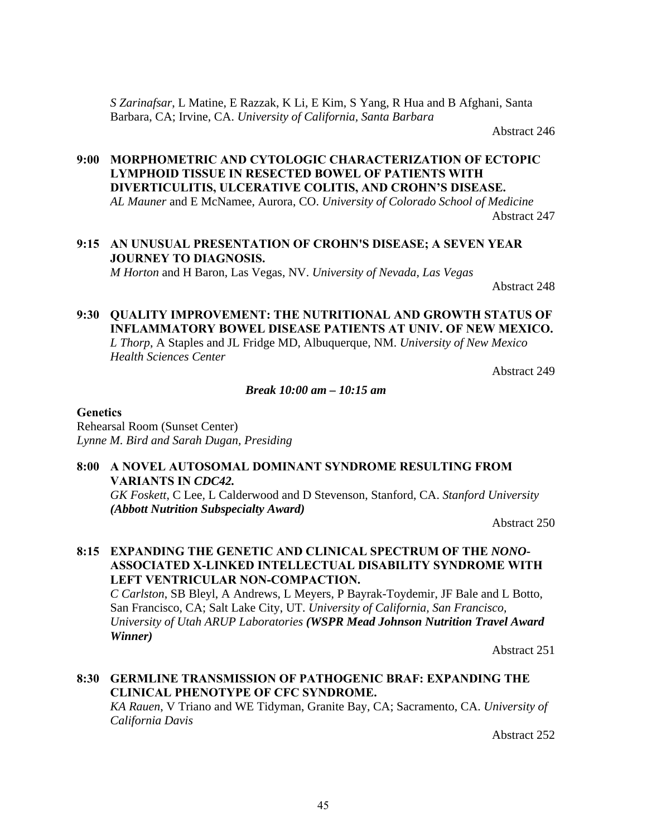*S Zarinafsar*, L Matine, E Razzak, K Li, E Kim, S Yang, R Hua and B Afghani, Santa Barbara, CA; Irvine, CA. *University of California, Santa Barbara*

Abstract 246

## **9:00 MORPHOMETRIC AND CYTOLOGIC CHARACTERIZATION OF ECTOPIC LYMPHOID TISSUE IN RESECTED BOWEL OF PATIENTS WITH DIVERTICULITIS, ULCERATIVE COLITIS, AND CROHN'S DISEASE.**

*AL Mauner* and E McNamee, Aurora, CO. *University of Colorado School of Medicine* Abstract 247

## **9:15 AN UNUSUAL PRESENTATION OF CROHN'S DISEASE; A SEVEN YEAR JOURNEY TO DIAGNOSIS.** *M Horton* and H Baron, Las Vegas, NV. *University of Nevada, Las Vegas*

Abstract 248

## **9:30 QUALITY IMPROVEMENT: THE NUTRITIONAL AND GROWTH STATUS OF INFLAMMATORY BOWEL DISEASE PATIENTS AT UNIV. OF NEW MEXICO.** *L Thorp*, A Staples and JL Fridge MD, Albuquerque, NM. *University of New Mexico Health Sciences Center*

Abstract 249

## *Break 10:00 am – 10:15 am*

#### **Genetics**

Rehearsal Room (Sunset Center) *Lynne M. Bird and Sarah Dugan, Presiding*

## **8:00 A NOVEL AUTOSOMAL DOMINANT SYNDROME RESULTING FROM VARIANTS IN** *CDC42.*

*GK Foskett*, C Lee, L Calderwood and D Stevenson, Stanford, CA. *Stanford University (Abbott Nutrition Subspecialty Award)*

Abstract 250

## **8:15 EXPANDING THE GENETIC AND CLINICAL SPECTRUM OF THE** *NONO-***ASSOCIATED X-LINKED INTELLECTUAL DISABILITY SYNDROME WITH LEFT VENTRICULAR NON-COMPACTION.**

*C Carlston*, SB Bleyl, A Andrews, L Meyers, P Bayrak-Toydemir, JF Bale and L Botto, San Francisco, CA; Salt Lake City, UT. *University of California, San Francisco, University of Utah ARUP Laboratories (WSPR Mead Johnson Nutrition Travel Award Winner)*

Abstract 251

## **8:30 GERMLINE TRANSMISSION OF PATHOGENIC BRAF: EXPANDING THE CLINICAL PHENOTYPE OF CFC SYNDROME.**

*KA Rauen*, V Triano and WE Tidyman, Granite Bay, CA; Sacramento, CA. *University of California Davis*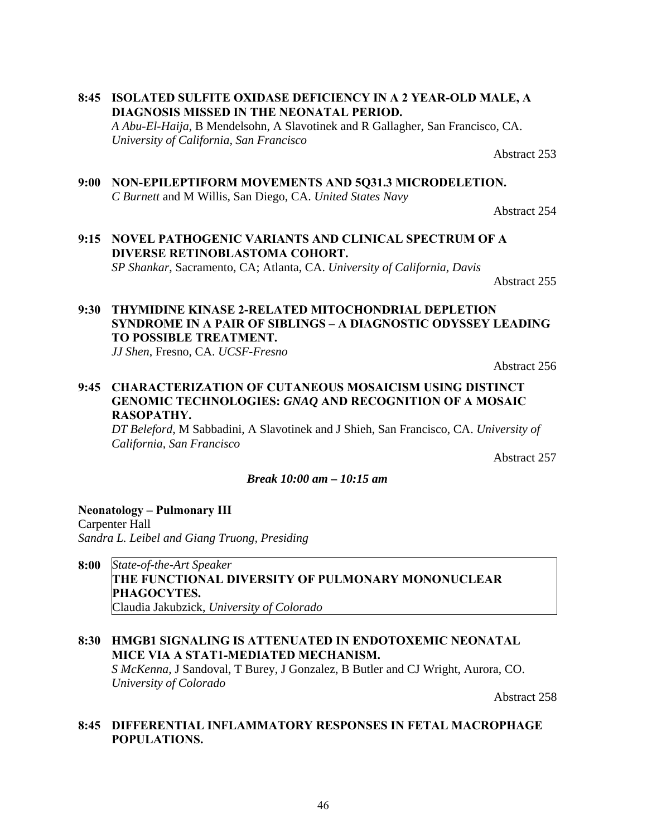46

**8:45 ISOLATED SULFITE OXIDASE DEFICIENCY IN A 2 YEAR-OLD MALE, A DIAGNOSIS MISSED IN THE NEONATAL PERIOD.** *A Abu-El-Haija*, B Mendelsohn, A Slavotinek and R Gallagher, San Francisco, CA. *University of California, San Francisco*

Abstract 253

**9:00 NON-EPILEPTIFORM MOVEMENTS AND 5Q31.3 MICRODELETION.** *C Burnett* and M Willis, San Diego, CA. *United States Navy*

Abstract 254

**9:15 NOVEL PATHOGENIC VARIANTS AND CLINICAL SPECTRUM OF A DIVERSE RETINOBLASTOMA COHORT.**  *SP Shankar*, Sacramento, CA; Atlanta, CA. *University of California, Davis* 

Abstract 255

## **9:30 THYMIDINE KINASE 2-RELATED MITOCHONDRIAL DEPLETION SYNDROME IN A PAIR OF SIBLINGS – A DIAGNOSTIC ODYSSEY LEADING TO POSSIBLE TREATMENT.**

*JJ Shen*, Fresno, CA. *UCSF-Fresno*

Abstract 256

## **9:45 CHARACTERIZATION OF CUTANEOUS MOSAICISM USING DISTINCT GENOMIC TECHNOLOGIES:** *GNAQ* **AND RECOGNITION OF A MOSAIC RASOPATHY.**

*DT Beleford*, M Sabbadini, A Slavotinek and J Shieh, San Francisco, CA. *University of California, San Francisco*

Abstract 257

#### *Break 10:00 am – 10:15 am*

**Neonatology – Pulmonary III** Carpenter Hall *Sandra L. Leibel and Giang Truong, Presiding*

## **8:00** *State-of-the-Art Speaker*  **THE FUNCTIONAL DIVERSITY OF PULMONARY MONONUCLEAR PHAGOCYTES.** Claudia Jakubzick, *University of Colorado*

**8:30 HMGB1 SIGNALING IS ATTENUATED IN ENDOTOXEMIC NEONATAL MICE VIA A STAT1-MEDIATED MECHANISM.** *S McKenna*, J Sandoval, T Burey, J Gonzalez, B Butler and CJ Wright, Aurora, CO. *University of Colorado*

Abstract 258

## **8:45 DIFFERENTIAL INFLAMMATORY RESPONSES IN FETAL MACROPHAGE POPULATIONS.**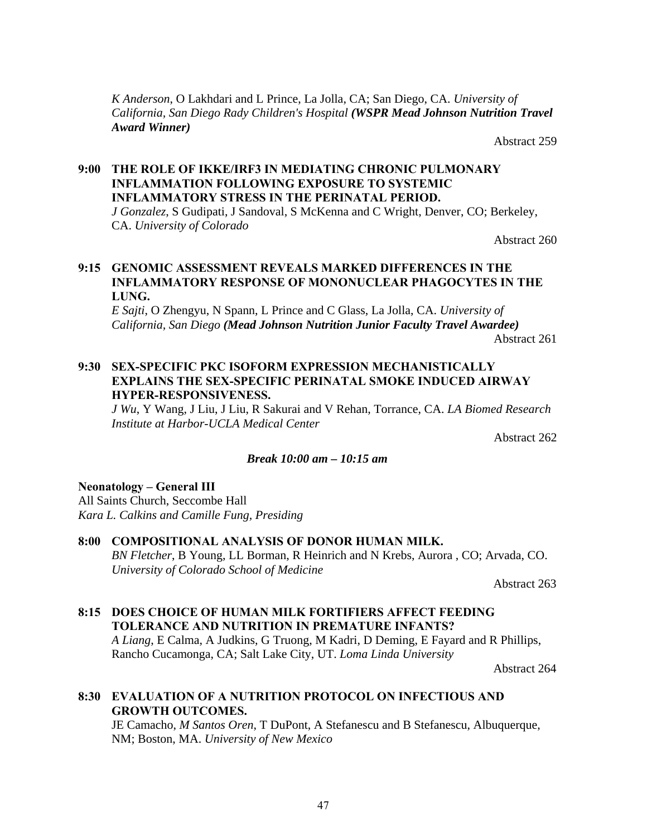*K Anderson*, O Lakhdari and L Prince, La Jolla, CA; San Diego, CA. *University of California, San Diego Rady Children's Hospital (WSPR Mead Johnson Nutrition Travel Award Winner)*

Abstract 259

## **9:00 THE ROLE OF IKKΕ/IRF3 IN MEDIATING CHRONIC PULMONARY INFLAMMATION FOLLOWING EXPOSURE TO SYSTEMIC INFLAMMATORY STRESS IN THE PERINATAL PERIOD.**

*J Gonzalez*, S Gudipati, J Sandoval, S McKenna and C Wright, Denver, CO; Berkeley, CA. *University of Colorado*

Abstract 260

## **9:15 GENOMIC ASSESSMENT REVEALS MARKED DIFFERENCES IN THE INFLAMMATORY RESPONSE OF MONONUCLEAR PHAGOCYTES IN THE LUNG.**

*E Sajti*, O Zhengyu, N Spann, L Prince and C Glass, La Jolla, CA. *University of California, San Diego (Mead Johnson Nutrition Junior Faculty Travel Awardee)* Abstract 261

## **9:30 SEX-SPECIFIC PKC ISOFORM EXPRESSION MECHANISTICALLY EXPLAINS THE SEX-SPECIFIC PERINATAL SMOKE INDUCED AIRWAY HYPER-RESPONSIVENESS.**

*J Wu*, Y Wang, J Liu, J Liu, R Sakurai and V Rehan, Torrance, CA. *LA Biomed Research Institute at Harbor-UCLA Medical Center*

Abstract 262

#### *Break 10:00 am – 10:15 am*

## **Neonatology – General III**

All Saints Church, Seccombe Hall *Kara L. Calkins and Camille Fung, Presiding*

## **8:00 COMPOSITIONAL ANALYSIS OF DONOR HUMAN MILK.**

*BN Fletcher*, B Young, LL Borman, R Heinrich and N Krebs, Aurora , CO; Arvada, CO. *University of Colorado School of Medicine*

Abstract 263

## **8:15 DOES CHOICE OF HUMAN MILK FORTIFIERS AFFECT FEEDING TOLERANCE AND NUTRITION IN PREMATURE INFANTS?**

*A Liang*, E Calma, A Judkins, G Truong, M Kadri, D Deming, E Fayard and R Phillips, Rancho Cucamonga, CA; Salt Lake City, UT. *Loma Linda University*

Abstract 264

## **8:30 EVALUATION OF A NUTRITION PROTOCOL ON INFECTIOUS AND GROWTH OUTCOMES.**

JE Camacho, *M Santos Oren*, T DuPont, A Stefanescu and B Stefanescu, Albuquerque, NM; Boston, MA. *University of New Mexico*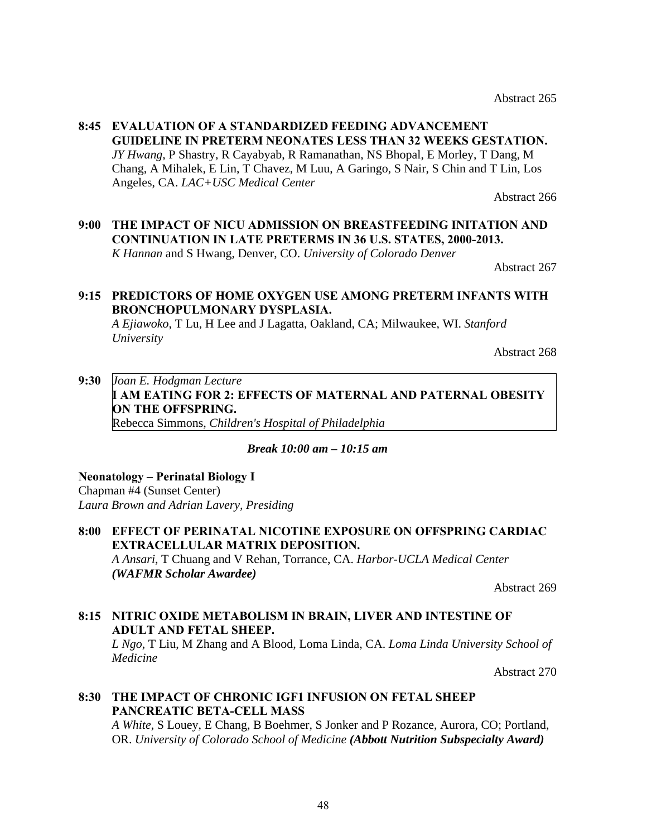Abstract 265

## **8:45 EVALUATION OF A STANDARDIZED FEEDING ADVANCEMENT GUIDELINE IN PRETERM NEONATES LESS THAN 32 WEEKS GESTATION.** *JY Hwang*, P Shastry, R Cayabyab, R Ramanathan, NS Bhopal, E Morley, T Dang, M Chang, A Mihalek, E Lin, T Chavez, M Luu, A Garingo, S Nair, S Chin and T Lin, Los Angeles, CA. *LAC+USC Medical Center*

Abstract 266

**9:00 THE IMPACT OF NICU ADMISSION ON BREASTFEEDING INITATION AND CONTINUATION IN LATE PRETERMS IN 36 U.S. STATES, 2000-2013.** *K Hannan* and S Hwang, Denver, CO. *University of Colorado Denver*

Abstract 267

## **9:15 PREDICTORS OF HOME OXYGEN USE AMONG PRETERM INFANTS WITH BRONCHOPULMONARY DYSPLASIA.**

*A Ejiawoko*, T Lu, H Lee and J Lagatta, Oakland, CA; Milwaukee, WI. *Stanford University*

Abstract 268

## **9:30** *Joan E. Hodgman Lecture* **I AM EATING FOR 2: EFFECTS OF MATERNAL AND PATERNAL OBESITY ON THE OFFSPRING.** Rebecca Simmons, *Children's Hospital of Philadelphia*

## *Break 10:00 am – 10:15 am*

**Neonatology** *–* **Perinatal Biology I** Chapman #4 (Sunset Center) *Laura Brown and Adrian Lavery, Presiding*

## **8:00 EFFECT OF PERINATAL NICOTINE EXPOSURE ON OFFSPRING CARDIAC EXTRACELLULAR MATRIX DEPOSITION.** *A Ansari*, T Chuang and V Rehan, Torrance, CA. *Harbor-UCLA Medical Center (WAFMR Scholar Awardee)*

Abstract 269

## **8:15 NITRIC OXIDE METABOLISM IN BRAIN, LIVER AND INTESTINE OF ADULT AND FETAL SHEEP.**

*L Ngo*, T Liu, M Zhang and A Blood, Loma Linda, CA. *Loma Linda University School of Medicine*

Abstract 270

## **8:30 THE IMPACT OF CHRONIC IGF1 INFUSION ON FETAL SHEEP PANCREATIC BETA-CELL MASS**

*A White*, S Louey, E Chang, B Boehmer, S Jonker and P Rozance, Aurora, CO; Portland, OR. *University of Colorado School of Medicine (Abbott Nutrition Subspecialty Award)*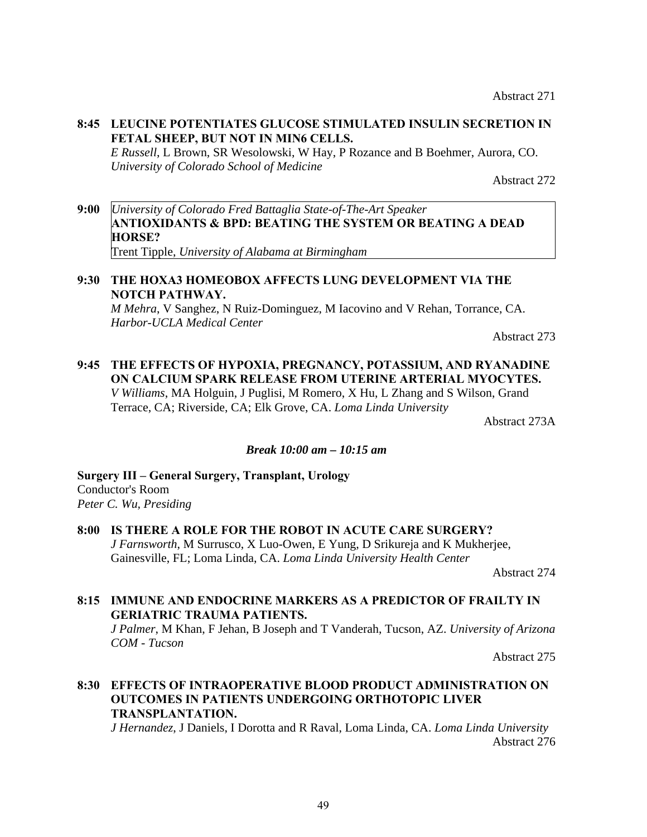## **8:45 LEUCINE POTENTIATES GLUCOSE STIMULATED INSULIN SECRETION IN FETAL SHEEP, BUT NOT IN MIN6 CELLS.**

*E Russell*, L Brown, SR Wesolowski, W Hay, P Rozance and B Boehmer, Aurora, CO. *University of Colorado School of Medicine*

Abstract 272

**9:00** *University of Colorado Fred Battaglia State-of-The-Art Speaker*  **ANTIOXIDANTS & BPD: BEATING THE SYSTEM OR BEATING A DEAD HORSE?** Trent Tipple, *University of Alabama at Birmingham*

## **9:30 THE HOXA3 HOMEOBOX AFFECTS LUNG DEVELOPMENT VIA THE NOTCH PATHWAY.**

*M Mehra*, V Sanghez, N Ruiz-Dominguez, M Iacovino and V Rehan, Torrance, CA. *Harbor-UCLA Medical Center*

Abstract 273

## **9:45 THE EFFECTS OF HYPOXIA, PREGNANCY, POTASSIUM, AND RYANADINE ON CALCIUM SPARK RELEASE FROM UTERINE ARTERIAL MYOCYTES.** *V Williams*, MA Holguin, J Puglisi, M Romero, X Hu, L Zhang and S Wilson, Grand Terrace, CA; Riverside, CA; Elk Grove, CA. *Loma Linda University*

Abstract 273A

#### *Break 10:00 am – 10:15 am*

**Surgery III – General Surgery, Transplant, Urology** Conductor's Room *Peter C. Wu, Presiding*

**8:00 IS THERE A ROLE FOR THE ROBOT IN ACUTE CARE SURGERY?** *J Farnsworth*, M Surrusco, X Luo-Owen, E Yung, D Srikureja and K Mukherjee, Gainesville, FL; Loma Linda, CA. *Loma Linda University Health Center*

Abstract 274

## **8:15 IMMUNE AND ENDOCRINE MARKERS AS A PREDICTOR OF FRAILTY IN GERIATRIC TRAUMA PATIENTS.**

*J Palmer*, M Khan, F Jehan, B Joseph and T Vanderah, Tucson, AZ. *University of Arizona COM - Tucson*

Abstract 275

## **8:30 EFFECTS OF INTRAOPERATIVE BLOOD PRODUCT ADMINISTRATION ON OUTCOMES IN PATIENTS UNDERGOING ORTHOTOPIC LIVER TRANSPLANTATION.**

*J Hernandez*, J Daniels, I Dorotta and R Raval, Loma Linda, CA. *Loma Linda University* Abstract 276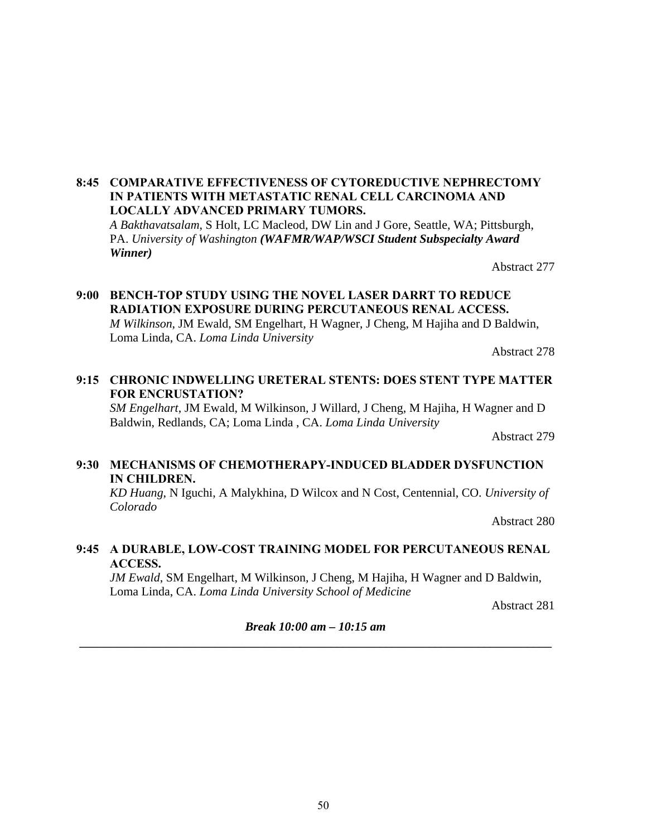## **8:45 COMPARATIVE EFFECTIVENESS OF CYTOREDUCTIVE NEPHRECTOMY IN PATIENTS WITH METASTATIC RENAL CELL CARCINOMA AND LOCALLY ADVANCED PRIMARY TUMORS.**

*A Bakthavatsalam*, S Holt, LC Macleod, DW Lin and J Gore, Seattle, WA; Pittsburgh, PA. *University of Washington (WAFMR/WAP/WSCI Student Subspecialty Award Winner)*

Abstract 277

## **9:00 BENCH-TOP STUDY USING THE NOVEL LASER DARRT TO REDUCE RADIATION EXPOSURE DURING PERCUTANEOUS RENAL ACCESS.** *M Wilkinson*, JM Ewald, SM Engelhart, H Wagner, J Cheng, M Hajiha and D Baldwin, Loma Linda, CA. *Loma Linda University*

Abstract 278

## **9:15 CHRONIC INDWELLING URETERAL STENTS: DOES STENT TYPE MATTER FOR ENCRUSTATION?**

*SM Engelhart*, JM Ewald, M Wilkinson, J Willard, J Cheng, M Hajiha, H Wagner and D Baldwin, Redlands, CA; Loma Linda , CA. *Loma Linda University*

Abstract 279

#### **9:30 MECHANISMS OF CHEMOTHERAPY-INDUCED BLADDER DYSFUNCTION IN CHILDREN.**

*KD Huang*, N Iguchi, A Malykhina, D Wilcox and N Cost, Centennial, CO. *University of Colorado*

Abstract 280

## **9:45 A DURABLE, LOW-COST TRAINING MODEL FOR PERCUTANEOUS RENAL ACCESS.**

*JM Ewald*, SM Engelhart, M Wilkinson, J Cheng, M Hajiha, H Wagner and D Baldwin, Loma Linda, CA. *Loma Linda University School of Medicine*

Abstract 281

*Break 10:00 am – 10:15 am*  **\_\_\_\_\_\_\_\_\_\_\_\_\_\_\_\_\_\_\_\_\_\_\_\_\_\_\_\_\_\_\_\_\_\_\_\_\_\_\_\_\_\_\_\_\_\_\_\_\_\_\_\_\_\_\_\_\_\_\_\_\_\_\_\_\_\_\_\_\_\_\_\_\_\_\_\_\_**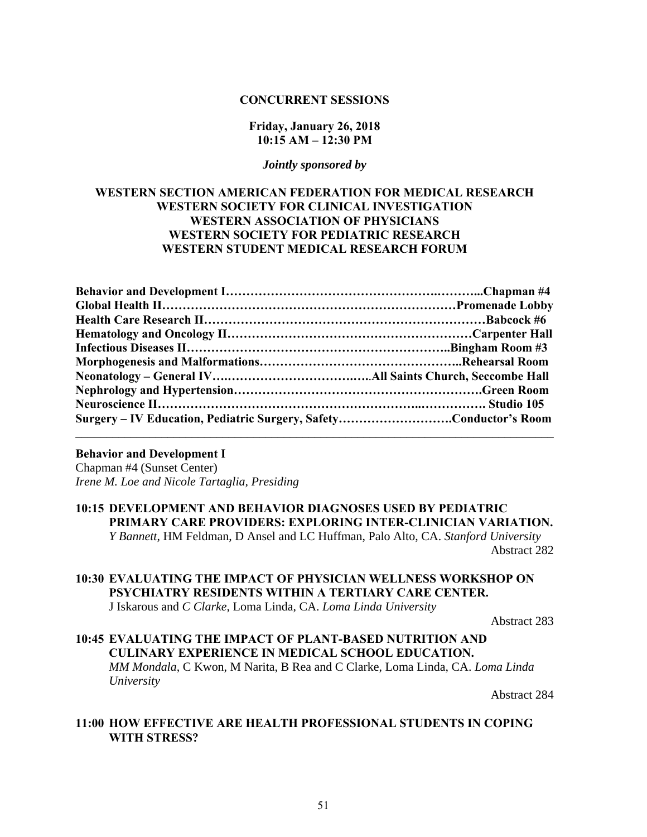#### **CONCURRENT SESSIONS**

#### **Friday, January 26, 2018 10:15 AM – 12:30 PM**

#### *Jointly sponsored by*

## **WESTERN SECTION AMERICAN FEDERATION FOR MEDICAL RESEARCH WESTERN SOCIETY FOR CLINICAL INVESTIGATION WESTERN ASSOCIATION OF PHYSICIANS WESTERN SOCIETY FOR PEDIATRIC RESEARCH WESTERN STUDENT MEDICAL RESEARCH FORUM**

| Surgery – IV Education, Pediatric Surgery, SafetyConductor's Room |  |
|-------------------------------------------------------------------|--|
|                                                                   |  |

## **Behavior and Development I**

Chapman #4 (Sunset Center) *Irene M. Loe and Nicole Tartaglia, Presiding*

## **10:15 DEVELOPMENT AND BEHAVIOR DIAGNOSES USED BY PEDIATRIC PRIMARY CARE PROVIDERS: EXPLORING INTER-CLINICIAN VARIATION.**

*Y Bannett*, HM Feldman, D Ansel and LC Huffman, Palo Alto, CA. *Stanford University* Abstract 282

## **10:30 EVALUATING THE IMPACT OF PHYSICIAN WELLNESS WORKSHOP ON PSYCHIATRY RESIDENTS WITHIN A TERTIARY CARE CENTER.**

J Iskarous and *C Clarke*, Loma Linda, CA. *Loma Linda University* 

Abstract 283

## **10:45 EVALUATING THE IMPACT OF PLANT-BASED NUTRITION AND CULINARY EXPERIENCE IN MEDICAL SCHOOL EDUCATION.**

*MM Mondala*, C Kwon, M Narita, B Rea and C Clarke, Loma Linda, CA. *Loma Linda University* 

Abstract 284

## **11:00 HOW EFFECTIVE ARE HEALTH PROFESSIONAL STUDENTS IN COPING WITH STRESS?**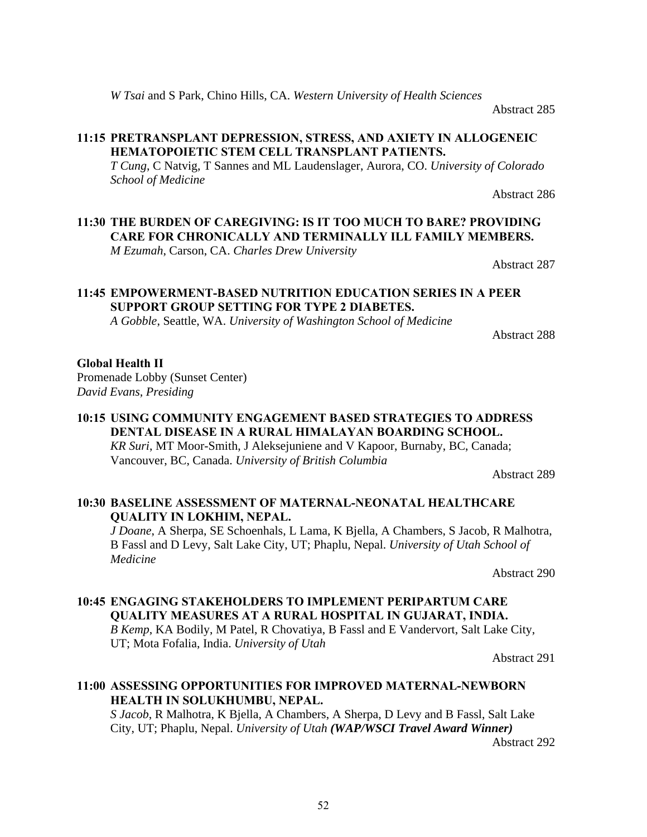*W Tsai* and S Park, Chino Hills, CA. *Western University of Health Sciences* 

Abstract 285

## **11:15 PRETRANSPLANT DEPRESSION, STRESS, AND AXIETY IN ALLOGENEIC HEMATOPOIETIC STEM CELL TRANSPLANT PATIENTS.**

*T Cung*, C Natvig, T Sannes and ML Laudenslager, Aurora, CO. *University of Colorado School of Medicine*

Abstract 286

## **11:30 THE BURDEN OF CAREGIVING: IS IT TOO MUCH TO BARE? PROVIDING CARE FOR CHRONICALLY AND TERMINALLY ILL FAMILY MEMBERS.**

*M Ezumah*, Carson, CA. *Charles Drew University* 

Abstract 287

## **11:45 EMPOWERMENT-BASED NUTRITION EDUCATION SERIES IN A PEER SUPPORT GROUP SETTING FOR TYPE 2 DIABETES.**

*A Gobble*, Seattle, WA. *University of Washington School of Medicine*

Abstract 288

## **Global Health II**

Promenade Lobby (Sunset Center) *David Evans, Presiding*

## **10:15 USING COMMUNITY ENGAGEMENT BASED STRATEGIES TO ADDRESS DENTAL DISEASE IN A RURAL HIMALAYAN BOARDING SCHOOL.**  *KR Suri*, MT Moor-Smith, J Aleksejuniene and V Kapoor, Burnaby, BC, Canada; Vancouver, BC, Canada. *University of British Columbia*

Abstract 289

## **10:30 BASELINE ASSESSMENT OF MATERNAL-NEONATAL HEALTHCARE QUALITY IN LOKHIM, NEPAL.**

*J Doane*, A Sherpa, SE Schoenhals, L Lama, K Bjella, A Chambers, S Jacob, R Malhotra, B Fassl and D Levy, Salt Lake City, UT; Phaplu, Nepal. *University of Utah School of Medicine*

Abstract 290

## **10:45 ENGAGING STAKEHOLDERS TO IMPLEMENT PERIPARTUM CARE QUALITY MEASURES AT A RURAL HOSPITAL IN GUJARAT, INDIA.**  *B Kemp*, KA Bodily, M Patel, R Chovatiya, B Fassl and E Vandervort, Salt Lake City, UT; Mota Fofalia, India. *University of Utah*

Abstract 291

## **11:00 ASSESSING OPPORTUNITIES FOR IMPROVED MATERNAL-NEWBORN HEALTH IN SOLUKHUMBU, NEPAL.**

*S Jacob*, R Malhotra, K Bjella, A Chambers, A Sherpa, D Levy and B Fassl, Salt Lake City, UT; Phaplu, Nepal. *University of Utah (WAP/WSCI Travel Award Winner)*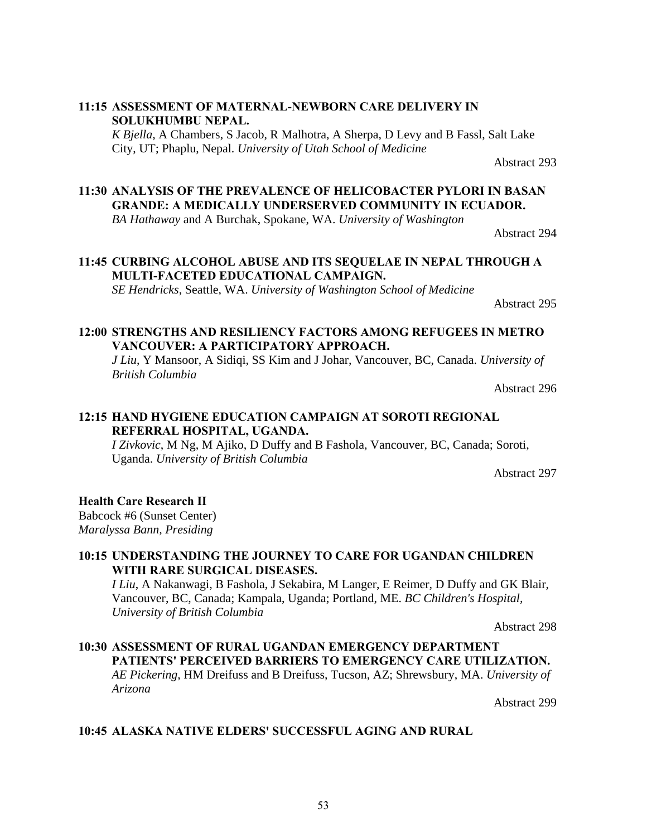## **11:15 ASSESSMENT OF MATERNAL-NEWBORN CARE DELIVERY IN SOLUKHUMBU NEPAL.**

*K Bjella*, A Chambers, S Jacob, R Malhotra, A Sherpa, D Levy and B Fassl, Salt Lake City, UT; Phaplu, Nepal. *University of Utah School of Medicine*

Abstract 293

## **11:30 ANALYSIS OF THE PREVALENCE OF HELICOBACTER PYLORI IN BASAN GRANDE: A MEDICALLY UNDERSERVED COMMUNITY IN ECUADOR.**

*BA Hathaway* and A Burchak, Spokane, WA. *University of Washington*

Abstract 294

## **11:45 CURBING ALCOHOL ABUSE AND ITS SEQUELAE IN NEPAL THROUGH A MULTI-FACETED EDUCATIONAL CAMPAIGN.**

*SE Hendricks*, Seattle, WA. *University of Washington School of Medicine*

Abstract 295

## **12:00 STRENGTHS AND RESILIENCY FACTORS AMONG REFUGEES IN METRO VANCOUVER: A PARTICIPATORY APPROACH.**

*J Liu*, Y Mansoor, A Sidiqi, SS Kim and J Johar, Vancouver, BC, Canada. *University of British Columbia*

Abstract 296

## **12:15 HAND HYGIENE EDUCATION CAMPAIGN AT SOROTI REGIONAL REFERRAL HOSPITAL, UGANDA.**

*I Zivkovic*, M Ng, M Ajiko, D Duffy and B Fashola, Vancouver, BC, Canada; Soroti, Uganda. *University of British Columbia*

Abstract 297

## **Health Care Research II**

Babcock #6 (Sunset Center) *Maralyssa Bann, Presiding*

## **10:15 UNDERSTANDING THE JOURNEY TO CARE FOR UGANDAN CHILDREN WITH RARE SURGICAL DISEASES.**

*I Liu*, A Nakanwagi, B Fashola, J Sekabira, M Langer, E Reimer, D Duffy and GK Blair, Vancouver, BC, Canada; Kampala, Uganda; Portland, ME. *BC Children's Hospital, University of British Columbia*

Abstract 298

## **10:30 ASSESSMENT OF RURAL UGANDAN EMERGENCY DEPARTMENT PATIENTS' PERCEIVED BARRIERS TO EMERGENCY CARE UTILIZATION.** *AE Pickering*, HM Dreifuss and B Dreifuss, Tucson, AZ; Shrewsbury, MA. *University of Arizona*

Abstract 299

## **10:45 ALASKA NATIVE ELDERS' SUCCESSFUL AGING AND RURAL**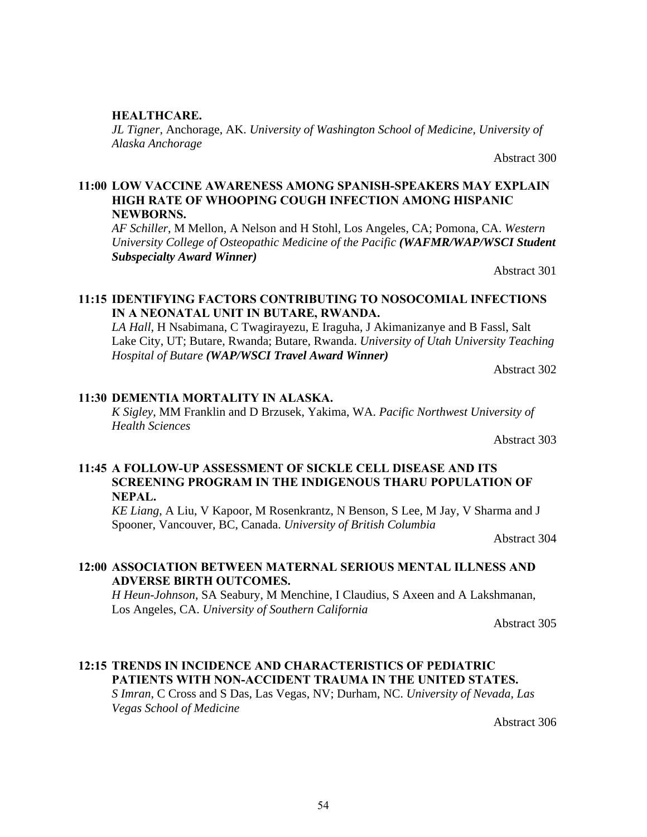## **HEALTHCARE.**

*JL Tigner*, Anchorage, AK. *University of Washington School of Medicine, University of Alaska Anchorage*

Abstract 300

## **11:00 LOW VACCINE AWARENESS AMONG SPANISH-SPEAKERS MAY EXPLAIN HIGH RATE OF WHOOPING COUGH INFECTION AMONG HISPANIC NEWBORNS.**

*AF Schiller*, M Mellon, A Nelson and H Stohl, Los Angeles, CA; Pomona, CA. *Western University College of Osteopathic Medicine of the Pacific (WAFMR/WAP/WSCI Student Subspecialty Award Winner)*

Abstract 301

## **11:15 IDENTIFYING FACTORS CONTRIBUTING TO NOSOCOMIAL INFECTIONS IN A NEONATAL UNIT IN BUTARE, RWANDA.**

*LA Hall*, H Nsabimana, C Twagirayezu, E Iraguha, J Akimanizanye and B Fassl, Salt Lake City, UT; Butare, Rwanda; Butare, Rwanda. *University of Utah University Teaching Hospital of Butare (WAP/WSCI Travel Award Winner)*

Abstract 302

#### **11:30 DEMENTIA MORTALITY IN ALASKA.**

*K Sigley*, MM Franklin and D Brzusek, Yakima, WA. *Pacific Northwest University of Health Sciences*

Abstract 303

## **11:45 A FOLLOW-UP ASSESSMENT OF SICKLE CELL DISEASE AND ITS SCREENING PROGRAM IN THE INDIGENOUS THARU POPULATION OF NEPAL.**

*KE Liang*, A Liu, V Kapoor, M Rosenkrantz, N Benson, S Lee, M Jay, V Sharma and J Spooner, Vancouver, BC, Canada. *University of British Columbia*

Abstract 304

## **12:00 ASSOCIATION BETWEEN MATERNAL SERIOUS MENTAL ILLNESS AND ADVERSE BIRTH OUTCOMES.**

*H Heun-Johnson*, SA Seabury, M Menchine, I Claudius, S Axeen and A Lakshmanan, Los Angeles, CA. *University of Southern California*

Abstract 305

## **12:15 TRENDS IN INCIDENCE AND CHARACTERISTICS OF PEDIATRIC PATIENTS WITH NON-ACCIDENT TRAUMA IN THE UNITED STATES.**

*S Imran*, C Cross and S Das, Las Vegas, NV; Durham, NC. *University of Nevada, Las Vegas School of Medicine*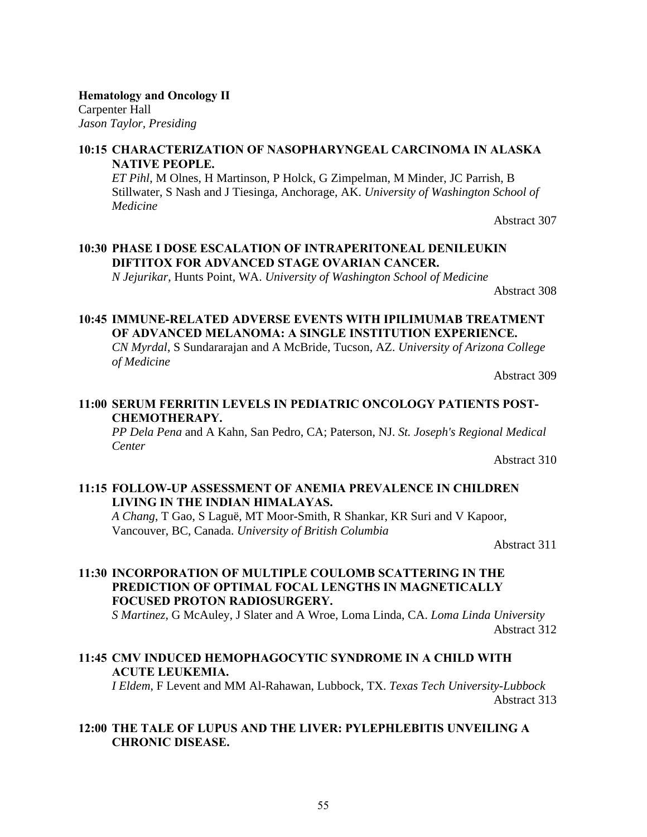55

**Hematology and Oncology II** Carpenter Hall *Jason Taylor, Presiding*

## **10:15 CHARACTERIZATION OF NASOPHARYNGEAL CARCINOMA IN ALASKA NATIVE PEOPLE.**

*ET Pihl*, M Olnes, H Martinson, P Holck, G Zimpelman, M Minder, JC Parrish, B Stillwater, S Nash and J Tiesinga, Anchorage, AK. *University of Washington School of Medicine*

Abstract 307

## **10:30 PHASE I DOSE ESCALATION OF INTRAPERITONEAL DENILEUKIN DIFTITOX FOR ADVANCED STAGE OVARIAN CANCER.**

*N Jejurikar*, Hunts Point, WA. *University of Washington School of Medicine*

Abstract 308

## **10:45 IMMUNE-RELATED ADVERSE EVENTS WITH IPILIMUMAB TREATMENT OF ADVANCED MELANOMA: A SINGLE INSTITUTION EXPERIENCE.**

*CN Myrdal*, S Sundararajan and A McBride, Tucson, AZ. *University of Arizona College of Medicine*

Abstract 309

## **11:00 SERUM FERRITIN LEVELS IN PEDIATRIC ONCOLOGY PATIENTS POST-CHEMOTHERAPY.**

*PP Dela Pena* and A Kahn, San Pedro, CA; Paterson, NJ. *St. Joseph's Regional Medical Center*

Abstract 310

## **11:15 FOLLOW-UP ASSESSMENT OF ANEMIA PREVALENCE IN CHILDREN LIVING IN THE INDIAN HIMALAYAS.**

*A Chang*, T Gao, S Laguë, MT Moor-Smith, R Shankar, KR Suri and V Kapoor, Vancouver, BC, Canada. *University of British Columbia*

Abstract 311

## **11:30 INCORPORATION OF MULTIPLE COULOMB SCATTERING IN THE PREDICTION OF OPTIMAL FOCAL LENGTHS IN MAGNETICALLY FOCUSED PROTON RADIOSURGERY.**

*S Martinez*, G McAuley, J Slater and A Wroe, Loma Linda, CA. *Loma Linda University* Abstract 312

## **11:45 CMV INDUCED HEMOPHAGOCYTIC SYNDROME IN A CHILD WITH ACUTE LEUKEMIA.**

*I Eldem*, F Levent and MM Al-Rahawan, Lubbock, TX. *Texas Tech University-Lubbock* Abstract 313

## **12:00 THE TALE OF LUPUS AND THE LIVER: PYLEPHLEBITIS UNVEILING A CHRONIC DISEASE.**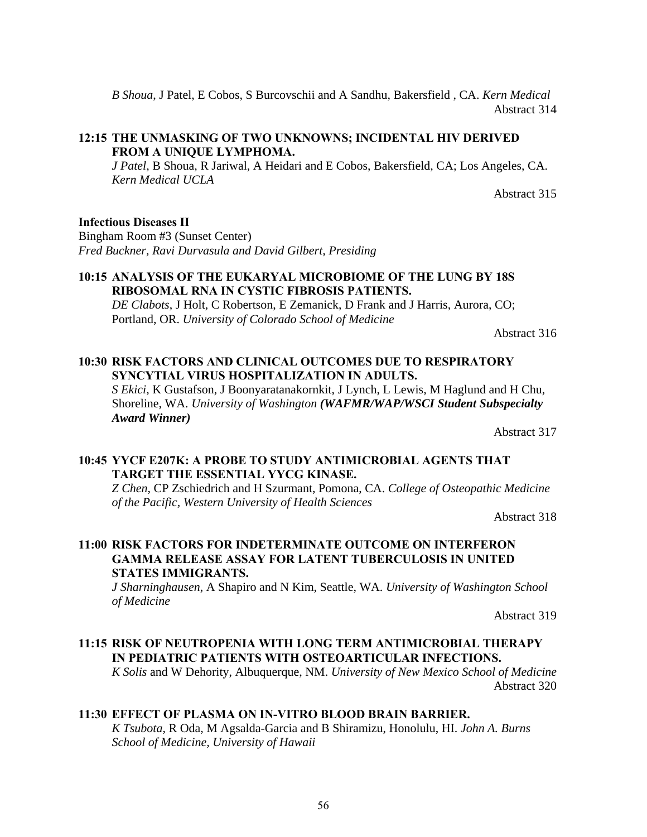*B Shoua*, J Patel, E Cobos, S Burcovschii and A Sandhu, Bakersfield , CA. *Kern Medical*  Abstract 314

## **12:15 THE UNMASKING OF TWO UNKNOWNS; INCIDENTAL HIV DERIVED FROM A UNIQUE LYMPHOMA.**

*J Patel*, B Shoua, R Jariwal, A Heidari and E Cobos, Bakersfield, CA; Los Angeles, CA. *Kern Medical UCLA*

Abstract 315

## **Infectious Diseases II**

Bingham Room #3 (Sunset Center) *Fred Buckner, Ravi Durvasula and David Gilbert, Presiding*

## **10:15 ANALYSIS OF THE EUKARYAL MICROBIOME OF THE LUNG BY 18S RIBOSOMAL RNA IN CYSTIC FIBROSIS PATIENTS.**

*DE Clabots*, J Holt, C Robertson, E Zemanick, D Frank and J Harris, Aurora, CO; Portland, OR. *University of Colorado School of Medicine*

Abstract 316

## **10:30 RISK FACTORS AND CLINICAL OUTCOMES DUE TO RESPIRATORY SYNCYTIAL VIRUS HOSPITALIZATION IN ADULTS.**

*S Ekici*, K Gustafson, J Boonyaratanakornkit, J Lynch, L Lewis, M Haglund and H Chu, Shoreline, WA. *University of Washington (WAFMR/WAP/WSCI Student Subspecialty Award Winner)*

Abstract 317

## **10:45 YYCF E207K: A PROBE TO STUDY ANTIMICROBIAL AGENTS THAT TARGET THE ESSENTIAL YYCG KINASE.**

*Z Chen*, CP Zschiedrich and H Szurmant, Pomona, CA. *College of Osteopathic Medicine of the Pacific, Western University of Health Sciences*

Abstract 318

## **11:00 RISK FACTORS FOR INDETERMINATE OUTCOME ON INTERFERON GAMMA RELEASE ASSAY FOR LATENT TUBERCULOSIS IN UNITED STATES IMMIGRANTS.**

*J Sharninghausen*, A Shapiro and N Kim, Seattle, WA. *University of Washington School of Medicine*

Abstract 319

## **11:15 RISK OF NEUTROPENIA WITH LONG TERM ANTIMICROBIAL THERAPY IN PEDIATRIC PATIENTS WITH OSTEOARTICULAR INFECTIONS.**

*K Solis* and W Dehority, Albuquerque, NM. *University of New Mexico School of Medicine* Abstract 320

## **11:30 EFFECT OF PLASMA ON IN-VITRO BLOOD BRAIN BARRIER.**

*K Tsubota*, R Oda, M Agsalda-Garcia and B Shiramizu, Honolulu, HI. *John A. Burns School of Medicine, University of Hawaii*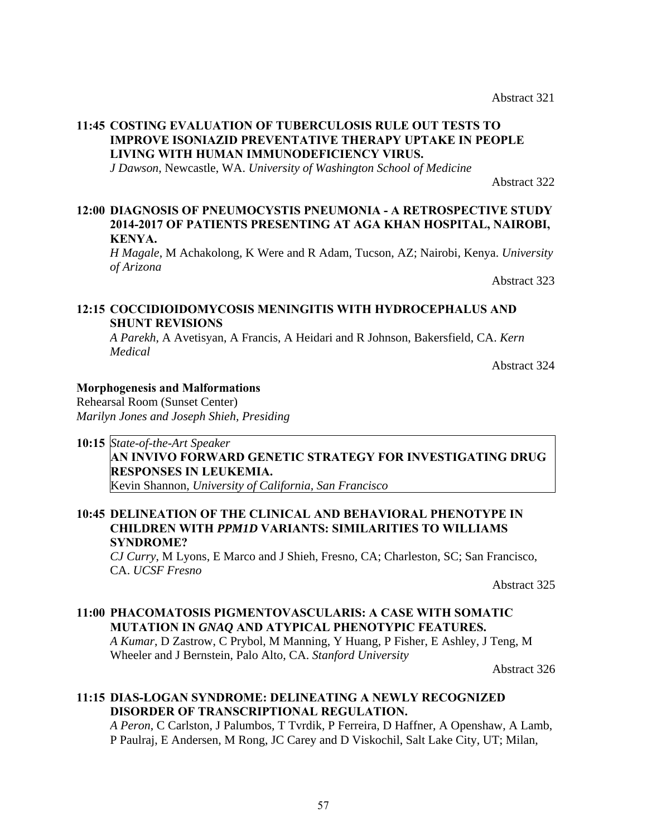## **11:45 COSTING EVALUATION OF TUBERCULOSIS RULE OUT TESTS TO IMPROVE ISONIAZID PREVENTATIVE THERAPY UPTAKE IN PEOPLE LIVING WITH HUMAN IMMUNODEFICIENCY VIRUS.**

*J Dawson*, Newcastle, WA. *University of Washington School of Medicine*

Abstract 322

## **12:00 DIAGNOSIS OF PNEUMOCYSTIS PNEUMONIA - A RETROSPECTIVE STUDY 2014-2017 OF PATIENTS PRESENTING AT AGA KHAN HOSPITAL, NAIROBI, KENYA.**

*H Magale*, M Achakolong, K Were and R Adam, Tucson, AZ; Nairobi, Kenya. *University of Arizona* 

Abstract 323

## **12:15 COCCIDIOIDOMYCOSIS MENINGITIS WITH HYDROCEPHALUS AND SHUNT REVISIONS**

*A Parekh*, A Avetisyan, A Francis, A Heidari and R Johnson, Bakersfield, CA. *Kern Medical*

Abstract 324

## **Morphogenesis and Malformations**

Rehearsal Room (Sunset Center) *Marilyn Jones and Joseph Shieh, Presiding*

## **10:15** *State-of-the-Art Speaker*

## **AN INVIVO FORWARD GENETIC STRATEGY FOR INVESTIGATING DRUG RESPONSES IN LEUKEMIA.**

Kevin Shannon, *University of California, San Francisco*

## **10:45 DELINEATION OF THE CLINICAL AND BEHAVIORAL PHENOTYPE IN CHILDREN WITH** *PPM1D* **VARIANTS: SIMILARITIES TO WILLIAMS SYNDROME?**

*CJ Curry*, M Lyons, E Marco and J Shieh, Fresno, CA; Charleston, SC; San Francisco, CA. *UCSF Fresno*

Abstract 325

## **11:00 PHACOMATOSIS PIGMENTOVASCULARIS: A CASE WITH SOMATIC MUTATION IN** *GNAQ* **AND ATYPICAL PHENOTYPIC FEATURES.**

*A Kumar*, D Zastrow, C Prybol, M Manning, Y Huang, P Fisher, E Ashley, J Teng, M Wheeler and J Bernstein, Palo Alto, CA. *Stanford University*

Abstract 326

## **11:15 DIAS-LOGAN SYNDROME: DELINEATING A NEWLY RECOGNIZED DISORDER OF TRANSCRIPTIONAL REGULATION.**

*A Peron*, C Carlston, J Palumbos, T Tvrdik, P Ferreira, D Haffner, A Openshaw, A Lamb, P Paulraj, E Andersen, M Rong, JC Carey and D Viskochil, Salt Lake City, UT; Milan,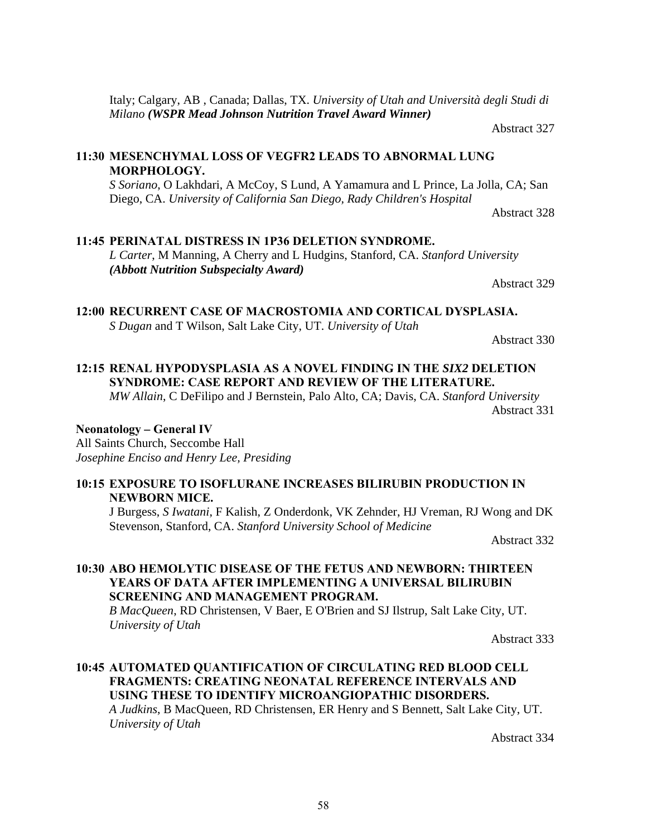Italy; Calgary, AB , Canada; Dallas, TX. *University of Utah and Università degli Studi di Milano (WSPR Mead Johnson Nutrition Travel Award Winner)*

Abstract 327

## **11:30 MESENCHYMAL LOSS OF VEGFR2 LEADS TO ABNORMAL LUNG MORPHOLOGY.**

*S Soriano*, O Lakhdari, A McCoy, S Lund, A Yamamura and L Prince, La Jolla, CA; San Diego, CA. *University of California San Diego, Rady Children's Hospital* 

Abstract 328

## **11:45 PERINATAL DISTRESS IN 1P36 DELETION SYNDROME.**

*L Carter*, M Manning, A Cherry and L Hudgins, Stanford, CA. *Stanford University (Abbott Nutrition Subspecialty Award)*

Abstract 329

**12:00 RECURRENT CASE OF MACROSTOMIA AND CORTICAL DYSPLASIA.**

*S Dugan* and T Wilson, Salt Lake City, UT. *University of Utah*

Abstract 330

## **12:15 RENAL HYPODYSPLASIA AS A NOVEL FINDING IN THE** *SIX2* **DELETION SYNDROME: CASE REPORT AND REVIEW OF THE LITERATURE.**

*MW Allain*, C DeFilipo and J Bernstein, Palo Alto, CA; Davis, CA. *Stanford University* Abstract 331

## **Neonatology** *–* **General IV**

All Saints Church, Seccombe Hall *Josephine Enciso and Henry Lee, Presiding*

## **10:15 EXPOSURE TO ISOFLURANE INCREASES BILIRUBIN PRODUCTION IN NEWBORN MICE.**

J Burgess, *S Iwatani*, F Kalish, Z Onderdonk, VK Zehnder, HJ Vreman, RJ Wong and DK Stevenson, Stanford, CA. *Stanford University School of Medicine*

Abstract 332

## **10:30 ABO HEMOLYTIC DISEASE OF THE FETUS AND NEWBORN: THIRTEEN YEARS OF DATA AFTER IMPLEMENTING A UNIVERSAL BILIRUBIN SCREENING AND MANAGEMENT PROGRAM.**

*B MacQueen*, RD Christensen, V Baer, E O'Brien and SJ Ilstrup, Salt Lake City, UT. *University of Utah*

Abstract 333

## **10:45 AUTOMATED QUANTIFICATION OF CIRCULATING RED BLOOD CELL FRAGMENTS: CREATING NEONATAL REFERENCE INTERVALS AND USING THESE TO IDENTIFY MICROANGIOPATHIC DISORDERS.** *A Judkins*, B MacQueen, RD Christensen, ER Henry and S Bennett, Salt Lake City, UT.

*University of Utah*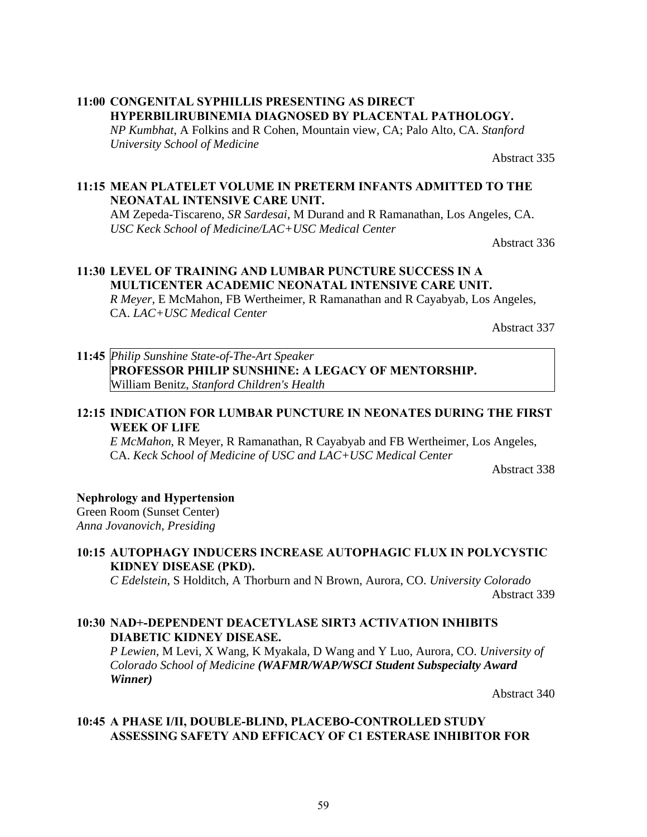## **11:00 CONGENITAL SYPHILLIS PRESENTING AS DIRECT HYPERBILIRUBINEMIA DIAGNOSED BY PLACENTAL PATHOLOGY.**

*NP Kumbhat*, A Folkins and R Cohen, Mountain view, CA; Palo Alto, CA. *Stanford University School of Medicine*

Abstract 335

## **11:15 MEAN PLATELET VOLUME IN PRETERM INFANTS ADMITTED TO THE NEONATAL INTENSIVE CARE UNIT.**

AM Zepeda-Tiscareno, *SR Sardesai*, M Durand and R Ramanathan, Los Angeles, CA. *USC Keck School of Medicine/LAC+USC Medical Center*

Abstract 336

## **11:30 LEVEL OF TRAINING AND LUMBAR PUNCTURE SUCCESS IN A MULTICENTER ACADEMIC NEONATAL INTENSIVE CARE UNIT.**

*R Meyer*, E McMahon, FB Wertheimer, R Ramanathan and R Cayabyab, Los Angeles, CA. *LAC+USC Medical Center*

Abstract 337

## **11:45** *Philip Sunshine State-of-The-Art Speaker* **PROFESSOR PHILIP SUNSHINE: A LEGACY OF MENTORSHIP.** William Benitz, *Stanford Children's Health*

## **12:15 INDICATION FOR LUMBAR PUNCTURE IN NEONATES DURING THE FIRST WEEK OF LIFE**

*E McMahon*, R Meyer, R Ramanathan, R Cayabyab and FB Wertheimer, Los Angeles, CA. *Keck School of Medicine of USC and LAC+USC Medical Center*

Abstract 338

## **Nephrology and Hypertension**

Green Room (Sunset Center) *Anna Jovanovich, Presiding*

## **10:15 AUTOPHAGY INDUCERS INCREASE AUTOPHAGIC FLUX IN POLYCYSTIC KIDNEY DISEASE (PKD).**

*C Edelstein*, S Holditch, A Thorburn and N Brown, Aurora, CO. *University Colorado* Abstract 339

## **10:30 NAD+-DEPENDENT DEACETYLASE SIRT3 ACTIVATION INHIBITS DIABETIC KIDNEY DISEASE.**

*P Lewien*, M Levi, X Wang, K Myakala, D Wang and Y Luo, Aurora, CO. *University of Colorado School of Medicine (WAFMR/WAP/WSCI Student Subspecialty Award Winner)*

Abstract 340

## **10:45 A PHASE I/II, DOUBLE-BLIND, PLACEBO-CONTROLLED STUDY ASSESSING SAFETY AND EFFICACY OF C1 ESTERASE INHIBITOR FOR**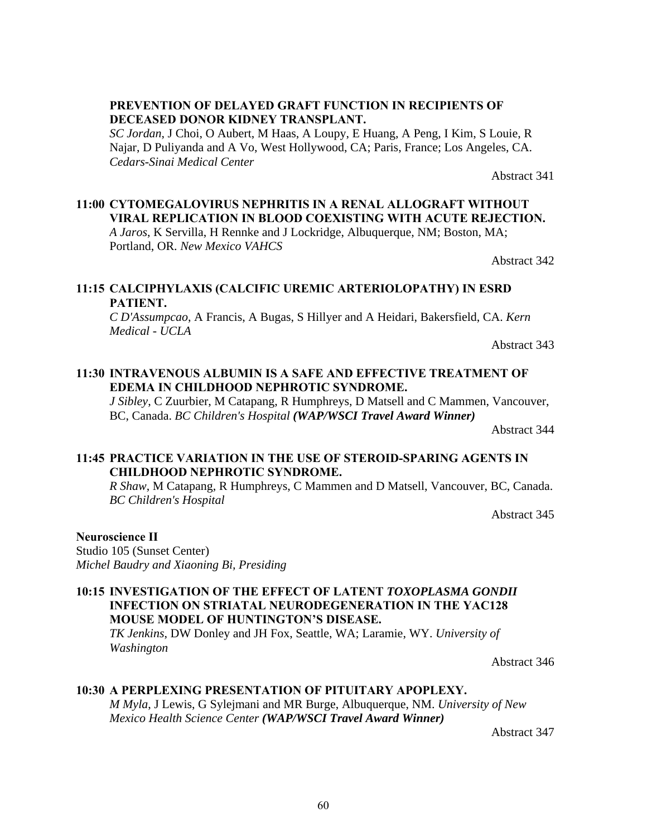## **PREVENTION OF DELAYED GRAFT FUNCTION IN RECIPIENTS OF DECEASED DONOR KIDNEY TRANSPLANT.**

*SC Jordan*, J Choi, O Aubert, M Haas, A Loupy, E Huang, A Peng, I Kim, S Louie, R Najar, D Puliyanda and A Vo, West Hollywood, CA; Paris, France; Los Angeles, CA. *Cedars-Sinai Medical Center*

Abstract 341

## **11:00 CYTOMEGALOVIRUS NEPHRITIS IN A RENAL ALLOGRAFT WITHOUT VIRAL REPLICATION IN BLOOD COEXISTING WITH ACUTE REJECTION.**

*A Jaros*, K Servilla, H Rennke and J Lockridge, Albuquerque, NM; Boston, MA; Portland, OR. *New Mexico VAHCS*

Abstract 342

## **11:15 CALCIPHYLAXIS (CALCIFIC UREMIC ARTERIOLOPATHY) IN ESRD PATIENT.**

*C D'Assumpcao*, A Francis, A Bugas, S Hillyer and A Heidari, Bakersfield, CA. *Kern Medical - UCLA*

Abstract 343

## **11:30 INTRAVENOUS ALBUMIN IS A SAFE AND EFFECTIVE TREATMENT OF EDEMA IN CHILDHOOD NEPHROTIC SYNDROME.**

*J Sibley*, C Zuurbier, M Catapang, R Humphreys, D Matsell and C Mammen, Vancouver, BC, Canada. *BC Children's Hospital (WAP/WSCI Travel Award Winner)*

Abstract 344

## **11:45 PRACTICE VARIATION IN THE USE OF STEROID-SPARING AGENTS IN CHILDHOOD NEPHROTIC SYNDROME.**

*R Shaw*, M Catapang, R Humphreys, C Mammen and D Matsell, Vancouver, BC, Canada. *BC Children's Hospital*

Abstract 345

## **Neuroscience II**

Studio 105 (Sunset Center) *Michel Baudry and Xiaoning Bi, Presiding*

## **10:15 INVESTIGATION OF THE EFFECT OF LATENT** *TOXOPLASMA GONDII*  **INFECTION ON STRIATAL NEURODEGENERATION IN THE YAC128 MOUSE MODEL OF HUNTINGTON'S DISEASE.**

*TK Jenkins*, DW Donley and JH Fox, Seattle, WA; Laramie, WY. *University of Washington*

Abstract 346

#### **10:30 A PERPLEXING PRESENTATION OF PITUITARY APOPLEXY.**

*M Myla*, J Lewis, G Sylejmani and MR Burge, Albuquerque, NM. *University of New Mexico Health Science Center (WAP/WSCI Travel Award Winner)*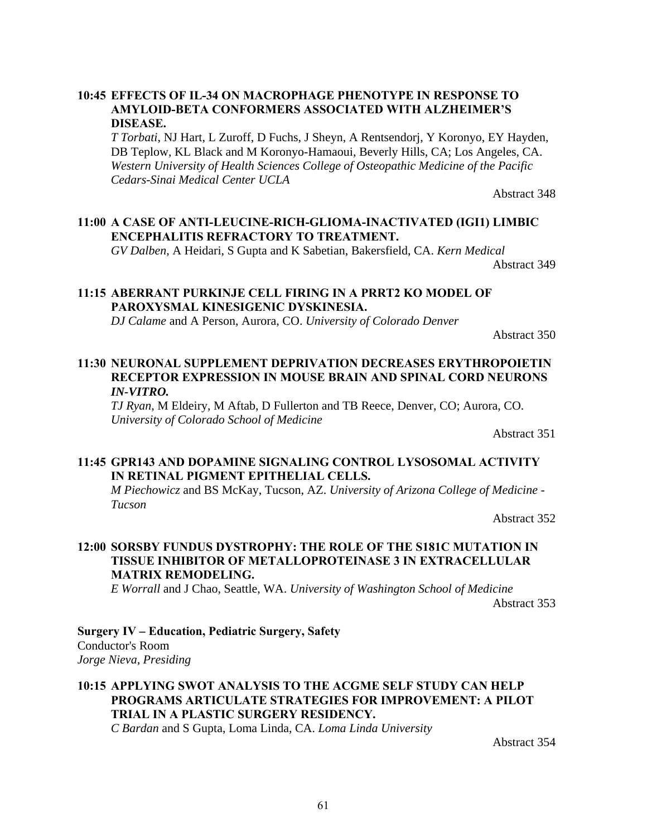## **10:45 EFFECTS OF IL-34 ON MACROPHAGE PHENOTYPE IN RESPONSE TO AMYLOID-BETA CONFORMERS ASSOCIATED WITH ALZHEIMER'S DISEASE.**

*T Torbati*, NJ Hart, L Zuroff, D Fuchs, J Sheyn, A Rentsendorj, Y Koronyo, EY Hayden, DB Teplow, KL Black and M Koronyo-Hamaoui, Beverly Hills, CA; Los Angeles, CA. *Western University of Health Sciences College of Osteopathic Medicine of the Pacific Cedars-Sinai Medical Center UCLA*

Abstract 348

#### **11:00 A CASE OF ANTI-LEUCINE-RICH-GLIOMA-INACTIVATED (IGI1) LIMBIC ENCEPHALITIS REFRACTORY TO TREATMENT.**

*GV Dalben*, A Heidari, S Gupta and K Sabetian, Bakersfield, CA. *Kern Medical*

Abstract 349

## **11:15 ABERRANT PURKINJE CELL FIRING IN A PRRT2 KO MODEL OF PAROXYSMAL KINESIGENIC DYSKINESIA.**

*DJ Calame* and A Person, Aurora, CO. *University of Colorado Denver*

Abstract 350

## **11:30 NEURONAL SUPPLEMENT DEPRIVATION DECREASES ERYTHROPOIETIN RECEPTOR EXPRESSION IN MOUSE BRAIN AND SPINAL CORD NEURONS**  *IN-VITRO.*

*TJ Ryan*, M Eldeiry, M Aftab, D Fullerton and TB Reece, Denver, CO; Aurora, CO. *University of Colorado School of Medicine*

Abstract 351

## **11:45 GPR143 AND DOPAMINE SIGNALING CONTROL LYSOSOMAL ACTIVITY IN RETINAL PIGMENT EPITHELIAL CELLS.**

*M Piechowicz* and BS McKay, Tucson, AZ. *University of Arizona College of Medicine - Tucson*

Abstract 352

## **12:00 SORSBY FUNDUS DYSTROPHY: THE ROLE OF THE S181C MUTATION IN TISSUE INHIBITOR OF METALLOPROTEINASE 3 IN EXTRACELLULAR MATRIX REMODELING.**

*E Worrall* and J Chao, Seattle, WA. *University of Washington School of Medicine* Abstract 353

**Surgery IV** *–* **Education, Pediatric Surgery, Safety** Conductor's Room *Jorge Nieva, Presiding*

## **10:15 APPLYING SWOT ANALYSIS TO THE ACGME SELF STUDY CAN HELP PROGRAMS ARTICULATE STRATEGIES FOR IMPROVEMENT: A PILOT TRIAL IN A PLASTIC SURGERY RESIDENCY.**

*C Bardan* and S Gupta, Loma Linda, CA. *Loma Linda University*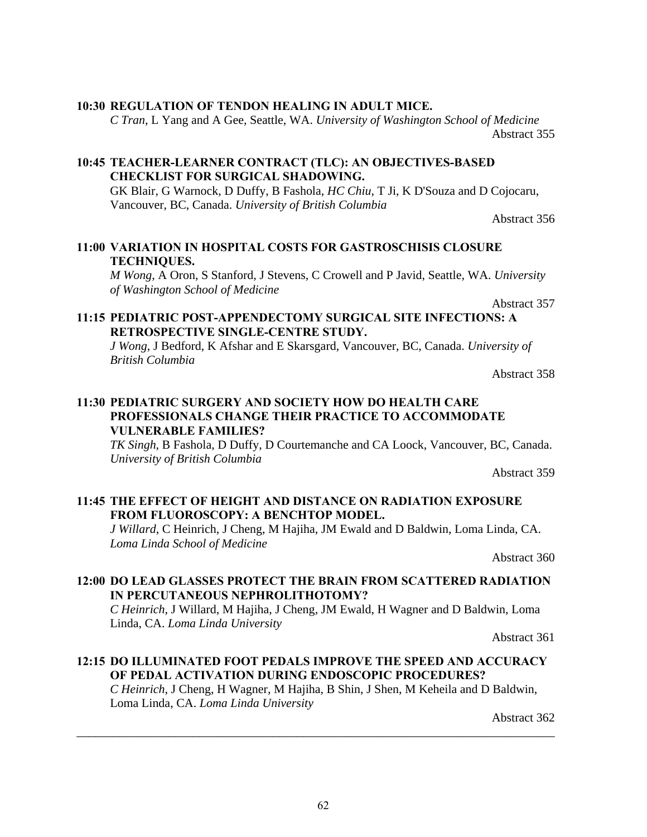## **10:30 REGULATION OF TENDON HEALING IN ADULT MICE.**

*C Tran*, L Yang and A Gee, Seattle, WA. *University of Washington School of Medicine* Abstract 355

## **10:45 TEACHER-LEARNER CONTRACT (TLC): AN OBJECTIVES-BASED CHECKLIST FOR SURGICAL SHADOWING.**

GK Blair, G Warnock, D Duffy, B Fashola, *HC Chiu*, T Ji, K D'Souza and D Cojocaru, Vancouver, BC, Canada. *University of British Columbia*

Abstract 356

## **11:00 VARIATION IN HOSPITAL COSTS FOR GASTROSCHISIS CLOSURE TECHNIQUES.**

*M Wong*, A Oron, S Stanford, J Stevens, C Crowell and P Javid, Seattle, WA. *University of Washington School of Medicine*

Abstract 357

## **11:15 PEDIATRIC POST-APPENDECTOMY SURGICAL SITE INFECTIONS: A RETROSPECTIVE SINGLE-CENTRE STUDY.**

*J Wong*, J Bedford, K Afshar and E Skarsgard, Vancouver, BC, Canada. *University of British Columbia*

Abstract 358

## **11:30 PEDIATRIC SURGERY AND SOCIETY HOW DO HEALTH CARE PROFESSIONALS CHANGE THEIR PRACTICE TO ACCOMMODATE VULNERABLE FAMILIES?**

*TK Singh*, B Fashola, D Duffy, D Courtemanche and CA Loock, Vancouver, BC, Canada. *University of British Columbia*

Abstract 359

## **11:45 THE EFFECT OF HEIGHT AND DISTANCE ON RADIATION EXPOSURE FROM FLUOROSCOPY: A BENCHTOP MODEL.**

*J Willard*, C Heinrich, J Cheng, M Hajiha, JM Ewald and D Baldwin, Loma Linda, CA. *Loma Linda School of Medicine*

Abstract 360

## **12:00 DO LEAD GLASSES PROTECT THE BRAIN FROM SCATTERED RADIATION IN PERCUTANEOUS NEPHROLITHOTOMY?**

*C Heinrich*, J Willard, M Hajiha, J Cheng, JM Ewald, H Wagner and D Baldwin, Loma Linda, CA. *Loma Linda University*

Abstract 361

## **12:15 DO ILLUMINATED FOOT PEDALS IMPROVE THE SPEED AND ACCURACY OF PEDAL ACTIVATION DURING ENDOSCOPIC PROCEDURES?**

\_\_\_\_\_\_\_\_\_\_\_\_\_\_\_\_\_\_\_\_\_\_\_\_\_\_\_\_\_\_\_\_\_\_\_\_\_\_\_\_\_\_\_\_\_\_\_\_\_\_\_\_\_\_\_\_\_\_\_\_\_\_\_\_\_\_\_\_\_\_\_\_\_\_\_\_\_\_

*C Heinrich*, J Cheng, H Wagner, M Hajiha, B Shin, J Shen, M Keheila and D Baldwin, Loma Linda, CA. *Loma Linda University*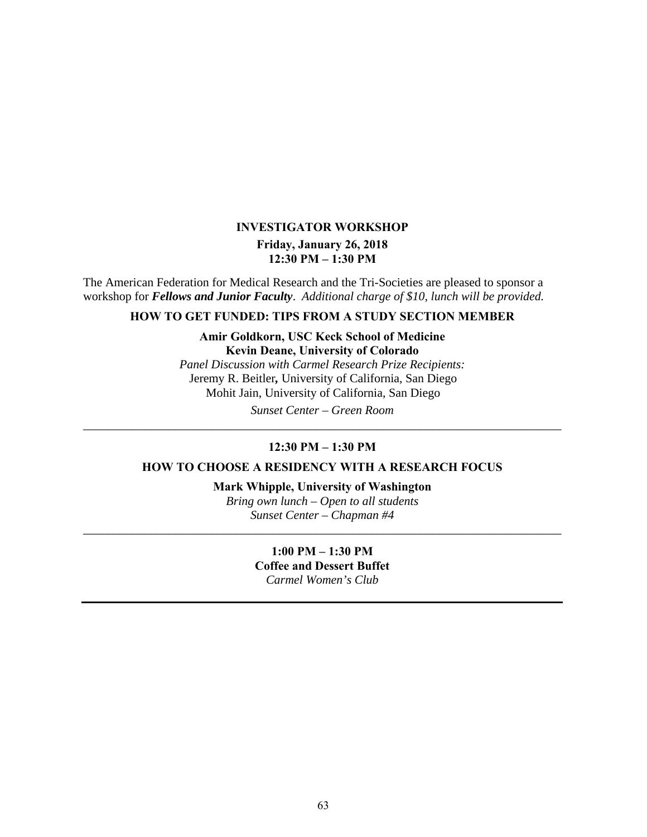## **INVESTIGATOR WORKSHOP Friday, January 26, 2018 12:30 PM – 1:30 PM**

The American Federation for Medical Research and the Tri-Societies are pleased to sponsor a workshop for *Fellows and Junior Faculty*. *Additional charge of \$10, lunch will be provided.* 

## **HOW TO GET FUNDED: TIPS FROM A STUDY SECTION MEMBER**

## **Amir Goldkorn, USC Keck School of Medicine Kevin Deane, University of Colorado**

*Panel Discussion with Carmel Research Prize Recipients:*  Jeremy R. Beitler*,* University of California, San Diego Mohit Jain, University of California, San Diego

*Sunset Center – Green Room \_\_\_\_\_\_\_\_\_\_\_\_\_\_\_\_\_\_\_\_\_\_\_\_\_\_\_\_\_\_\_\_\_\_\_\_\_\_\_\_\_\_\_\_\_\_\_\_\_\_\_\_\_\_\_\_\_\_\_\_\_\_\_\_\_\_\_\_\_\_\_\_\_\_\_\_\_\_* 

## **12:30 PM – 1:30 PM**

## **HOW TO CHOOSE A RESIDENCY WITH A RESEARCH FOCUS**

## **Mark Whipple, University of Washington**

*Bring own lunch – Open to all students Sunset Center – Chapman #4 \_\_\_\_\_\_\_\_\_\_\_\_\_\_\_\_\_\_\_\_\_\_\_\_\_\_\_\_\_\_\_\_\_\_\_\_\_\_\_\_\_\_\_\_\_\_\_\_\_\_\_\_\_\_\_\_\_\_\_\_\_\_\_\_\_\_\_\_\_\_\_\_\_\_\_\_\_\_* 

> **1:00 PM – 1:30 PM Coffee and Dessert Buffet**  *Carmel Women's Club*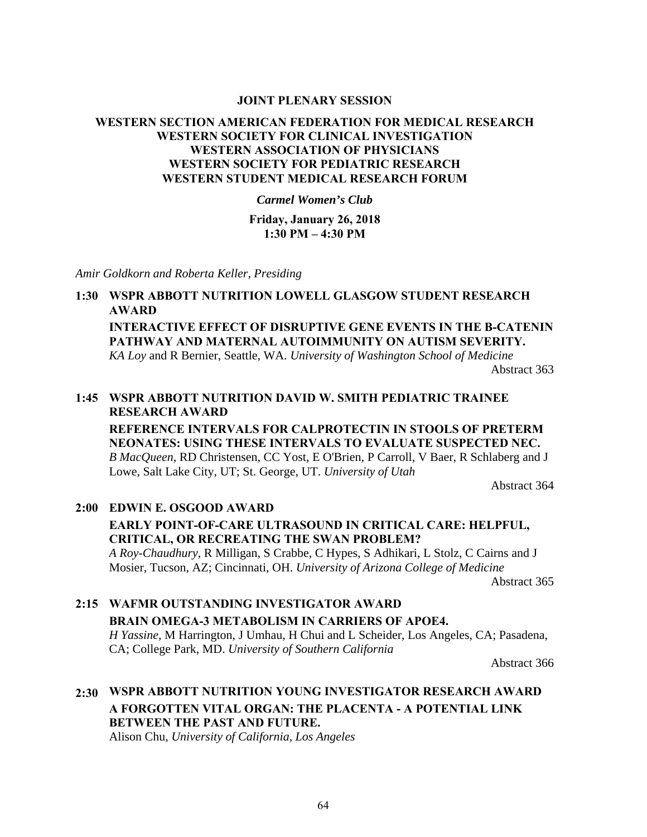#### **JOINT PLENARY SESSION**

## **WESTERN SECTION AMERICAN FEDERATION FOR MEDICAL RESEARCH WESTERN SOCIETY FOR CLINICAL INVESTIGATION WESTERN ASSOCIATION OF PHYSICIANS WESTERN SOCIETY FOR PEDIATRIC RESEARCH WESTERN STUDENT MEDICAL RESEARCH FORUM**

*Carmel Women's Club* 

**Friday, January 26, 2018 1:30 PM – 4:30 PM**

*Amir Goldkorn and Roberta Keller, Presiding* 

## **1:30 WSPR ABBOTT NUTRITION LOWELL GLASGOW STUDENT RESEARCH AWARD INTERACTIVE EFFECT OF DISRUPTIVE GENE EVENTS IN THE Β-CATENIN**

**PATHWAY AND MATERNAL AUTOIMMUNITY ON AUTISM SEVERITY.**

*KA Loy* and R Bernier, Seattle, WA. *University of Washington School of Medicine*  Abstract 363

## **1:45 WSPR ABBOTT NUTRITION DAVID W. SMITH PEDIATRIC TRAINEE RESEARCH AWARD**

**REFERENCE INTERVALS FOR CALPROTECTIN IN STOOLS OF PRETERM NEONATES: USING THESE INTERVALS TO EVALUATE SUSPECTED NEC.** *B MacQueen*, RD Christensen, CC Yost, E O'Brien, P Carroll, V Baer, R Schlaberg and J Lowe, Salt Lake City, UT; St. George, UT. *University of Utah*

Abstract 364

## **2:00 EDWIN E. OSGOOD AWARD EARLY POINT-OF-CARE ULTRASOUND IN CRITICAL CARE: HELPFUL, CRITICAL, OR RECREATING THE SWAN PROBLEM?** *A Roy-Chaudhury*, R Milligan, S Crabbe, C Hypes, S Adhikari, L Stolz, C Cairns and J Mosier, Tucson, AZ; Cincinnati, OH. *University of Arizona College of Medicine* Abstract 365

## **2:15 WAFMR OUTSTANDING INVESTIGATOR AWARD BRAIN OMEGA-3 METABOLISM IN CARRIERS OF APOE4.** *H Yassine*, M Harrington, J Umhau, H Chui and L Scheider, Los Angeles, CA; Pasadena, CA; College Park, MD. *University of Southern California*

Abstract 366

## **2:30 WSPR ABBOTT NUTRITION YOUNG INVESTIGATOR RESEARCH AWARD A FORGOTTEN VITAL ORGAN: THE PLACENTA - A POTENTIAL LINK BETWEEN THE PAST AND FUTURE.**

Alison Chu, *University of California, Los Angeles*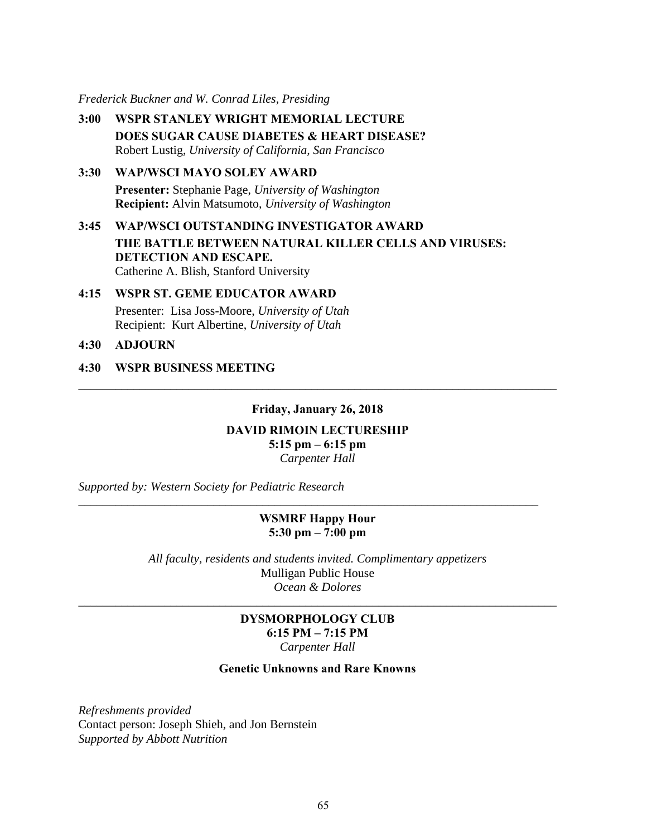*Frederick Buckner and W. Conrad Liles, Presiding* 

- **3:00 WSPR STANLEY WRIGHT MEMORIAL LECTURE DOES SUGAR CAUSE DIABETES & HEART DISEASE?** Robert Lustig, *University of California, San Francisco*
- **3:30 WAP/WSCI MAYO SOLEY AWARD Presenter:** Stephanie Page, *University of Washington* **Recipient:** Alvin Matsumoto, *University of Washington*
- **3:45 WAP/WSCI OUTSTANDING INVESTIGATOR AWARD THE BATTLE BETWEEN NATURAL KILLER CELLS AND VIRUSES: DETECTION AND ESCAPE.**  Catherine A. Blish, Stanford University
- **4:15 WSPR ST. GEME EDUCATOR AWARD**  Presenter: Lisa Joss-Moore, *University of Utah* Recipient: Kurt Albertine, *University of Utah*
- **4:30 ADJOURN**
- **4:30 WSPR BUSINESS MEETING**

#### **Friday, January 26, 2018**

\_\_\_\_\_\_\_\_\_\_\_\_\_\_\_\_\_\_\_\_\_\_\_\_\_\_\_\_\_\_\_\_\_\_\_\_\_\_\_\_\_\_\_\_\_\_\_\_\_\_\_\_\_\_\_\_\_\_\_\_\_\_\_\_\_\_\_\_\_\_\_\_\_\_\_\_\_\_

## **DAVID RIMOIN LECTURESHIP 5:15 pm – 6:15 pm**

*Carpenter Hall* 

*Supported by: Western Society for Pediatric Research* 

## **WSMRF Happy Hour 5:30 pm – 7:00 pm**

*\_\_\_\_\_\_\_\_\_\_\_\_\_\_\_\_\_\_\_\_\_\_\_\_\_\_\_\_\_\_\_\_\_\_\_\_\_\_\_\_\_\_\_\_\_\_\_\_\_\_\_\_\_\_\_\_\_\_\_\_\_\_\_\_\_\_\_\_\_\_\_\_\_\_\_* 

*All faculty, residents and students invited. Complimentary appetizers*  Mulligan Public House *Ocean & Dolores* 

## **DYSMORPHOLOGY CLUB 6:15 PM – 7:15 PM**  *Carpenter Hall*

*\_\_\_\_\_\_\_\_\_\_\_\_\_\_\_\_\_\_\_\_\_\_\_\_\_\_\_\_\_\_\_\_\_\_\_\_\_\_\_\_\_\_\_\_\_\_\_\_\_\_\_\_\_\_\_\_\_\_\_\_\_\_\_\_\_\_\_\_\_\_\_\_\_\_\_\_\_\_* 

#### **Genetic Unknowns and Rare Knowns**

*Refreshments provided*  Contact person: Joseph Shieh, and Jon Bernstein *Supported by Abbott Nutrition*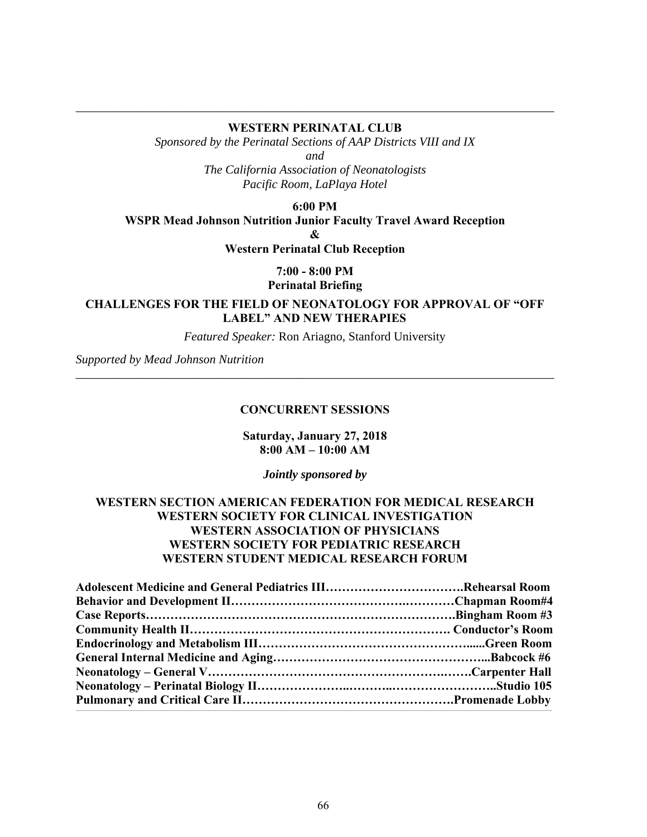## \_\_\_\_\_\_\_\_\_\_\_\_\_\_\_\_\_\_\_\_\_\_\_\_\_\_\_\_\_\_\_\_\_\_\_\_\_\_\_\_\_\_\_\_\_\_\_\_\_\_\_\_\_\_\_\_\_\_\_\_\_\_\_\_\_\_\_\_\_\_\_\_\_\_\_\_\_\_ **WESTERN PERINATAL CLUB**

*Sponsored by the Perinatal Sections of AAP Districts VIII and IX* 

*and* 

*The California Association of Neonatologists Pacific Room, LaPlaya Hotel* 

**6:00 PM** 

**WSPR Mead Johnson Nutrition Junior Faculty Travel Award Reception** 

**&** 

**Western Perinatal Club Reception** 

**7:00 - 8:00 PM** 

**Perinatal Briefing** 

**CHALLENGES FOR THE FIELD OF NEONATOLOGY FOR APPROVAL OF "OFF LABEL" AND NEW THERAPIES** 

*Featured Speaker:* Ron Ariagno, Stanford University

\_\_\_\_\_\_\_\_\_\_\_\_\_\_\_\_\_\_\_\_\_\_\_\_\_\_\_\_\_\_\_\_\_\_\_\_\_\_\_\_\_\_\_\_\_\_\_\_\_\_\_\_\_\_\_\_\_\_\_\_\_\_\_\_\_\_\_\_\_\_\_\_\_\_\_\_\_\_

*Supported by Mead Johnson Nutrition* 

## **CONCURRENT SESSIONS**

## **Saturday, January 27, 2018 8:00 AM – 10:00 AM**

*Jointly sponsored by* 

## **WESTERN SECTION AMERICAN FEDERATION FOR MEDICAL RESEARCH WESTERN SOCIETY FOR CLINICAL INVESTIGATION WESTERN ASSOCIATION OF PHYSICIANS WESTERN SOCIETY FOR PEDIATRIC RESEARCH WESTERN STUDENT MEDICAL RESEARCH FORUM**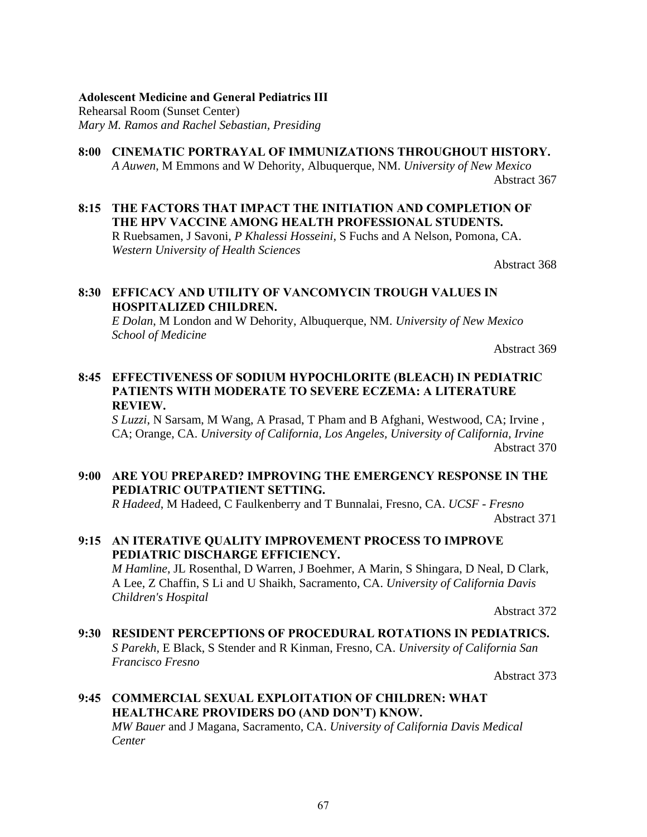## **Adolescent Medicine and General Pediatrics III** Rehearsal Room (Sunset Center) *Mary M. Ramos and Rachel Sebastian, Presiding*

## **8:00 CINEMATIC PORTRAYAL OF IMMUNIZATIONS THROUGHOUT HISTORY.**

*A Auwen*, M Emmons and W Dehority, Albuquerque, NM. *University of New Mexico* Abstract 367

## **8:15 THE FACTORS THAT IMPACT THE INITIATION AND COMPLETION OF THE HPV VACCINE AMONG HEALTH PROFESSIONAL STUDENTS.**

R Ruebsamen, J Savoni, *P Khalessi Hosseini*, S Fuchs and A Nelson, Pomona, CA. *Western University of Health Sciences*

Abstract 368

## **8:30 EFFICACY AND UTILITY OF VANCOMYCIN TROUGH VALUES IN HOSPITALIZED CHILDREN.**

*E Dolan*, M London and W Dehority, Albuquerque, NM. *University of New Mexico School of Medicine*

Abstract 369

## **8:45 EFFECTIVENESS OF SODIUM HYPOCHLORITE (BLEACH) IN PEDIATRIC PATIENTS WITH MODERATE TO SEVERE ECZEMA: A LITERATURE REVIEW.**

*S Luzzi*, N Sarsam, M Wang, A Prasad, T Pham and B Afghani, Westwood, CA; Irvine , CA; Orange, CA. *University of California, Los Angeles, University of California, Irvine* Abstract 370

## **9:00 ARE YOU PREPARED? IMPROVING THE EMERGENCY RESPONSE IN THE PEDIATRIC OUTPATIENT SETTING.**

*R Hadeed*, M Hadeed, C Faulkenberry and T Bunnalai, Fresno, CA. *UCSF - Fresno* Abstract 371

## **9:15 AN ITERATIVE QUALITY IMPROVEMENT PROCESS TO IMPROVE PEDIATRIC DISCHARGE EFFICIENCY.** *M Hamline*, JL Rosenthal, D Warren, J Boehmer, A Marin, S Shingara, D Neal, D Clark,

A Lee, Z Chaffin, S Li and U Shaikh, Sacramento, CA. *University of California Davis Children's Hospital*

Abstract 372

**9:30 RESIDENT PERCEPTIONS OF PROCEDURAL ROTATIONS IN PEDIATRICS.** *S Parekh*, E Black, S Stender and R Kinman, Fresno, CA. *University of California San Francisco Fresno*

Abstract 373

## **9:45 COMMERCIAL SEXUAL EXPLOITATION OF CHILDREN: WHAT HEALTHCARE PROVIDERS DO (AND DON'T) KNOW.**

*MW Bauer* and J Magana, Sacramento, CA. *University of California Davis Medical Center*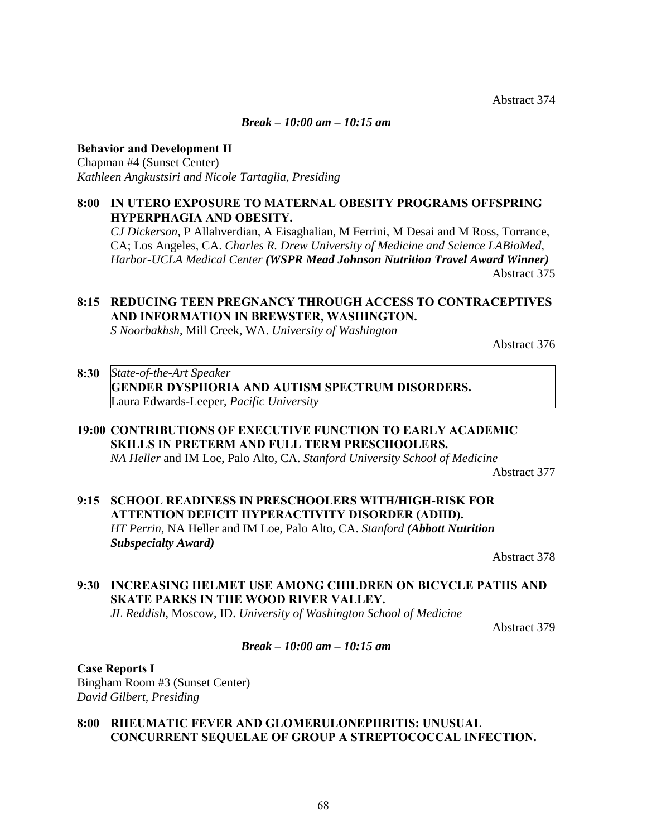Abstract 374

#### *Break* **–** *10:00 am – 10:15 am*

#### **Behavior and Development II**

Chapman #4 (Sunset Center) *Kathleen Angkustsiri and Nicole Tartaglia, Presiding*

## **8:00 IN UTERO EXPOSURE TO MATERNAL OBESITY PROGRAMS OFFSPRING HYPERPHAGIA AND OBESITY.**

*CJ Dickerson*, P Allahverdian, A Eisaghalian, M Ferrini, M Desai and M Ross, Torrance, CA; Los Angeles, CA. *Charles R. Drew University of Medicine and Science LABioMed, Harbor-UCLA Medical Center (WSPR Mead Johnson Nutrition Travel Award Winner)* Abstract 375

## **8:15 REDUCING TEEN PREGNANCY THROUGH ACCESS TO CONTRACEPTIVES AND INFORMATION IN BREWSTER, WASHINGTON.**

*S Noorbakhsh*, Mill Creek, WA. *University of Washington*

Abstract 376

## **8:30** *State-of-the-Art Speaker*  **GENDER DYSPHORIA AND AUTISM SPECTRUM DISORDERS.** Laura Edwards-Leeper, *Pacific University*

## **19:00 CONTRIBUTIONS OF EXECUTIVE FUNCTION TO EARLY ACADEMIC SKILLS IN PRETERM AND FULL TERM PRESCHOOLERS.**

*NA Heller* and IM Loe, Palo Alto, CA. *Stanford University School of Medicine*

Abstract 377

## **9:15 SCHOOL READINESS IN PRESCHOOLERS WITH/HIGH-RISK FOR ATTENTION DEFICIT HYPERACTIVITY DISORDER (ADHD).** *HT Perrin*, NA Heller and IM Loe, Palo Alto, CA. *Stanford (Abbott Nutrition Subspecialty Award)*

Abstract 378

## **9:30 INCREASING HELMET USE AMONG CHILDREN ON BICYCLE PATHS AND SKATE PARKS IN THE WOOD RIVER VALLEY.**

*JL Reddish*, Moscow, ID. *University of Washington School of Medicine*

Abstract 379

## *Break* **–** *10:00 am – 10:15 am*

**Case Reports I** Bingham Room #3 (Sunset Center) *David Gilbert, Presiding*

## **8:00 RHEUMATIC FEVER AND GLOMERULONEPHRITIS: UNUSUAL CONCURRENT SEQUELAE OF GROUP A STREPTOCOCCAL INFECTION.**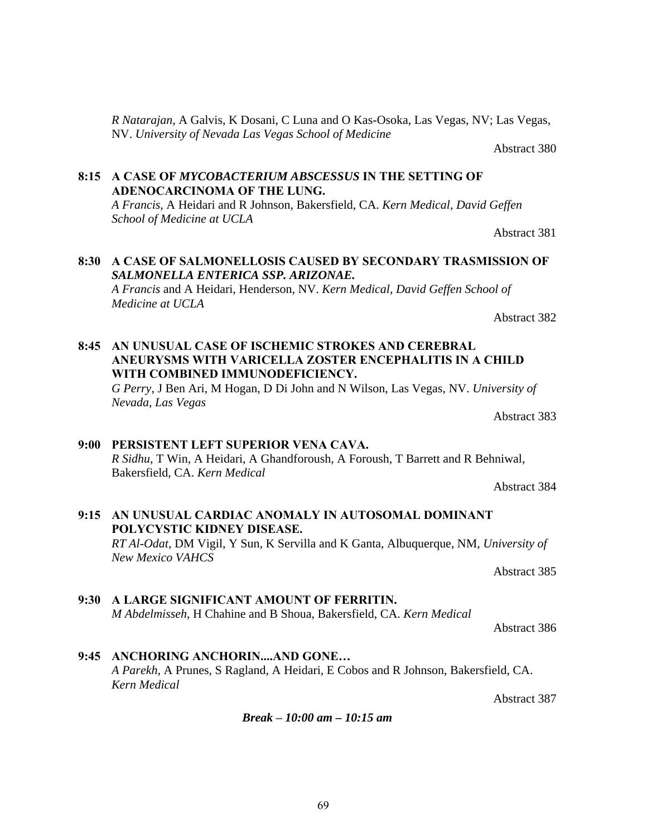*Break* **–** *10:00 am – 10:15 am* 

*R Natarajan*, A Galvis, K Dosani, C Luna and O Kas-Osoka, Las Vegas, NV; Las Vegas, NV. *University of Nevada Las Vegas School of Medicine*

Abstract 380

Abstract 381

Abstract 382

## **8:15 A CASE OF** *MYCOBACTERIUM ABSCESSUS* **IN THE SETTING OF ADENOCARCINOMA OF THE LUNG.**

*A Francis*, A Heidari and R Johnson, Bakersfield, CA. *Kern Medical, David Geffen School of Medicine at UCLA*

## **8:30 A CASE OF SALMONELLOSIS CAUSED BY SECONDARY TRASMISSION OF**  *SALMONELLA ENTERICA SSP. ARIZONAE.*

*A Francis* and A Heidari, Henderson, NV. *Kern Medical, David Geffen School of Medicine at UCLA*

## **8:45 AN UNUSUAL CASE OF ISCHEMIC STROKES AND CEREBRAL ANEURYSMS WITH VARICELLA ZOSTER ENCEPHALITIS IN A CHILD WITH COMBINED IMMUNODEFICIENCY.**

*G Perry*, J Ben Ari, M Hogan, D Di John and N Wilson, Las Vegas, NV. *University of Nevada, Las Vegas*

Abstract 383

## **9:00 PERSISTENT LEFT SUPERIOR VENA CAVA.** *R Sidhu*, T Win, A Heidari, A Ghandforoush, A Foroush, T Barrett and R Behniwal,

Abstract 384

## **9:15 AN UNUSUAL CARDIAC ANOMALY IN AUTOSOMAL DOMINANT POLYCYSTIC KIDNEY DISEASE.** *RT Al-Odat*, DM Vigil, Y Sun, K Servilla and K Ganta, Albuquerque, NM, *University of*

*New Mexico VAHCS*

Abstract 385

## **9:30 A LARGE SIGNIFICANT AMOUNT OF FERRITIN.**

*M Abdelmisseh*, H Chahine and B Shoua, Bakersfield, CA. *Kern Medical*

Abstract 386

**9:45 ANCHORING ANCHORIN....AND GONE…** *A Parekh*, A Prunes, S Ragland, A Heidari, E Cobos and R Johnson, Bakersfield, CA. *Kern Medical*

Abstract 387

## Bakersfield, CA. *Kern Medical*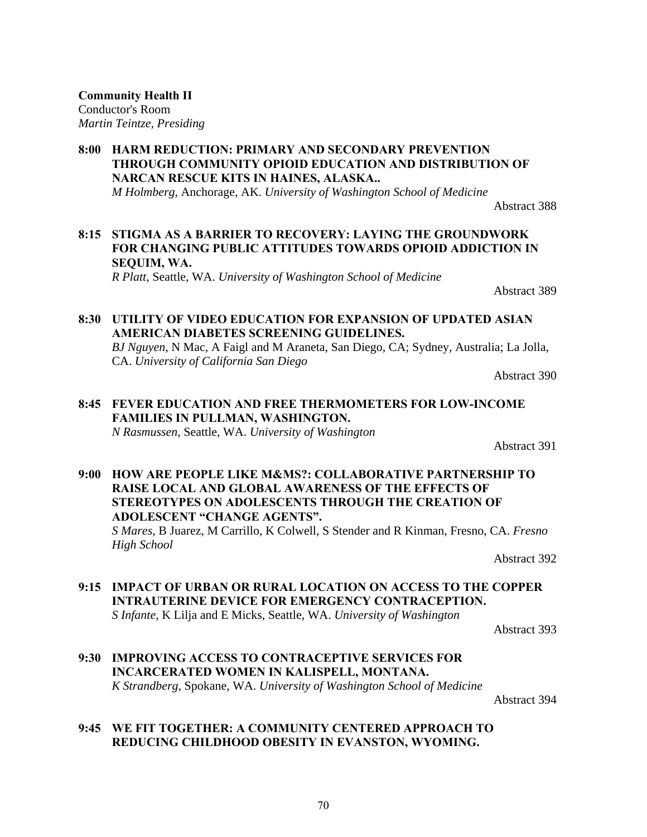**Community Health II** Conductor's Room *Martin Teintze, Presiding*

**8:00 HARM REDUCTION: PRIMARY AND SECONDARY PREVENTION THROUGH COMMUNITY OPIOID EDUCATION AND DISTRIBUTION OF NARCAN RESCUE KITS IN HAINES, ALASKA..** *M Holmberg*, Anchorage, AK. *University of Washington School of Medicine*

Abstract 388

## **8:15 STIGMA AS A BARRIER TO RECOVERY: LAYING THE GROUNDWORK FOR CHANGING PUBLIC ATTITUDES TOWARDS OPIOID ADDICTION IN SEQUIM, WA.**

*R Platt*, Seattle, WA. *University of Washington School of Medicine*

Abstract 389

## **8:30 UTILITY OF VIDEO EDUCATION FOR EXPANSION OF UPDATED ASIAN AMERICAN DIABETES SCREENING GUIDELINES.**

*BJ Nguyen*, N Mac, A Faigl and M Araneta, San Diego, CA; Sydney, Australia; La Jolla, CA. *University of California San Diego*

Abstract 390

## **8:45 FEVER EDUCATION AND FREE THERMOMETERS FOR LOW-INCOME FAMILIES IN PULLMAN, WASHINGTON.**

*N Rasmussen*, Seattle, WA. *University of Washington*

Abstract 391

**9:00 HOW ARE PEOPLE LIKE M&MS?: COLLABORATIVE PARTNERSHIP TO RAISE LOCAL AND GLOBAL AWARENESS OF THE EFFECTS OF STEREOTYPES ON ADOLESCENTS THROUGH THE CREATION OF ADOLESCENT "CHANGE AGENTS".** *S Mares*, B Juarez, M Carrillo, K Colwell, S Stender and R Kinman, Fresno, CA. *Fresno High School*

Abstract 392

## **9:15 IMPACT OF URBAN OR RURAL LOCATION ON ACCESS TO THE COPPER INTRAUTERINE DEVICE FOR EMERGENCY CONTRACEPTION.** *S Infante*, K Lilja and E Micks, Seattle, WA. *University of Washington*

Abstract 393

**9:30 IMPROVING ACCESS TO CONTRACEPTIVE SERVICES FOR INCARCERATED WOMEN IN KALISPELL, MONTANA.** *K Strandberg*, Spokane, WA. *University of Washington School of Medicine*

Abstract 394

**9:45 WE FIT TOGETHER: A COMMUNITY CENTERED APPROACH TO REDUCING CHILDHOOD OBESITY IN EVANSTON, WYOMING.**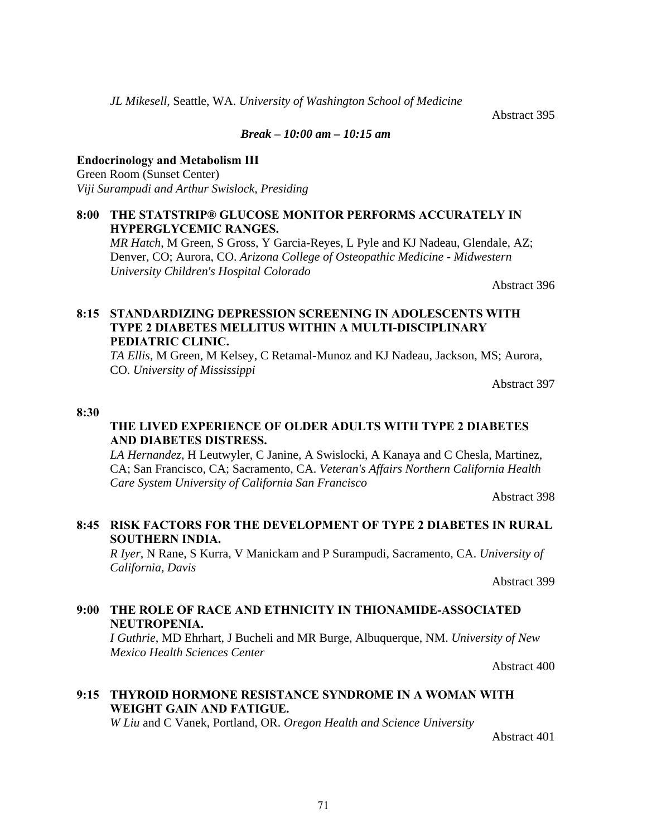*JL Mikesell*, Seattle, WA. *University of Washington School of Medicine*

Abstract 395

## *Break* **–** *10:00 am – 10:15 am*

**Endocrinology and Metabolism III** Green Room (Sunset Center)

*Viji Surampudi and Arthur Swislock, Presiding* 

## **8:00 THE STATSTRIP® GLUCOSE MONITOR PERFORMS ACCURATELY IN HYPERGLYCEMIC RANGES.**

*MR Hatch*, M Green, S Gross, Y Garcia-Reyes, L Pyle and KJ Nadeau, Glendale, AZ; Denver, CO; Aurora, CO. *Arizona College of Osteopathic Medicine - Midwestern University Children's Hospital Colorado*

Abstract 396

## **8:15 STANDARDIZING DEPRESSION SCREENING IN ADOLESCENTS WITH TYPE 2 DIABETES MELLITUS WITHIN A MULTI-DISCIPLINARY PEDIATRIC CLINIC.**

*TA Ellis*, M Green, M Kelsey, C Retamal-Munoz and KJ Nadeau, Jackson, MS; Aurora, CO. *University of Mississippi*

Abstract 397

#### **8:30**

## **THE LIVED EXPERIENCE OF OLDER ADULTS WITH TYPE 2 DIABETES AND DIABETES DISTRESS.**

*LA Hernandez*, H Leutwyler, C Janine, A Swislocki, A Kanaya and C Chesla, Martinez, CA; San Francisco, CA; Sacramento, CA. *Veteran's Affairs Northern California Health Care System University of California San Francisco*

Abstract 398

## **8:45 RISK FACTORS FOR THE DEVELOPMENT OF TYPE 2 DIABETES IN RURAL SOUTHERN INDIA.**

*R Iyer*, N Rane, S Kurra, V Manickam and P Surampudi, Sacramento, CA. *University of California, Davis*

Abstract 399

## **9:00 THE ROLE OF RACE AND ETHNICITY IN THIONAMIDE-ASSOCIATED NEUTROPENIA.**

*I Guthrie*, MD Ehrhart, J Bucheli and MR Burge, Albuquerque, NM. *University of New Mexico Health Sciences Center*

Abstract 400

## **9:15 THYROID HORMONE RESISTANCE SYNDROME IN A WOMAN WITH WEIGHT GAIN AND FATIGUE.**

*W Liu* and C Vanek, Portland, OR. *Oregon Health and Science University*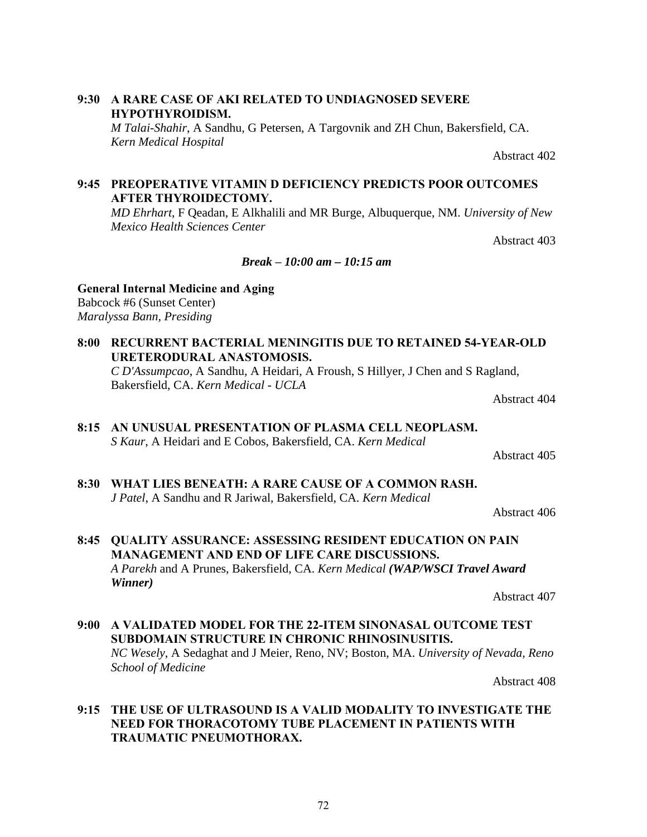## **9:30 A RARE CASE OF AKI RELATED TO UNDIAGNOSED SEVERE HYPOTHYROIDISM.**

*M Talai-Shahir*, A Sandhu, G Petersen, A Targovnik and ZH Chun, Bakersfield, CA. *Kern Medical Hospital*

Abstract 402

## **9:45 PREOPERATIVE VITAMIN D DEFICIENCY PREDICTS POOR OUTCOMES AFTER THYROIDECTOMY.**

*MD Ehrhart*, F Qeadan, E Alkhalili and MR Burge, Albuquerque, NM. *University of New Mexico Health Sciences Center*

Abstract 403

## *Break* **–** *10:00 am – 10:15 am*

## **General Internal Medicine and Aging**

Babcock #6 (Sunset Center) *Maralyssa Bann, Presiding*

**8:00 RECURRENT BACTERIAL MENINGITIS DUE TO RETAINED 54-YEAR-OLD URETERODURAL ANASTOMOSIS.**

*C D'Assumpcao*, A Sandhu, A Heidari, A Froush, S Hillyer, J Chen and S Ragland, Bakersfield, CA. *Kern Medical - UCLA*

Abstract 404

## *S Kaur*, A Heidari and E Cobos, Bakersfield, CA. *Kern Medical*

Abstract 405

**8:30 WHAT LIES BENEATH: A RARE CAUSE OF A COMMON RASH.** *J Patel*, A Sandhu and R Jariwal, Bakersfield, CA. *Kern Medical*

Abstract 406

## **8:45 QUALITY ASSURANCE: ASSESSING RESIDENT EDUCATION ON PAIN MANAGEMENT AND END OF LIFE CARE DISCUSSIONS.** *A Parekh* and A Prunes, Bakersfield, CA. *Kern Medical (WAP/WSCI Travel Award Winner)*

Abstract 407

**9:00 A VALIDATED MODEL FOR THE 22-ITEM SINONASAL OUTCOME TEST SUBDOMAIN STRUCTURE IN CHRONIC RHINOSINUSITIS.** *NC Wesely*, A Sedaghat and J Meier, Reno, NV; Boston, MA. *University of Nevada, Reno School of Medicine*

Abstract 408

## **9:15 THE USE OF ULTRASOUND IS A VALID MODALITY TO INVESTIGATE THE NEED FOR THORACOTOMY TUBE PLACEMENT IN PATIENTS WITH TRAUMATIC PNEUMOTHORAX.**

# **8:15 AN UNUSUAL PRESENTATION OF PLASMA CELL NEOPLASM.**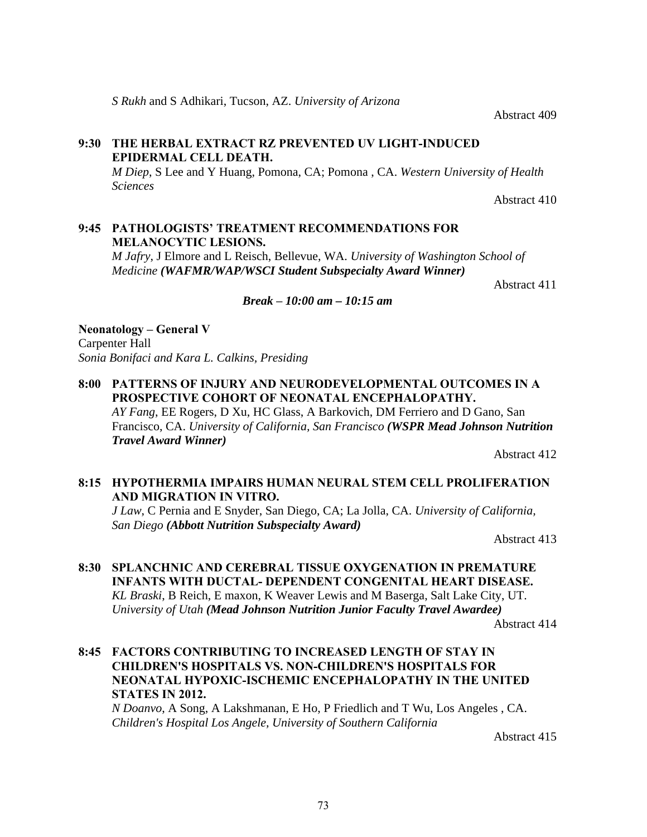*S Rukh* and S Adhikari, Tucson, AZ. *University of Arizona*

Abstract 409

# **9:30 THE HERBAL EXTRACT RZ PREVENTED UV LIGHT-INDUCED EPIDERMAL CELL DEATH.**

*M Diep*, S Lee and Y Huang, Pomona, CA; Pomona , CA. *Western University of Health Sciences*

Abstract 410

# **9:45 PATHOLOGISTS' TREATMENT RECOMMENDATIONS FOR MELANOCYTIC LESIONS.**

*M Jafry*, J Elmore and L Reisch, Bellevue, WA. *University of Washington School of Medicine (WAFMR/WAP/WSCI Student Subspecialty Award Winner)*

Abstract 411

#### *Break* **–** *10:00 am – 10:15 am*

**Neonatology – General V** Carpenter Hall *Sonia Bonifaci and Kara L. Calkins, Presiding*

**8:00 PATTERNS OF INJURY AND NEURODEVELOPMENTAL OUTCOMES IN A PROSPECTIVE COHORT OF NEONATAL ENCEPHALOPATHY.** *AY Fang*, EE Rogers, D Xu, HC Glass, A Barkovich, DM Ferriero and D Gano, San Francisco, CA. *University of California, San Francisco (WSPR Mead Johnson Nutrition Travel Award Winner)*

Abstract 412

# **8:15 HYPOTHERMIA IMPAIRS HUMAN NEURAL STEM CELL PROLIFERATION AND MIGRATION IN VITRO.**

*J Law*, C Pernia and E Snyder, San Diego, CA; La Jolla, CA. *University of California, San Diego (Abbott Nutrition Subspecialty Award)*

Abstract 413

# **8:30 SPLANCHNIC AND CEREBRAL TISSUE OXYGENATION IN PREMATURE INFANTS WITH DUCTAL- DEPENDENT CONGENITAL HEART DISEASE.** *KL Braski*, B Reich, E maxon, K Weaver Lewis and M Baserga, Salt Lake City, UT. *University of Utah (Mead Johnson Nutrition Junior Faculty Travel Awardee)*

Abstract 414

### **8:45 FACTORS CONTRIBUTING TO INCREASED LENGTH OF STAY IN CHILDREN'S HOSPITALS VS. NON-CHILDREN'S HOSPITALS FOR NEONATAL HYPOXIC-ISCHEMIC ENCEPHALOPATHY IN THE UNITED STATES IN 2012.**

*N Doanvo*, A Song, A Lakshmanan, E Ho, P Friedlich and T Wu, Los Angeles , CA. *Children's Hospital Los Angele, University of Southern California*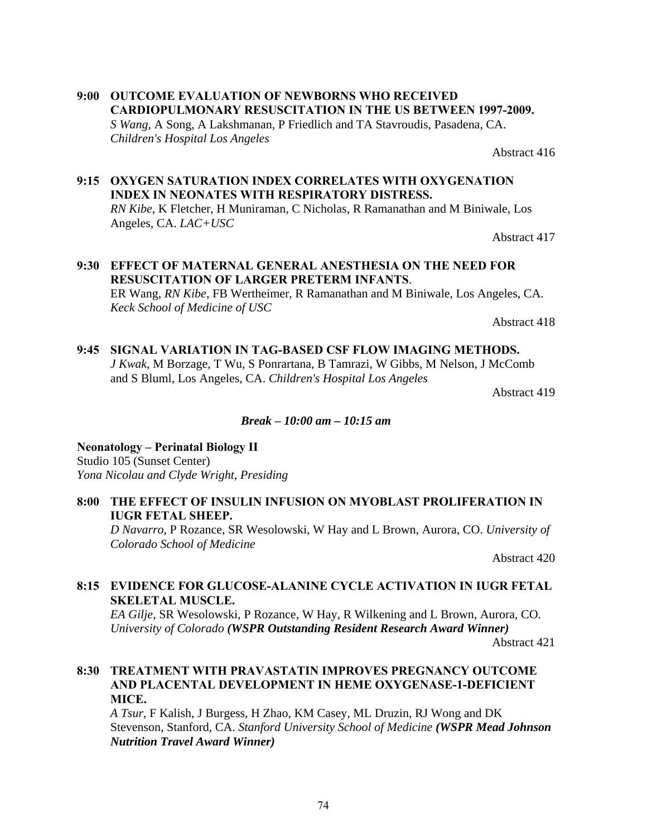# **9:00 OUTCOME EVALUATION OF NEWBORNS WHO RECEIVED CARDIOPULMONARY RESUSCITATION IN THE US BETWEEN 1997-2009.**

*S Wang*, A Song, A Lakshmanan, P Friedlich and TA Stavroudis, Pasadena, CA. *Children's Hospital Los Angeles*

Abstract 416

# **9:15 OXYGEN SATURATION INDEX CORRELATES WITH OXYGENATION INDEX IN NEONATES WITH RESPIRATORY DISTRESS.**

*RN Kibe*, K Fletcher, H Muniraman, C Nicholas, R Ramanathan and M Biniwale, Los Angeles, CA. *LAC+USC*

Abstract 417

# **9:30 EFFECT OF MATERNAL GENERAL ANESTHESIA ON THE NEED FOR RESUSCITATION OF LARGER PRETERM INFANTS**.

ER Wang, *RN Kibe*, FB Wertheimer, R Ramanathan and M Biniwale, Los Angeles, CA. *Keck School of Medicine of USC*

Abstract 418

# **9:45 SIGNAL VARIATION IN TAG-BASED CSF FLOW IMAGING METHODS.**

*J Kwak*, M Borzage, T Wu, S Ponrartana, B Tamrazi, W Gibbs, M Nelson, J McComb and S Bluml, Los Angeles, CA. *Children's Hospital Los Angeles*

Abstract 419

### *Break* **–** *10:00 am – 10:15 am*

**Neonatology – Perinatal Biology II** Studio 105 (Sunset Center) *Yona Nicolau and Clyde Wright, Presiding*

### **8:00 THE EFFECT OF INSULIN INFUSION ON MYOBLAST PROLIFERATION IN IUGR FETAL SHEEP.**

*D Navarro*, P Rozance, SR Wesolowski, W Hay and L Brown, Aurora, CO. *University of Colorado School of Medicine*

Abstract 420

# **8:15 EVIDENCE FOR GLUCOSE-ALANINE CYCLE ACTIVATION IN IUGR FETAL SKELETAL MUSCLE.**

*EA Gilje*, SR Wesolowski, P Rozance, W Hay, R Wilkening and L Brown, Aurora, CO. *University of Colorado (WSPR Outstanding Resident Research Award Winner)*

Abstract 421

#### **8:30 TREATMENT WITH PRAVASTATIN IMPROVES PREGNANCY OUTCOME AND PLACENTAL DEVELOPMENT IN HEME OXYGENASE-1-DEFICIENT MICE.**

*A Tsur*, F Kalish, J Burgess, H Zhao, KM Casey, ML Druzin, RJ Wong and DK Stevenson, Stanford, CA. *Stanford University School of Medicine (WSPR Mead Johnson Nutrition Travel Award Winner)*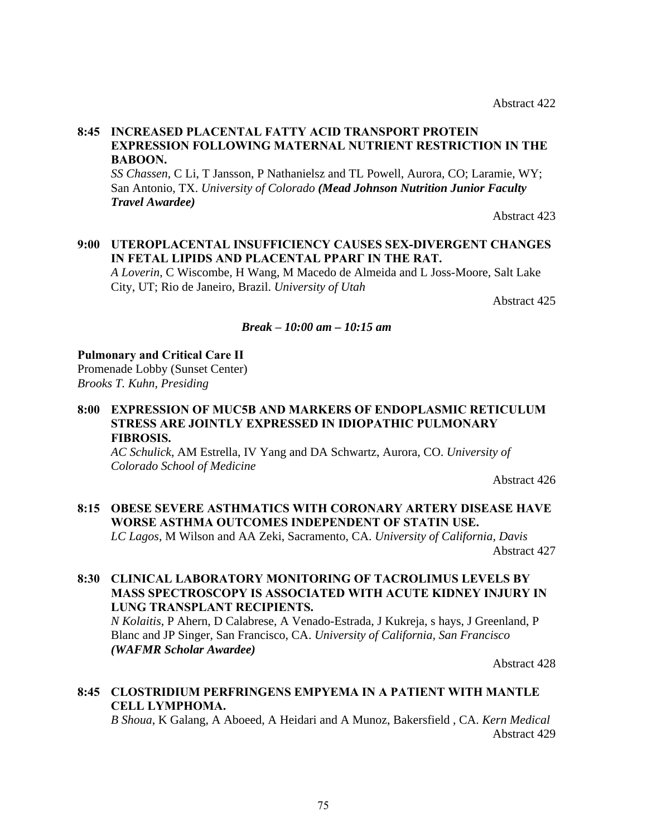#### **8:45 INCREASED PLACENTAL FATTY ACID TRANSPORT PROTEIN EXPRESSION FOLLOWING MATERNAL NUTRIENT RESTRICTION IN THE BABOON.**

*SS Chassen*, C Li, T Jansson, P Nathanielsz and TL Powell, Aurora, CO; Laramie, WY; San Antonio, TX. *University of Colorado (Mead Johnson Nutrition Junior Faculty Travel Awardee)*

Abstract 423

# **9:00 UTEROPLACENTAL INSUFFICIENCY CAUSES SEX-DIVERGENT CHANGES IN FETAL LIPIDS AND PLACENTAL PPARΓ IN THE RAT.**

*A Loverin*, C Wiscombe, H Wang, M Macedo de Almeida and L Joss-Moore, Salt Lake City, UT; Rio de Janeiro, Brazil. *University of Utah*

Abstract 425

#### *Break* **–** *10:00 am – 10:15 am*

#### **Pulmonary and Critical Care II**

Promenade Lobby (Sunset Center) *Brooks T. Kuhn, Presiding*

### **8:00 EXPRESSION OF MUC5B AND MARKERS OF ENDOPLASMIC RETICULUM STRESS ARE JOINTLY EXPRESSED IN IDIOPATHIC PULMONARY FIBROSIS.**

*AC Schulick*, AM Estrella, IV Yang and DA Schwartz, Aurora, CO. *University of Colorado School of Medicine*

Abstract 426

#### **8:15 OBESE SEVERE ASTHMATICS WITH CORONARY ARTERY DISEASE HAVE WORSE ASTHMA OUTCOMES INDEPENDENT OF STATIN USE.**

*LC Lagos*, M Wilson and AA Zeki, Sacramento, CA. *University of California, Davis* Abstract 427

#### **8:30 CLINICAL LABORATORY MONITORING OF TACROLIMUS LEVELS BY MASS SPECTROSCOPY IS ASSOCIATED WITH ACUTE KIDNEY INJURY IN LUNG TRANSPLANT RECIPIENTS.**

*N Kolaitis*, P Ahern, D Calabrese, A Venado-Estrada, J Kukreja, s hays, J Greenland, P Blanc and JP Singer, San Francisco, CA. *University of California, San Francisco (WAFMR Scholar Awardee)*

Abstract 428

### **8:45 CLOSTRIDIUM PERFRINGENS EMPYEMA IN A PATIENT WITH MANTLE CELL LYMPHOMA.**

*B Shoua*, K Galang, A Aboeed, A Heidari and A Munoz, Bakersfield , CA. *Kern Medical*  Abstract 429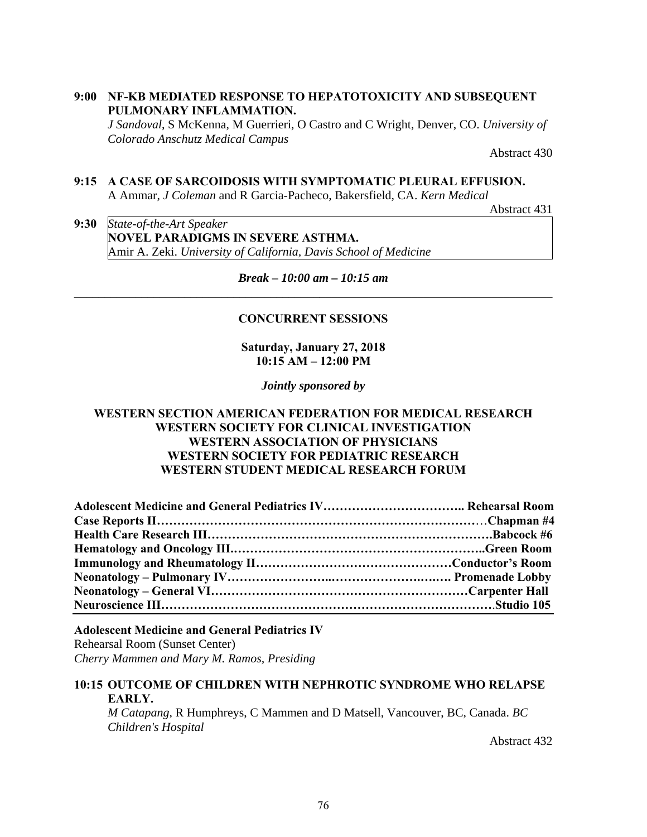**9:00 NF-KB MEDIATED RESPONSE TO HEPATOTOXICITY AND SUBSEQUENT PULMONARY INFLAMMATION.**

*J Sandoval*, S McKenna, M Guerrieri, O Castro and C Wright, Denver, CO. *University of Colorado Anschutz Medical Campus*

Abstract 430

#### **9:15 A CASE OF SARCOIDOSIS WITH SYMPTOMATIC PLEURAL EFFUSION.** A Ammar, *J Coleman* and R Garcia-Pacheco, Bakersfield, CA. *Kern Medical*

Abstract 431

**9:30** *State-of-the-Art Speaker*  **NOVEL PARADIGMS IN SEVERE ASTHMA.** Amir A. Zeki. *University of California, Davis School of Medicine*

*Break* **–** *10:00 am – 10:15 am \_\_\_\_\_\_\_\_\_\_\_\_\_\_\_\_\_\_\_\_\_\_\_\_\_\_\_\_\_\_\_\_\_\_\_\_\_\_\_\_\_\_\_\_\_\_\_\_\_\_\_\_\_\_\_\_\_\_\_\_\_\_\_\_\_\_\_\_\_\_\_\_\_\_\_\_\_\_* 

#### **CONCURRENT SESSIONS**

**Saturday, January 27, 2018 10:15 AM – 12:00 PM** 

*Jointly sponsored by* 

#### **WESTERN SECTION AMERICAN FEDERATION FOR MEDICAL RESEARCH WESTERN SOCIETY FOR CLINICAL INVESTIGATION WESTERN ASSOCIATION OF PHYSICIANS WESTERN SOCIETY FOR PEDIATRIC RESEARCH WESTERN STUDENT MEDICAL RESEARCH FORUM**

## **Adolescent Medicine and General Pediatrics IV**

Rehearsal Room (Sunset Center) *Cherry Mammen and Mary M. Ramos, Presiding*

# **10:15 OUTCOME OF CHILDREN WITH NEPHROTIC SYNDROME WHO RELAPSE EARLY.**

*M Catapang*, R Humphreys, C Mammen and D Matsell, Vancouver, BC, Canada. *BC Children's Hospital*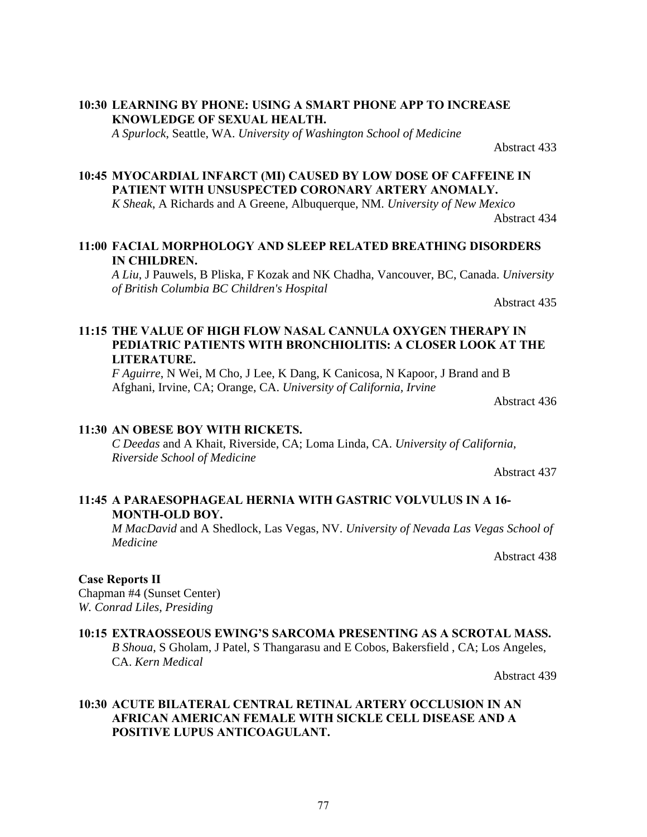### **10:30 LEARNING BY PHONE: USING A SMART PHONE APP TO INCREASE KNOWLEDGE OF SEXUAL HEALTH.**

*A Spurlock*, Seattle, WA. *University of Washington School of Medicine*

Abstract 433

# **10:45 MYOCARDIAL INFARCT (MI) CAUSED BY LOW DOSE OF CAFFEINE IN PATIENT WITH UNSUSPECTED CORONARY ARTERY ANOMALY.**

*K Sheak*, A Richards and A Greene, Albuquerque, NM. *University of New Mexico*

Abstract 434

## **11:00 FACIAL MORPHOLOGY AND SLEEP RELATED BREATHING DISORDERS IN CHILDREN.**

*A Liu*, J Pauwels, B Pliska, F Kozak and NK Chadha, Vancouver, BC, Canada. *University of British Columbia BC Children's Hospital*

Abstract 435

# **11:15 THE VALUE OF HIGH FLOW NASAL CANNULA OXYGEN THERAPY IN PEDIATRIC PATIENTS WITH BRONCHIOLITIS: A CLOSER LOOK AT THE LITERATURE.**

*F Aguirre*, N Wei, M Cho, J Lee, K Dang, K Canicosa, N Kapoor, J Brand and B Afghani, Irvine, CA; Orange, CA. *University of California, Irvine*

Abstract 436

### **11:30 AN OBESE BOY WITH RICKETS.**

*C Deedas* and A Khait, Riverside, CA; Loma Linda, CA. *University of California, Riverside School of Medicine*

Abstract 437

# **11:45 A PARAESOPHAGEAL HERNIA WITH GASTRIC VOLVULUS IN A 16- MONTH-OLD BOY.**

*M MacDavid* and A Shedlock, Las Vegas, NV. *University of Nevada Las Vegas School of Medicine*

Abstract 438

### **Case Reports II**

Chapman #4 (Sunset Center) *W. Conrad Liles, Presiding*

### **10:15 EXTRAOSSEOUS EWING'S SARCOMA PRESENTING AS A SCROTAL MASS.** *B Shoua*, S Gholam, J Patel, S Thangarasu and E Cobos, Bakersfield , CA; Los Angeles, CA. *Kern Medical*

Abstract 439

### **10:30 ACUTE BILATERAL CENTRAL RETINAL ARTERY OCCLUSION IN AN AFRICAN AMERICAN FEMALE WITH SICKLE CELL DISEASE AND A POSITIVE LUPUS ANTICOAGULANT.**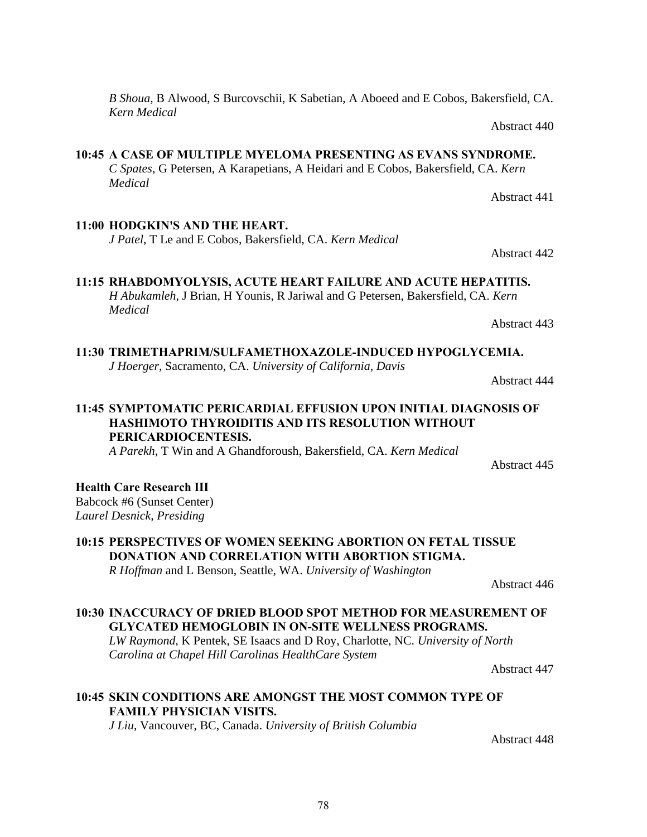*B Shoua*, B Alwood, S Burcovschii, K Sabetian, A Aboeed and E Cobos, Bakersfield, CA. *Kern Medical* 

Abstract 440

Abstract 441

Abstract 442

#### **10:45 A CASE OF MULTIPLE MYELOMA PRESENTING AS EVANS SYNDROME.**

*C Spates*, G Petersen, A Karapetians, A Heidari and E Cobos, Bakersfield, CA. *Kern Medical*

#### **11:00 HODGKIN'S AND THE HEART.**

*J Patel*, T Le and E Cobos, Bakersfield, CA. *Kern Medical* 

# **11:15 RHABDOMYOLYSIS, ACUTE HEART FAILURE AND ACUTE HEPATITIS.**

*H Abukamleh*, J Brian, H Younis, R Jariwal and G Petersen, Bakersfield, CA. *Kern Medical* 

Abstract 443

# **11:30 TRIMETHAPRIM/SULFAMETHOXAZOLE-INDUCED HYPOGLYCEMIA.**

*J Hoerger*, Sacramento, CA. *University of California, Davis*

Abstract 444

Abstract 445

# **11:45 SYMPTOMATIC PERICARDIAL EFFUSION UPON INITIAL DIAGNOSIS OF HASHIMOTO THYROIDITIS AND ITS RESOLUTION WITHOUT PERICARDIOCENTESIS.**

*A Parekh*, T Win and A Ghandforoush, Bakersfield, CA. *Kern Medical*

### **Health Care Research III**

Babcock #6 (Sunset Center) *Laurel Desnick, Presiding*

**10:15 PERSPECTIVES OF WOMEN SEEKING ABORTION ON FETAL TISSUE DONATION AND CORRELATION WITH ABORTION STIGMA.** *R Hoffman* and L Benson, Seattle, WA. *University of Washington*

Abstract 446

# **10:30 INACCURACY OF DRIED BLOOD SPOT METHOD FOR MEASUREMENT OF GLYCATED HEMOGLOBIN IN ON-SITE WELLNESS PROGRAMS.**

*LW Raymond*, K Pentek, SE Isaacs and D Roy, Charlotte, NC. *University of North Carolina at Chapel Hill Carolinas HealthCare System*

Abstract 447

# **10:45 SKIN CONDITIONS ARE AMONGST THE MOST COMMON TYPE OF FAMILY PHYSICIAN VISITS.**

*J Liu*, Vancouver, BC, Canada. *University of British Columbia*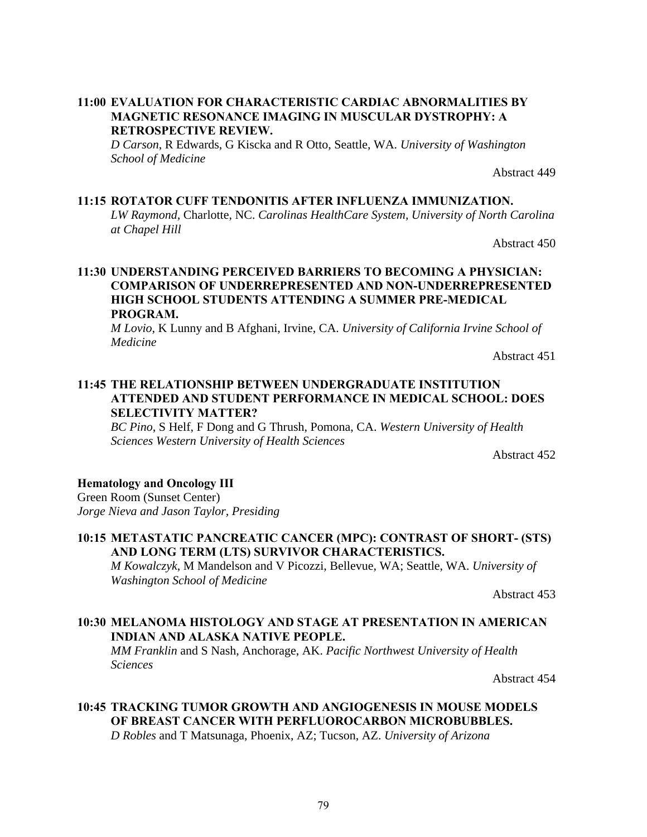#### **11:00 EVALUATION FOR CHARACTERISTIC CARDIAC ABNORMALITIES BY MAGNETIC RESONANCE IMAGING IN MUSCULAR DYSTROPHY: A RETROSPECTIVE REVIEW.**

*D Carson*, R Edwards, G Kiscka and R Otto, Seattle, WA. *University of Washington School of Medicine*

Abstract 449

#### **11:15 ROTATOR CUFF TENDONITIS AFTER INFLUENZA IMMUNIZATION.**

*LW Raymond*, Charlotte, NC. *Carolinas HealthCare System, University of North Carolina at Chapel Hill*

Abstract 450

#### **11:30 UNDERSTANDING PERCEIVED BARRIERS TO BECOMING A PHYSICIAN: COMPARISON OF UNDERREPRESENTED AND NON-UNDERREPRESENTED HIGH SCHOOL STUDENTS ATTENDING A SUMMER PRE-MEDICAL PROGRAM.**

*M Lovio*, K Lunny and B Afghani, Irvine, CA. *University of California Irvine School of Medicine*

Abstract 451

### **11:45 THE RELATIONSHIP BETWEEN UNDERGRADUATE INSTITUTION ATTENDED AND STUDENT PERFORMANCE IN MEDICAL SCHOOL: DOES SELECTIVITY MATTER?**

*BC Pino*, S Helf, F Dong and G Thrush, Pomona, CA. *Western University of Health Sciences Western University of Health Sciences*

Abstract 452

#### **Hematology and Oncology III**

Green Room (Sunset Center) *Jorge Nieva and Jason Taylor, Presiding*

### **10:15 METASTATIC PANCREATIC CANCER (MPC): CONTRAST OF SHORT- (STS) AND LONG TERM (LTS) SURVIVOR CHARACTERISTICS.**

*M Kowalczyk*, M Mandelson and V Picozzi, Bellevue, WA; Seattle, WA. *University of Washington School of Medicine*

Abstract 453

#### **10:30 MELANOMA HISTOLOGY AND STAGE AT PRESENTATION IN AMERICAN INDIAN AND ALASKA NATIVE PEOPLE.**

*MM Franklin* and S Nash, Anchorage, AK. *Pacific Northwest University of Health Sciences*

Abstract 454

# **10:45 TRACKING TUMOR GROWTH AND ANGIOGENESIS IN MOUSE MODELS OF BREAST CANCER WITH PERFLUOROCARBON MICROBUBBLES.**

*D Robles* and T Matsunaga, Phoenix, AZ; Tucson, AZ. *University of Arizona*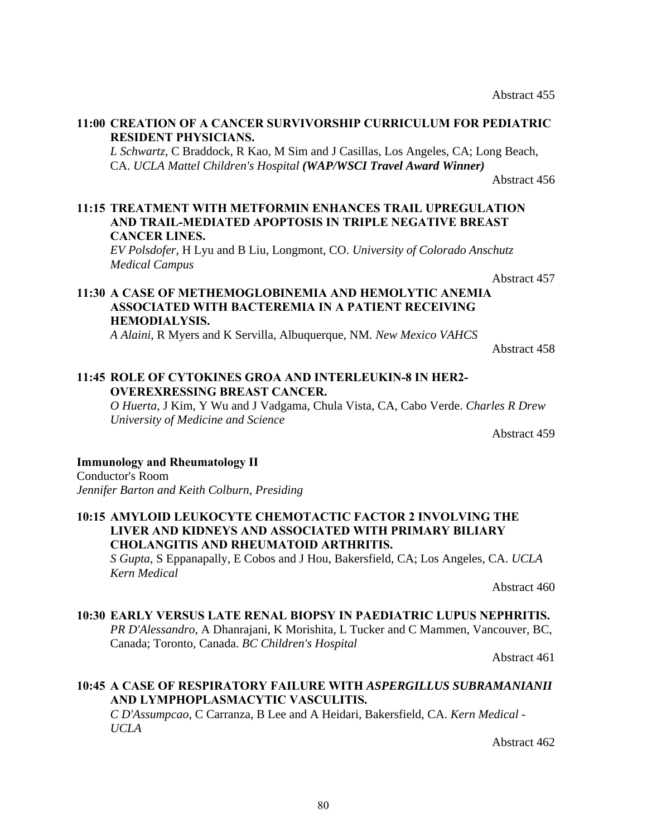Abstract 455

#### **11:00 CREATION OF A CANCER SURVIVORSHIP CURRICULUM FOR PEDIATRIC RESIDENT PHYSICIANS.**

*L Schwartz*, C Braddock, R Kao, M Sim and J Casillas, Los Angeles, CA; Long Beach, CA. *UCLA Mattel Children's Hospital (WAP/WSCI Travel Award Winner)*

Abstract 456

#### **11:15 TREATMENT WITH METFORMIN ENHANCES TRAIL UPREGULATION AND TRAIL-MEDIATED APOPTOSIS IN TRIPLE NEGATIVE BREAST CANCER LINES.**

*EV Polsdofer*, H Lyu and B Liu, Longmont, CO. *University of Colorado Anschutz Medical Campus*

Abstract 457

### **11:30 A CASE OF METHEMOGLOBINEMIA AND HEMOLYTIC ANEMIA ASSOCIATED WITH BACTEREMIA IN A PATIENT RECEIVING HEMODIALYSIS.**

*A Alaini*, R Myers and K Servilla, Albuquerque, NM. *New Mexico VAHCS*

Abstract 458

### **11:45 ROLE OF CYTOKINES GROΑ AND INTERLEUKIN-8 IN HER2- OVEREXRESSING BREAST CANCER.**

*O Huerta*, J Kim, Y Wu and J Vadgama, Chula Vista, CA, Cabo Verde. *Charles R Drew University of Medicine and Science*

Abstract 459

### **Immunology and Rheumatology II**

Conductor's Room *Jennifer Barton and Keith Colburn, Presiding*

#### **10:15 AMYLOID LEUKOCYTE CHEMOTACTIC FACTOR 2 INVOLVING THE LIVER AND KIDNEYS AND ASSOCIATED WITH PRIMARY BILIARY CHOLANGITIS AND RHEUMATOID ARTHRITIS.**

*S Gupta*, S Eppanapally, E Cobos and J Hou, Bakersfield, CA; Los Angeles, CA. *UCLA Kern Medical*

Abstract 460

# **10:30 EARLY VERSUS LATE RENAL BIOPSY IN PAEDIATRIC LUPUS NEPHRITIS.**

*PR D'Alessandro*, A Dhanrajani, K Morishita, L Tucker and C Mammen, Vancouver, BC, Canada; Toronto, Canada. *BC Children's Hospital*

Abstract 461

# **10:45 A CASE OF RESPIRATORY FAILURE WITH** *ASPERGILLUS SUBRAMANIANII* **AND LYMPHOPLASMACYTIC VASCULITIS.**

*C D'Assumpcao*, C Carranza, B Lee and A Heidari, Bakersfield, CA. *Kern Medical - UCLA*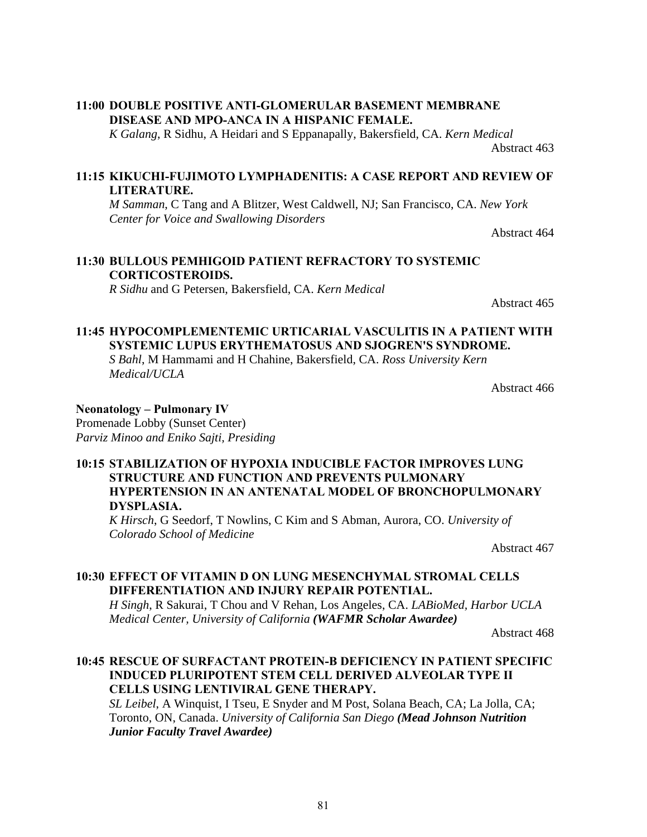#### **11:00 DOUBLE POSITIVE ANTI-GLOMERULAR BASEMENT MEMBRANE DISEASE AND MPO-ANCA IN A HISPANIC FEMALE.**

*K Galang*, R Sidhu, A Heidari and S Eppanapally, Bakersfield, CA. *Kern Medical*

Abstract 463

## **11:15 KIKUCHI-FUJIMOTO LYMPHADENITIS: A CASE REPORT AND REVIEW OF LITERATURE.**

*M Samman*, C Tang and A Blitzer, West Caldwell, NJ; San Francisco, CA. *New York Center for Voice and Swallowing Disorders* 

Abstract 464

### **11:30 BULLOUS PEMHIGOID PATIENT REFRACTORY TO SYSTEMIC CORTICOSTEROIDS.**

*R Sidhu* and G Petersen, Bakersfield, CA. *Kern Medical*

Abstract 465

# **11:45 HYPOCOMPLEMENTEMIC URTICARIAL VASCULITIS IN A PATIENT WITH SYSTEMIC LUPUS ERYTHEMATOSUS AND SJOGREN'S SYNDROME.**

*S Bahl*, M Hammami and H Chahine, Bakersfield, CA. *Ross University Kern Medical/UCLA*

Abstract 466

### **Neonatology – Pulmonary IV**

Promenade Lobby (Sunset Center) *Parviz Minoo and Eniko Sajti, Presiding*

#### **10:15 STABILIZATION OF HYPOXIA INDUCIBLE FACTOR IMPROVES LUNG STRUCTURE AND FUNCTION AND PREVENTS PULMONARY HYPERTENSION IN AN ANTENATAL MODEL OF BRONCHOPULMONARY DYSPLASIA.**

*K Hirsch*, G Seedorf, T Nowlins, C Kim and S Abman, Aurora, CO. *University of Colorado School of Medicine*

Abstract 467

# **10:30 EFFECT OF VITAMIN D ON LUNG MESENCHYMAL STROMAL CELLS DIFFERENTIATION AND INJURY REPAIR POTENTIAL.**

*H Singh*, R Sakurai, T Chou and V Rehan, Los Angeles, CA. *LABioMed, Harbor UCLA Medical Center, University of California (WAFMR Scholar Awardee)*

Abstract 468

# **10:45 RESCUE OF SURFACTANT PROTEIN-B DEFICIENCY IN PATIENT SPECIFIC INDUCED PLURIPOTENT STEM CELL DERIVED ALVEOLAR TYPE II CELLS USING LENTIVIRAL GENE THERAPY.**

*SL Leibel*, A Winquist, I Tseu, E Snyder and M Post, Solana Beach, CA; La Jolla, CA; Toronto, ON, Canada. *University of California San Diego (Mead Johnson Nutrition Junior Faculty Travel Awardee)*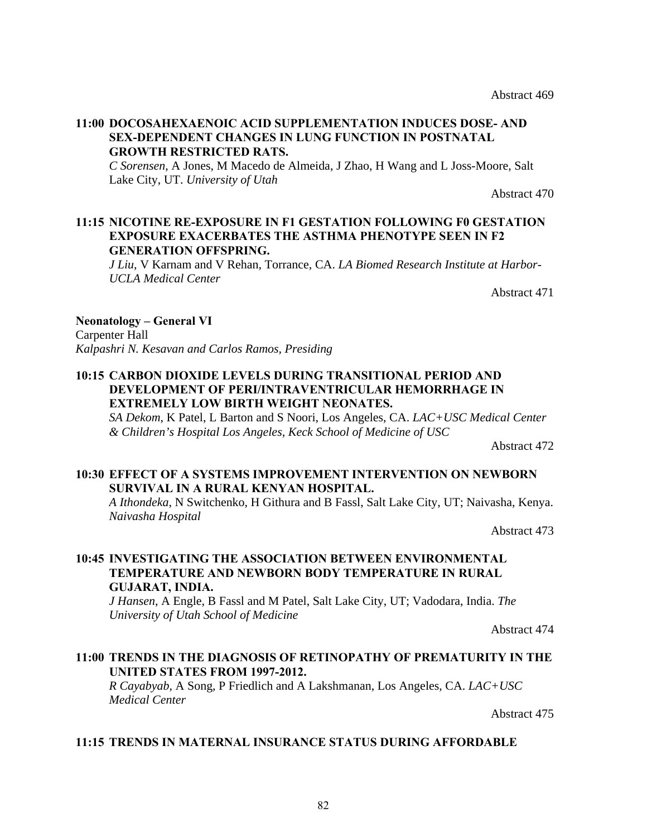#### **11:00 DOCOSAHEXAENOIC ACID SUPPLEMENTATION INDUCES DOSE- AND SEX-DEPENDENT CHANGES IN LUNG FUNCTION IN POSTNATAL GROWTH RESTRICTED RATS.**

*C Sorensen*, A Jones, M Macedo de Almeida, J Zhao, H Wang and L Joss-Moore, Salt Lake City, UT. *University of Utah*

Abstract 470

#### **11:15 NICOTINE RE-EXPOSURE IN F1 GESTATION FOLLOWING F0 GESTATION EXPOSURE EXACERBATES THE ASTHMA PHENOTYPE SEEN IN F2 GENERATION OFFSPRING.**

*J Liu*, V Karnam and V Rehan, Torrance, CA. *LA Biomed Research Institute at Harbor-UCLA Medical Center*

Abstract 471

#### **Neonatology – General VI**

Carpenter Hall *Kalpashri N. Kesavan and Carlos Ramos, Presiding*

#### **10:15 CARBON DIOXIDE LEVELS DURING TRANSITIONAL PERIOD AND DEVELOPMENT OF PERI/INTRAVENTRICULAR HEMORRHAGE IN EXTREMELY LOW BIRTH WEIGHT NEONATES.**

*SA Dekom*, K Patel, L Barton and S Noori, Los Angeles, CA. *LAC+USC Medical Center & Children's Hospital Los Angeles, Keck School of Medicine of USC*

Abstract 472

### **10:30 EFFECT OF A SYSTEMS IMPROVEMENT INTERVENTION ON NEWBORN SURVIVAL IN A RURAL KENYAN HOSPITAL.**

*A Ithondeka*, N Switchenko, H Githura and B Fassl, Salt Lake City, UT; Naivasha, Kenya. *Naivasha Hospital*

Abstract 473

### **10:45 INVESTIGATING THE ASSOCIATION BETWEEN ENVIRONMENTAL TEMPERATURE AND NEWBORN BODY TEMPERATURE IN RURAL GUJARAT, INDIA.**

*J Hansen*, A Engle, B Fassl and M Patel, Salt Lake City, UT; Vadodara, India. *The University of Utah School of Medicine*

Abstract 474

### **11:00 TRENDS IN THE DIAGNOSIS OF RETINOPATHY OF PREMATURITY IN THE UNITED STATES FROM 1997-2012.**

*R Cayabyab*, A Song, P Friedlich and A Lakshmanan, Los Angeles, CA. *LAC+USC Medical Center*

Abstract 475

#### **11:15 TRENDS IN MATERNAL INSURANCE STATUS DURING AFFORDABLE**